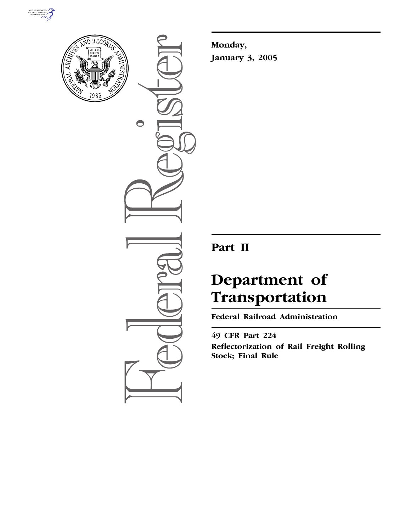



 $\bigcirc$ 

**Monday, January 3, 2005**

## **Part II**

# **Department of Transportation**

**Federal Railroad Administration** 

**49 CFR Part 224 Reflectorization of Rail Freight Rolling Stock; Final Rule**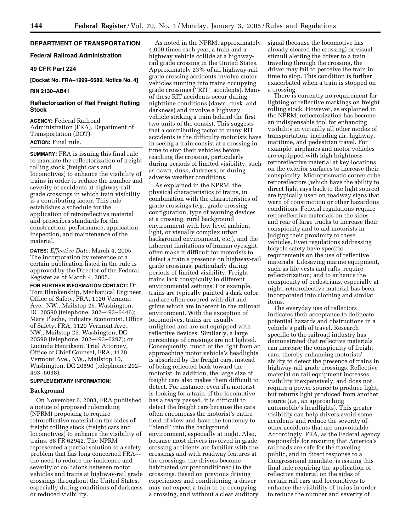## **DEPARTMENT OF TRANSPORTATION**

## **Federal Railroad Administration**

#### **49 CFR Part 224**

**[Docket No. FRA–1999–6689, Notice No. 4]** 

#### **RIN 2130–AB41**

## **Reflectorization of Rail Freight Rolling Stock**

**AGENCY:** Federal Railroad Administration (FRA), Department of Transportation (DOT). **ACTION:** Final rule.

**SUMMARY:** FRA is issuing this final rule to mandate the reflectorization of freight rolling stock (freight cars and locomotives) to enhance the visibility of trains in order to reduce the number and severity of accidents at highway-rail grade crossings in which train visibility is a contributing factor. This rule establishes a schedule for the application of retroreflective material and prescribes standards for the construction, performance, application, inspection, and maintenance of the material.

**DATES:** *Effective Date:* March 4, 2005. The incorporation by reference of a certain publication listed in the rule is approved by the Director of the Federal Register as of March 4, 2005.

**FOR FURTHER INFORMATION CONTACT:** Dr. Tom Blankenship, Mechanical Engineer, Office of Safety, FRA, 1120 Vermont Ave., NW., Mailstop 25, Washington, DC 20590 (telephone: 202–493–6446); Mary Plache, Industry Economist, Office of Safety, FRA, 1120 Vermont Ave., NW., Mailstop 25, Washington, DC 20590 (telephone: 202–493–6297); or Lucinda Henriksen, Trial Attorney, Office of Chief Counsel, FRA, 1120 Vermont Ave., NW., Mailstop 10, Washington, DC 20590 (telephone: 202– 493–6038).

#### **SUPPLEMENTARY INFORMATION:**

#### **Background**

On November 6, 2003, FRA published a notice of proposed rulemaking (NPRM) proposing to require retroreflective material on the sides of freight rolling stock (freight cars and locomotives) to enhance the visibility of trains. 68 FR 62942. The NPRM represented a partial solution to a safety problem that has long concerned FRA the need to reduce the incidence and severity of collisions between motor vehicles and trains at highway-rail grade crossings throughout the United States, especially during conditions of darkness or reduced visibility.

As noted in the NPRM, approximately 4,000 times each year, a train and a highway vehicle collide at a highwayrail grade crossing in the United States. Approximately 23% of all highway-rail grade crossing accidents involve motor vehicles running into trains occupying grade crossings (''RIT'' accidents). Many of these RIT accidents occur during nighttime conditions (dawn, dusk, and darkness) and involve a highway vehicle striking a train behind the first two units of the consist. This suggests that a contributing factor to many RIT accidents is the difficulty motorists have in seeing a train consist at a crossing in time to stop their vehicles before reaching the crossing, particularly during periods of limited visibility, such as dawn, dusk, darkness, or during adverse weather conditions.

As explained in the NPRM, the physical characteristics of trains, in combination with the characteristics of grade crossings (*e.g.*, grade crossing configuration, type of warning devices at a crossing, rural background environment with low level ambient light, or visually complex urban background environment, etc.), and the inherent limitations of human eyesight, often make it difficult for motorists to detect a train's presence on highway-rail grade crossings, particularly during periods of limited visibility. Freight trains lack conspicuity in different environmental settings. For example, trains are typically painted a dark color and are often covered with dirt and grime which are inherent in the railroad environment. With the exception of locomotives, trains are usually unlighted and are not equipped with reflective devices. Similarly, a large percentage of crossings are not lighted. Consequently, much of the light from an approaching motor vehicle's headlights is absorbed by the freight cars, instead of being reflected back toward the motorist. In addition, the large size of freight cars also makes them difficult to detect. For instance, even if a motorist is looking for a train, if the locomotive has already passed, it is difficult to detect the freight cars because the cars often encompass the motorist's entire field of view and have the tendency to ''blend'' into the background environment, especially at night. Also, because most drivers involved in grade crossing accidents are familiar with the crossings and with roadway features at the crossings, the drivers become habituated (or preconditioned) to the crossings. Based on previous driving experiences and conditioning, a driver may not expect a train to be occupying a crossing, and without a clear auditory

signal (because the locomotive has already cleared the crossing) or visual stimuli alerting the driver to a train traveling through the crossing, the driver may fail to perceive the train in time to stop. This condition is further exacerbated when a train is stopped on a crossing.

There is currently no requirement for lighting or reflective markings on freight rolling stock. However, as explained in the NPRM, reflectorization has become an indispensable tool for enhancing visibility in virtually all other modes of transportation, including air, highway, maritime, and pedestrian travel. For example, airplanes and motor vehicles are equipped with high brightness retroreflective material at key locations on the exterior surfaces to increase their conspicuity. Microprismatic corner cube retroreflectors (which have the ability to direct light rays back to the light source) are typically used on roadway signs that warn of construction or other hazardous conditions. Federal regulations require retroreflective materials on the sides and rear of large trucks to increase their conspicuity and to aid motorists in judging their proximity to these vehicles. Even regulations addressing bicycle safety have specific requirements on the use of reflective materials. Lifesaving marine equipment, such as life vests and rafts, require reflectorization; and to enhance the conspicuity of pedestrians, especially at night, retroreflective material has been incorporated into clothing and similar items.

The everyday use of reflectors indicates their acceptance to delineate potential hazards and obstructions in a vehicle's path of travel. Research specific to the railroad industry has demonstrated that reflective materials can increase the conspicuity of freight cars, thereby enhancing motorists' ability to detect the presence of trains in highway-rail grade crossings. Reflective material on rail equipment increases visibility inexpensively, and does not require a power source to produce light, but returns light produced from another source (*i.e.*, an approaching automobile's headlights). This greater visibility can help drivers avoid some accidents and reduce the severity of other accidents that are unavoidable. Accordingly, FRA, as the Federal agency responsible for ensuring that America's railroads are safe for the traveling public, and in direct response to a Congressional mandate, is issuing this final rule requiring the application of reflective material on the sides of certain rail cars and locomotives to enhance the visibility of trains in order to reduce the number and severity of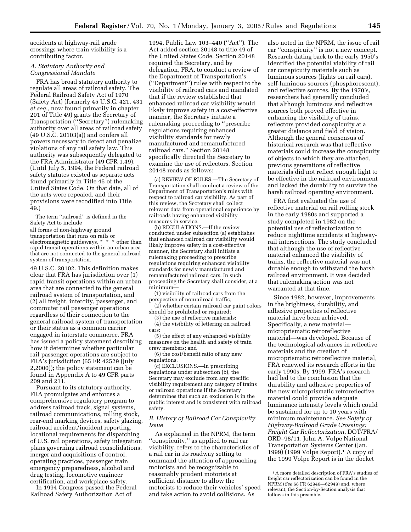accidents at highway-rail grade crossings where train visibility is a contributing factor.

## *A. Statutory Authority and Congressional Mandate*

FRA has broad statutory authority to regulate all areas of railroad safety. The Federal Railroad Safety Act of 1970 (Safety Act) (formerly 45 U.S.C. 421, 431 *et seq.*, now found primarily in chapter 201 of Title 49) grants the Secretary of Transportation (''Secretary'') rulemaking authority over all areas of railroad safety (49 U.S.C. 20103(a)) and confers all powers necessary to detect and penalize violations of any rail safety law. This authority was subsequently delegated to the FRA Administrator (49 CFR 1.49). (Until July 5, 1994, the Federal railroad safety statutes existed as separate acts found primarily in Title 45 of the United States Code. On that date, all of the acts were repealed, and their provisions were recodified into Title 49.)

The term ''railroad'' is defined in the Safety Act to include

all forms of non-highway ground transportation that runs on rails or electromagnetic guideways, \* \* \* other than rapid transit operations within an urban area that are not connected to the general railroad system of transportation.

49 U.S.C. 20102. This definition makes clear that FRA has jurisdiction over (1) rapid transit operations within an urban area that are connected to the general railroad system of transportation, and (2) all freight, intercity, passenger, and commuter rail passenger operations regardless of their connection to the general railroad system of transportation or their status as a common carrier engaged in interstate commerce. FRA has issued a policy statement describing how it determines whether particular rail passenger operations are subject to FRA's jurisdiction (65 FR 42529 (July 2,2000)); the policy statement can be found in Appendix A to 49 CFR parts 209 and 211.

Pursuant to its statutory authority, FRA promulgates and enforces a comprehensive regulatory program to address railroad track, signal systems, railroad communications, rolling stock, rear-end marking devices, safety glazing, railroad accident/incident reporting, locational requirements for dispatching of U.S. rail operations, safety integration plans governing railroad consolidations, merger and acquisitions of control, operating practices, passenger train emergency preparedness, alcohol and drug testing, locomotive engineer certification, and workplace safety.

In 1994 Congress passed the Federal Railroad Safety Authorization Act of

1994, Public Law 103–440 (''Act''). The Act added section 20148 to title 49 of the United States Code. Section 20148 required the Secretary, and by delegation, FRA, to conduct a review of the Department of Transportation's (''Department'') rules with respect to the visibility of railroad cars and mandated that if the review established that enhanced railroad car visibility would likely improve safety in a cost-effective manner, the Secretary initiate a rulemaking proceeding to ''prescribe regulations requiring enhanced visibility standards for newly manufactured and remanufactured railroad cars.'' Section 20148 specifically directed the Secretary to examine the use of reflectors. Section 20148 reads as follows:

(a) REVIEW OF RULES.—The Secretary of Transportation shall conduct a review of the Department of Transportation's rules with respect to railroad car visibility. As part of this review, the Secretary shall collect relevant data from operational experience by railroads having enhanced visibility measures in service.

(b) REGULATIONS.—If the review conducted under subsection (a) establishes that enhanced railroad car visibility would likely improve safety in a cost-effective manner, the Secretary shall initiate a rulemaking proceeding to prescribe regulations requiring enhanced visibility standards for newly manufactured and remanufactured railroad cars. In such proceeding the Secretary shall consider, at a minimum—

(1) visibility of railroad cars from the perspective of nonrailroad traffic;

(2) whether certain railroad car paint colors should be prohibited or required;

(3) the use of reflective materials; (4) the visibility of lettering on railroad cars;

(5) the effect of any enhanced visibility

measures on the health and safety of train crew members; and

(6) the cost/benefit ratio of any new regulations.

(c) EXCLUSIONS.—In prescribing regulations under subsection (b), the Secretary may exclude from any specific visibility requirement any category of trains or railroad operations if the Secretary determines that such an exclusion is in the public interest and is consistent with railroad safety.

## *B. History of Railroad Car Conspicuity Issue*

As explained in the NPRM, the term ''conspicuity,'' as applied to rail car visibility, refers to the characteristics of a rail car in its roadway setting to command the attention of approaching motorists and be recognizable to reasonably prudent motorists at sufficient distance to allow the motorists to reduce their vehicles' speed and take action to avoid collisions. As

also noted in the NPRM, the issue of rail car ''conspicuity'' is not a new concept. Research dating back to the early 1950's identified the potential viability of rail car conspicuity materials such as luminous sources (lights on rail cars), self-luminous sources (phosphorescent), and reflective sources. By the 1970's, researchers had generally concluded that although luminous and reflective sources both proved effective in enhancing the visibility of trains, reflectors provided conspicuity at a greater distance and field of vision. Although the general consensus of historical research was that reflective materials could increase the conspicuity of objects to which they are attached, previous generations of reflective materials did not reflect enough light to be effective in the railroad environment and lacked the durability to survive the harsh railroad operating environment.

FRA first evaluated the use of reflective material on rail rolling stock in the early 1980s and supported a study completed in 1982 on the potential use of reflectorization to reduce nighttime accidents at highwayrail intersections. The study concluded that although the use of reflective material enhanced the visibility of trains, the reflective material was not durable enough to withstand the harsh railroad environment. It was decided that rulemaking action was not warranted at that time.

Since 1982, however, improvements in the brightness, durability, and adhesive properties of reflective material have been achieved. Specifically, a new material microprismatic retroreflective material—was developed. Because of the technological advances in reflective materials and the creation of microprismatic retroreflective material, FRA renewed its research efforts in the early 1990s. By 1999, FRA's research had led to the conclusion that the durability and adhesive properties of the new microprismatic retroreflective material could provide adequate luminance intensity levels which could be sustained for up to 10 years with minimum maintenance. *See Safety of Highway-Railroad Grade Crossings: Freight Car Reflectorization*, DOT/FRA/ ORD–98/11, John A. Volpe National Transportation Systems Center (Jan. 1999) (1999 Volpe Report).1 A copy of the 1999 Volpe Report is in the docket

<sup>1</sup>A more detailed description of FRA's studies of freight car reflectorization can be found in the NPRM (*See* 68 FR 62946—62949) and, where relevant, the Section-by-Section analysis that follows in this preamble.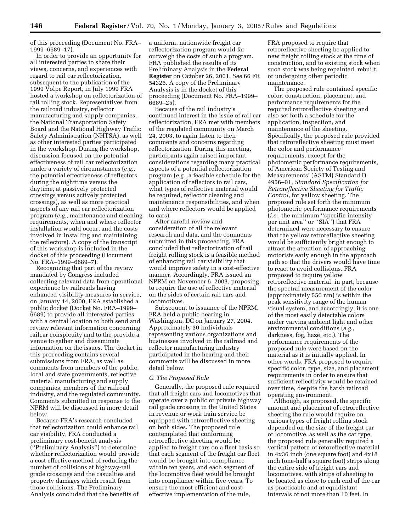of this proceeding (Document No. FRA– 1999–6689–17).

In order to provide an opportunity for all interested parties to share their views, concerns, and experiences with regard to rail car reflectorization, subsequent to the publication of the 1999 Volpe Report, in July 1999 FRA hosted a workshop on reflectorization of rail rolling stock. Representatives from the railroad industry, reflector manufacturing and supply companies, the National Transportation Safety Board and the National Highway Traffic Safety Administration (NHTSA), as well as other interested parties participated in the workshop. During the workshop, discussion focused on the potential effectiveness of rail car reflectorization under a variety of circumstances (*e.g.*, the potential effectiveness of reflectors during the nighttime versus the daytime, at passively protected crossings versus actively protected crossings), as well as more practical aspects of any rail car reflectorization program (*e.g.*, maintenance and cleaning requirements, when and where reflector installation would occur, and the costs involved in installing and maintaining the reflectors). A copy of the transcript of this workshop is included in the docket of this proceeding (Document No. FRA–1999–6689–7).

Recognizing that part of the review mandated by Congress included collecting relevant data from operational experience by railroads having enhanced visibility measures in service, on January 14, 2000, FRA established a public docket (Docket No. FRA–1999– 6689) to provide all interested parties with a central location to both send and review relevant information concerning railcar conspicuity and to the provide a venue to gather and disseminate information on the issues. The docket in this proceeding contains several submissions from FRA, as well as comments from members of the public, local and state governments, reflective material manufacturing and supply companies, members of the railroad industry, and the regulated community. Comments submitted in response to the NPRM will be discussed in more detail below.

Because FRA's research concluded that reflectorization could enhance rail car visibility, FRA conducted a preliminary cost-benefit analysis (''Preliminary Analysis'') to determine whether reflectorization would provide a cost effective method of reducing the number of collisions at highway-rail grade crossings and the casualties and property damages which result from those collisions. The Preliminary Analysis concluded that the benefits of

a uniform, nationwide freight car reflectorization program would far outweigh the costs of such a program. FRA published the results of its Preliminary Analysis in the **Federal Register** on October 26, 2001. *See* 66 FR 54326. A copy of the Preliminary Analysis is in the docket of this proceeding (Document No. FRA–1999– 6689–25).

Because of the rail industry's continued interest in the issue of rail car reflectorization, FRA met with members of the regulated community on March 24, 2003, to again listen to their comments and concerns regarding reflectorization. During this meeting, participants again raised important considerations regarding many practical aspects of a potential reflectorization program (*e.g.*, a feasible schedule for the application of reflectors to rail cars, what types of reflective material would be required, reflector cleaning and maintenance responsibilities, and when and where reflectors would be applied to cars).

After careful review and consideration of all the relevant research and data, and the comments submitted in this proceeding, FRA concluded that reflectorization of rail freight rolling stock is a feasible method of enhancing rail car visibility that would improve safety in a cost-effective manner. Accordingly, FRA issued an NPRM on November 6, 2003, proposing to require the use of reflective material on the sides of certain rail cars and locomotives.

Subsequent to issuance of the NPRM, FRA held a public hearing in Washington, DC on January 27, 2004. Approximately 30 individuals representing various organizations and businesses involved in the railroad and reflector manufacturing industry participated in the hearing and their comments will be discussed in more detail below.

#### *C. The Proposed Rule*

Generally, the proposed rule required that all freight cars and locomotives that operate over a public or private highway rail grade crossing in the United States in revenue or work train service be equipped with retroreflective sheeting on both sides. The proposed rule contemplated that conforming retroreflective sheeting would be applied to freight cars on a fleet basis so that each segment of the freight car fleet would be brought into compliance within ten years, and each segment of the locomotive fleet would be brought into compliance within five years. To ensure the most efficient and costeffective implementation of the rule,

FRA proposed to require that retroreflective sheeting be applied to new freight rolling stock at the time of construction, and to existing stock when such stock was being repainted, rebuilt, or undergoing other periodic maintenance.

The proposed rule contained specific color, construction, placement, and performance requirements for the required retroreflective sheeting and also set forth a schedule for the application, inspection, and maintenance of the sheeting. Specifically, the proposed rule provided that retroreflective sheeting must meet the color and performance requirements, except for the photometric performance requirements, of American Society of Testing and Measurements' (ASTM) Standard D 4956–01, *Standard Specification for Retroreflective Sheeting for Traffic Control*, for yellow sheeting. The proposed rule set forth the minimum photometric performance requirements (*i.e.*, the minimum ''specific intensity per unit area'' or ''SIA'') that FRA determined were necessary to ensure that the yellow retroreflective sheeting would be sufficiently bright enough to attract the attention of approaching motorists early enough in the approach path so that the drivers would have time to react to avoid collisions. FRA proposed to require yellow retroreflective material, in part, because the spectral measurement of the color (approximately 550 nm) is within the peak sensitivity range of the human visual system, and accordingly, it is one of the most easily detectable colors under varying ambient light and other environmental conditions (*e.g.*, darkness, fog, haze, etc.). The performance requirements of the proposed rule were based on the material as it is initially applied. In other words, FRA proposed to require specific color, type, size, and placement requirements in order to ensure that sufficient reflectivity would be retained over time, despite the harsh railroad operating environment.

Although, as proposed, the specific amount and placement of retroreflective sheeting the rule would require on various types of freight rolling stock depended on the size of the freight car or locomotive, as well as the car type, the proposed rule generally required a vertical pattern of retoreflective material in 4x36 inch (one square foot) and 4x18 inch (one-half a square foot) strips along the entire side of freight cars and locomotives, with strips of sheeting to be located as close to each end of the car as practicable and at equidistant intervals of not more than 10 feet. In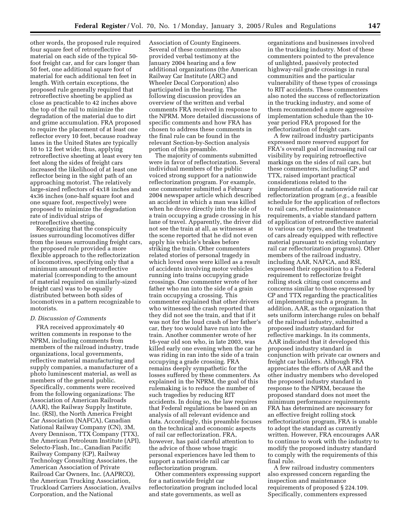other words, the proposed rule required four square feet of retroreflective material on each side of the typical 50 foot freight car, and for cars longer than 50 feet, one additional square foot of material for each additional ten feet in length. With certain exceptions, the proposed rule generally required that retroreflective sheeting be applied as close as practicable to 42 inches above the top of the rail to minimize the degradation of the material due to dirt and grime accumulation. FRA proposed to require the placement of at least one reflector every 10 feet, because roadway lanes in the United States are typically 10 to 12 feet wide; thus, applying retroreflective sheeting at least every ten feet along the sides of freight cars increased the likelihood of at least one reflector being in the sight path of an approaching motorist. The relatively large-sized reflectors of 4x18 inches and 4x36 inches (one-half square foot and one square foot, respectively) were proposed to minimize the degradation rate of individual strips of retroreflective sheeting.

Recognizing that the conspicuity issues surrounding locomotives differ from the issues surrounding freight cars, the proposed rule provided a more flexible approach to the reflectorization of locomotives, specifying only that a minimum amount of retroreflective material (corresponding to the amount of material required on similarly-sized freight cars) was to be equally distributed between both sides of locomotives in a pattern recognizable to motorists.

### *D. Discussion of Comments*

FRA received approximately 40 written comments in response to the NPRM, including comments from members of the railroad industry, trade organizations, local governments, reflective material manufacturing and supply companies, a manufacturer of a photo luminescent material, as well as members of the general public. Specifically, comments were received from the following organizations: The Association of American Railroads (AAR), the Railway Supply Institute, Inc. (RSI), the North America Freight Car Association (NAFCA), Canadian National Railway Company (CN), 3M, Avery Dennison, TTX Company (TTX), the American Petroleum Institute (API), Selecto-Flash, Inc., Canadian Pacific Railway Company (CP), Railway Technology Consulting Associates, the American Association of Private Railroad Car Owners, Inc. (AAPRCO), the American Trucking Association, Truckload Carriers Association, Availvs Corporation, and the National

Association of County Engineers. Several of these commenters also provided verbal testimony at the January 2004 hearing and a few additional organizations (the American Railway Car Institute (ARC) and Wheeler Decal Corporation) also participated in the hearing. The following discussion provides an overview of the written and verbal comments FRA received in response to the NPRM. More detailed discussions of specific comments and how FRA has chosen to address these comments in the final rule can be found in the relevant Section-by-Section analysis portion of this preamble.

The majority of comments submitted were in favor of reflectorization. Several individual members of the public voiced strong support for a nationwide reflectorization program. For example, one commenter submitted a February 2004 newspaper article which described an accident in which a man was killed when he drove directly into the side of a train occupying a grade crossing in his lane of travel. Apparently, the driver did not see the train at all, as witnesses at the scene reported that he did not even apply his vehicle's brakes before striking the train. Other commenters related stories of personal tragedy in which loved ones were killed as a result of accidents involving motor vehicles running into trains occupying grade crossings. One commenter wrote of her father who ran into the side of a grain train occupying a crossing. This commenter explained that other drivers who witnessed the crash reported that they did not see the train, and that if it was not for the loud crash of her father's car, they too would have run into the train. Another commenter wrote of her 16-year old son who, in late 2003, was killed early one evening when the car he was riding in ran into the side of a train occupying a grade crossing. FRA remains deeply sympathetic for the losses suffered by these commenters. As explained in the NPRM, the goal of this rulemaking is to reduce the number of such tragedies by reducing RIT accidents. In doing so, the law requires that Federal regulations be based on an analysis of all relevant evidence and data. Accordingly, this preamble focuses on the technical and economic aspects of rail car reflectorization. FRA, however, has paid careful attention to the advice of those whose tragic personal experiences have led them to support a nationwide rail car reflectorization program.

Other commenters expressing support for a nationwide freight car reflectorization program included local and state governments, as well as

organizations and businesses involved in the trucking industry. Most of these commenters pointed to the prevalence of unlighted, passively protected highway-rail grade crossings in rural communities and the particular vulnerability of these types of crossings to RIT accidents. These commenters also noted the success of reflectorization in the trucking industry, and some of them recommended a more aggressive implementation schedule than the 10 year period FRA proposed for the reflectorization of freight cars.

A few railroad industry participants expressed more reserved support for FRA's overall goal of increasing rail car visibility by requiring retroeflective markings on the sides of rail cars, but these commenters, including CP and TTX, raised important practical considerations related to the implementation of a nationwide rail car reflectorization program (*e.g.*, a feasible schedule for the application of reflectors to rail cars, reflector maintenance requirements, a viable standard pattern of application of retroreflective material to various car types, and the treatment of cars already equipped with reflective material pursuant to existing voluntary rail car reflectorization programs). Other members of the railroad industry, including AAR, NAFCA, and RSI, expressed their opposition to a Federal requirement to reflectorize freight rolling stock citing cost concerns and concerns similar to those expressed by CP and TTX regarding the practicalities of implementing such a program. In addition, AAR, as the organization that sets uniform interchange rules on behalf of the railroad industry, submitted a proposed industry standard for reflective markings. In its comments, AAR indicated that it developed this proposed industry standard in conjunction with private car owners and freight car builders. Although FRA appreciates the efforts of AAR and the other industry members who developed the proposed industry standard in response to the NPRM, because the proposed standard does not meet the minimum performance requirements FRA has determined are necessary for an effective freight rolling stock reflectorization program, FRA is unable to adopt the standard as currently written. However, FRA encourages AAR to continue to work with the industry to modify the proposed industry standard to comply with the requirements of this final rule.

A few railroad industry commenters also expressed concern regarding the inspection and maintenance requirements of proposed § 224.109. Specifically, commenters expressed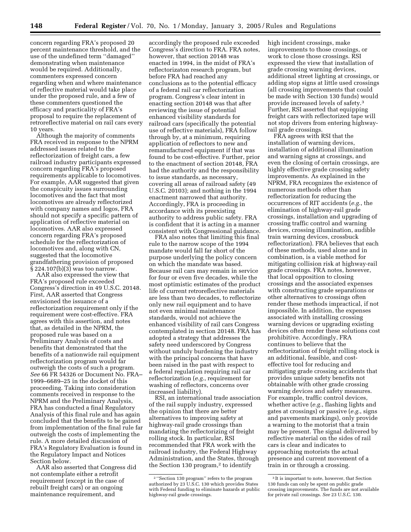concern regarding FRA's proposed 20 percent maintenance threshold, and the use of the undefined term ''damaged'' demonstrating when maintenance would be required. Additionally, commenters expressed concern regarding when and where maintenance of reflective material would take place under the proposed rule, and a few of these commenters questioned the efficacy and practicality of FRA's proposal to require the replacement of retroreflective material on rail cars every 10 years.

Although the majority of comments FRA received in response to the NPRM addressed issues related to the reflectorization of freight cars, a few railroad industry participants expressed concern regarding FRA's proposed requirements applicable to locomotives. For example, AAR suggested that given the conspicuity issues surrounding locomotives and the fact that most locomotives are already reflectorized with company names and logos, FRA should not specify a specific pattern of application of reflective material on locomotives. AAR also expressed concern regarding FRA's proposed schedule for the reflectorization of locomotives and, along with CN, suggested that the locomotive grandfathering provision of proposed § 224.107(b)(3) was too narrow.

AAR also expressed the view that FRA's proposed rule exceeded Congress's direction in 49 U.S.C. 20148. First, AAR asserted that Congress envisioned the issuance of a reflectorization requirement only if the requirement were cost-effective. FRA agrees with this assertion, and notes that, as detailed in the NPRM, the proposed rule was based on a Preliminary Analysis of costs and benefits that demonstrated that the benefits of a nationwide rail equipment reflectorization program would far outweigh the costs of such a program. *See* 66 FR 54326 or Document No. FRA– 1999–6689–25 in the docket of this proceeding. Taking into consideration comments received in response to the NPRM and the Preliminary Analysis, FRA has conducted a final Regulatory Analysis of this final rule and has again concluded that the benefits to be gained from implementation of the final rule far outweigh the costs of implementing the rule. A more detailed discussion of FRA's Regulatory Evaluation is found in the Regulatory Impact and Notices Section below.

AAR also asserted that Congress did not contemplate either a retrofit requirement (except in the case of rebuilt freight cars) or an ongoing maintenance requirement, and

accordingly the proposed rule exceeded Congress's direction to FRA. FRA notes, however, that section 20148 was enacted in 1994, in the midst of FRA's reflectorizaton research program, but before FRA had reached any conclusions as to the potential efficacy of a federal rail car reflectorization program. Congress's clear intent in enacting section 20148 was that after reviewing the issue of potential enhanced visibility standards for railroad cars (specifically the potential use of reflective materials), FRA follow through by, at a minimum, requiring application of reflectors to new and remanufactured equipment if that was found to be cost-effective. Further, prior to the enactment of section 20148, FRA had the authority and the responsibility to issue standards, as necessary, covering all areas of railroad safety (49 U.S.C. 20103); and nothing in the 1994 enactment narrowed that authority. Accordingly, FRA is proceeding in accordance with its preexisting authority to address public safety. FRA is confident that it is acting in a manner consistent with Congressional guidance.

FRA also notes that limiting this final rule to the narrow scope of the 1994 mandate would fall far short of the purpose underlying the policy concern on which the mandate was based. Because rail cars may remain in service for four or even five decades, while the most optimistic estimates of the product life of current retroreflective materials are less than two decades, to reflectorize only new rail equipment and to have not even minimal maintenance standards, would not achieve the enhanced visibility of rail cars Congress contemplated in section 20148. FRA has adopted a strategy that addresses the safety need underscored by Congress without unduly burdening the industry with the principal concerns that have been raised in the past with respect to a federal regulation requiring rail car reflectorization (*e.g.*, requirement for washing of reflectors, concerns over increased liability).

RSI, an international trade association of the rail supply industry, expressed the opinion that there are better alternatives to improving safety at highway-rail grade crossings than mandating the reflectorizing of freight rolling stock. In particular, RSI recommended that FRA work with the railroad industry, the Federal Highway Administration, and the States, through the Section 130 program,<sup>2</sup> to identify

high incident crossings, make improvements to those crossings, or work to close those crossings. RSI expressed the view that installation of grade crossing warning devices, additional street lighting at crossings, or adding stop signs at little used crossings (all crossing improvements that could be made with Section 130 funds) would provide increased levels of safety.3 Further, RSI asserted that equipping freight cars with reflectorized tape will not stop drivers from entering highwayrail grade crossings.

FRA agrees with RSI that the installation of warning devices, installation of additional illumination and warning signs at crossings, and even the closing of certain crossings, are highly effective grade crossing safety improvements. As explained in the NPRM, FRA recognizes the existence of numerous methods other than reflectorization for reducing the occurrences of RIT accidents (*e.g.*, the elimination of highway-rail grade crossings, installation and upgrading of crossing traffic control and warning devices, crossing illumination, audible train warning devices, crossbuck reflectorization). FRA believes that each of these methods, used alone and in combination, is a viable method for mitigating collision risk at highway-rail grade crossings. FRA notes, however, that local opposition to closing crossings and the associated expenses with constructing grade separations or other alternatives to crossings often render these methods impractical, if not impossible. In addition, the expenses associated with installing crossing warning devices or upgrading existing devices often render these solutions cost prohibitive. Accordingly, FRA continues to believe that the reflectorization of freight rolling stock is an additional, feasible, and costeffective tool for reducing and mitigating grade crossing accidents that provides unique safety benefits not obtainable with other grade crossing warning devices and safety measures. For example, traffic control devices, whether active (*e.g.*, flashing lights and gates at crossings) or passive (*e.g.*, signs and pavements markings), only provide a warning to the motorist that a train may be present. The signal delivered by reflective material on the sides of rail cars is clear and indicates to approaching motorists the actual presence and current movement of a train in or through a crossing.

<sup>2</sup> ''Section 130 program'' refers to the program authorized by 23 U.S.C. 130 which provides States with Federal funding to eliminate hazards at public highway-rail grade crossings.

<sup>3</sup> It is important to note, however, that Section 130 funds can only be spent on public grade crossing improvements. The funds are not available for private rail crossings. *See* 23 U.S.C. 130.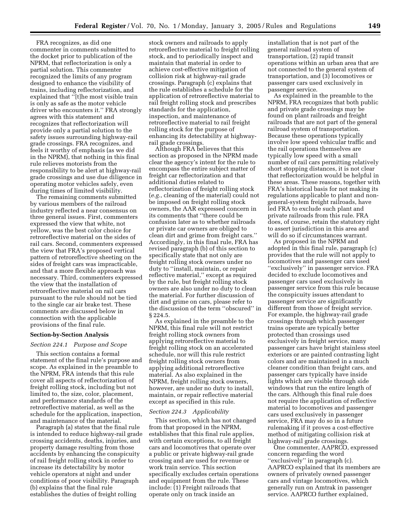FRA recognizes, as did one commenter in comments submitted to the docket prior to publication of the NPRM, that reflectorization is only a partial solution. This commenter recognized the limits of any program designed to enhance the visibility of trains, including reflectorization, and explained that ''[t]he most visible train is only as safe as the motor vehicle driver who encounters it.'' FRA strongly agrees with this statement and recognizes that reflectorization will provide only a partial solution to the safety issues surrounding highway-rail grade crossings. FRA recognizes, and feels it worthy of emphasis (as we did in the NPRM), that nothing in this final rule relieves motorists from the responsibility to be alert at highway-rail grade crossings and use due diligence in operating motor vehicles safely, even during times of limited visibility.

The remaining comments submitted by various members of the railroad industry reflected a near consensus on three general issues. First, commenters expressed the view that white, not yellow, was the best color choice for retroreflective material on the sides of rail cars. Second, commenters expressed the view that FRA's proposed vertical pattern of retroreflective sheeting on the sides of freight cars was impracticable, and that a more flexible approach was necessary. Third, commenters expressed the view that the installation of retroreflective material on rail cars pursuant to the rule should not be tied to the single car air brake test. These comments are discussed below in connection with the applicable provisions of the final rule.

#### **Section-by-Section Analysis**

#### *Section 224.1 Purpose and Scope*

This section contains a formal statement of the final rule's purpose and scope. As explained in the preamble to the NPRM, FRA intends that this rule cover all aspects of reflectorization of freight rolling stock, including but not limited to, the size, color, placement, and performance standards of the retroreflective material, as well as the schedule for the application, inspection, and maintenance of the material.

Paragraph (a) states that the final rule is intended to reduce highway-rail grade crossing accidents, deaths, injuries, and property damage resulting from those accidents by enhancing the conspicuity of rail freight rolling stock in order to increase its detectability by motor vehicle operators at night and under conditions of poor visibility. Paragraph (b) explains that the final rule establishes the duties of freight rolling

stock owners and railroads to apply retroreflective material to freight rolling stock, and to periodically inspect and maintain that material in order to achieve cost-effective mitigation of collision risk at highway-rail grade crossings. Paragraph (c) explains that the rule establishes a schedule for the application of retroreflective material to rail freight rolling stock and prescribes standards for the application, inspection, and maintenance of retroreflective material to rail freight rolling stock for the purpose of enhancing its detectability at highwayrail grade crossings.

Although FRA believes that this section as proposed in the NPRM made clear the agency's intent for the rule to encompass the entire subject matter of freight car reflectorization and that additional duties related to reflectorization of freight rolling stock (*e.g.*, cleaning of the material) could not be imposed on freight rolling stock owners, the AAR expressed concern in its comments that ''there could be confusion later as to whether railroads or private car owners are obliged to clean dirt and grime from freight cars.'' Accordingly, in this final rule, FRA has revised paragraph (b) of this section to specifically state that not only are freight rolling stock owners under no duty to ''install, maintain, or repair reflective material,'' except as required by the rule, but freight rolling stock owners are also under no duty to clean the material. For further discussion of dirt and grime on cars, please refer to the discussion of the term ''obscured'' in § 224.5.

As explained in the preamble to the NPRM, this final rule will not restrict freight rolling stock owners from applying retroreflective material to freight rolling stock on an accelerated schedule, nor will this rule restrict freight rolling stock owners from applying additional retroreflective material. As also explained in the NPRM, freight rolling stock owners, however, are under no duty to install, maintain, or repair reflective material except as specified in this rule.

#### *Section 224.3 Applicability*

This section, which has not changed from that proposed in the NPRM, establishes that this final rule applies, with certain exceptions, to all freight cars and locomotives that operate over a public or private highway-rail grade crossing and are used for revenue or work train service. This section specifically excludes certain operations and equipment from the rule. These include: (1) Freight railroads that operate only on track inside an

installation that is not part of the general railroad system of transportation, (2) rapid transit operations within an urban area that are not connected to the general system of transportation, and (3) locomotives or passenger cars used exclusively in passenger service.

As explained in the preamble to the NPRM, FRA recognizes that both public and private grade crossings may be found on plant railroads and freight railroads that are not part of the general railroad system of transportation. Because these operations typically involve low speed vehicular traffic and the rail operations themselves are typically low speed with a small number of rail cars permitting relatively short stopping distances, it is not clear that reflectorization would be helpful in these areas. These reasons, together with FRA's historical basis for not making its regulations applicable to plant and nongeneral-system freight railroads, have led FRA to exclude such plant and private railroads from this rule. FRA does, of course, retain the statutory right to assert jurisdiction in this area and will do so if circumstances warrant.

As proposed in the NPRM and adopted in this final rule, paragraph (c) provides that the rule will not apply to locomotives and passenger cars used ''exclusively'' in passenger service. FRA decided to exclude locomotives and passenger cars used exclusively in passenger service from this rule because the conspicuity issues attendant to passenger service are significantly different from those of freight service. For example, the highway-rail grade crossings through which passenger trains operate are typically better protected than crossings used exclusively in freight service, many passenger cars have bright stainless steel exteriors or are painted contrasting light colors and are maintained in a much cleaner condition than freight cars, and passenger cars typically have inside lights which are visible through side windows that run the entire length of the cars. Although this final rule does not require the application of reflective material to locomotives and passenger cars used exclusively in passenger service, FRA may do so in a future rulemaking if it proves a cost-effective method of mitigating collision risk at highway-rail grade crossings.

One commenter, AAPRCO, expressed concern regarding the word ''exclusively'' in paragraph (c). AAPRCO explained that its members are owners of privately owned passenger cars and vintage locomotives, which generally run on Amtrak in passenger service. AAPRCO further explained,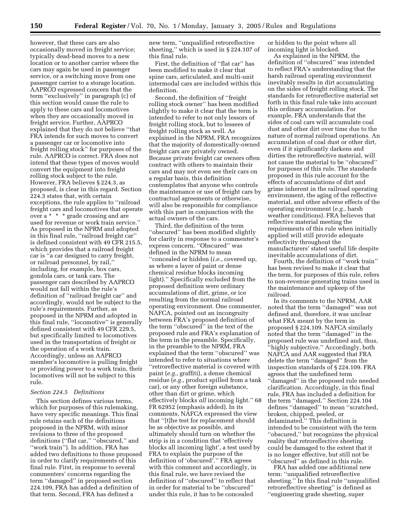however, that these cars are also occasionally moved in freight service; typically dead-head moves to a new location or to another carrier where the cars may again be used in passenger service, or a switching move from one passenger carrier to a storage location. AAPRCO expressed concern that the term ''exclusively'' in paragraph (c) of this section would cause the rule to apply to these cars and locomotives when they are occasionally moved in freight service. Further, AAPRCO explained that they do not believe ''that FRA intends for such moves to convert a passenger car or locomotive into freight rolling stock'' for purposes of the rule. AAPRCO is correct. FRA does not intend that these types of moves would convert the equipment into freight rolling stock subject to the rule. However, FRA believes § 224.3, as proposed, is clear in this regard. Section 224.3 states that, with certain exceptions, the rule applies to ''railroad freight cars and locomotives that operate over a \* \* \* grade crossing and are used for revenue or work train service.'' As proposed in the NPRM and adopted in this final rule, ''railroad freight car'' is defined consistent with 49 CFR 215.5, which provides that a railroad freight car is ''a car designed to carry freight, or railroad personnel, by rail,'' including, for example, box cars, gondola cars, or tank cars. The passenger cars described by AAPRCO would not fall within the rule's definition of ''railroad freight car'' and accordingly, would not be subject to the rule's requirements. Further, as proposed in the NPRM and adopted in this final rule, ''locomotive'' is generally defined consistent with 49 CFR 229.5, but specifically limited to locomotives used in the transportation of freight or the operation of a work train. Accordingly, unless an AAPRCO member's locomotive is pulling freight or providing power to a work train, their locomotives will not be subject to this rule.

#### *Section 224.5 Definitions*

This section defines various terms, which for purposes of this rulemaking, have very specific meanings. This final rule retains each of the definitions proposed in the NPRM, with minor revisions to three of the proposed definitions (''flat car,'' ''obscured,'' and ''work train''). In addition, FRA has added two definitions to those proposed in order to clarify requirements of this final rule. First, in response to several commenters' concerns regarding the term ''damaged'' in proposed section 224.109, FRA has added a definition of that term. Second, FRA has defined a

new term, ''unqualified retroreflective sheeting,'' which is used in § 224.107 of this final rule.

First, the definition of ''flat car'' has been modified to make it clear that spine cars, articulated, and multi-unit intermodal cars are included within this definition.

Second, the definition of ''freight rolling stock owner'' has been modified slightly to make it clear that the term is intended to refer to not only lessors of freight rolling stock, but to lessees of freight rolling stock as well. As explained in the NPRM, FRA recognizes that the majority of domestically-owned freight cars are privately owned. Because private freight car owners often contract with others to maintain their cars and may not even see their cars on a regular basis, this definition contemplates that anyone who controls the maintenance or use of freight cars by contractual agreements or otherwise, will also be responsible for compliance with this part in conjunction with the actual owners of the cars.

Third, the definition of the term ''obscured'' has been modified slightly for clarity in response to a commenter's express concern. ''Obscured'' was defined in the NPRM to mean ''concealed or hidden (*i.e.*, covered up, as where a layer of paint or dense chemical residue blocks incoming light).'' Specifically excluded from the proposed definition were ordinary accumulations of dirt, grime, or ice resulting from the normal railroad operating environment. One commenter, NAFCA, pointed out an incongruity between FRA's proposed definition of the term ''obscured'' in the text of the proposed rule and FRA's explanation of the term in the preamble. Specifically, in the preamble to the NPRM, FRA explained that the term ''obscured'' was intended to refer to situations where ''retroreflective material is covered with paint (*e.g.*, graffiti), a dense chemical residue (*e.g.*, product spilled from a tank car), or any other foreign substance, other than dirt or grime, which effectively blocks *all* incoming light.'' 68 FR 62952 (emphasis added). In its comments, NAFCA expressed the view that ''[t]he test for replacement should be as objective as possible, and ultimately should turn on whether the strip is in a condition that 'effectively blocks all incoming light', a test used by FRA to explain the purpose of the definition of 'obscured'.'' FRA agrees with this comment and accordingly, in this final rule, we have revised the definition of ''obscured'' to reflect that in order for material to be ''obscured'' under this rule, it has to be concealed

or hidden to the point where all incoming light is blocked.

As explained in the NPRM, the definition of ''obscured'' was intended to reflect FRA's understanding that the harsh railroad operating environment inevitably results in dirt accumulating on the sides of freight rolling stock. The standards for retroreflective material set forth in this final rule take into account this ordinary accumulation. For example, FRA understands that the sides of coal cars will accumulate coal dust and other dirt over time due to the nature of normal railroad operations. An accumulation of coal dust or other dirt, even if it significantly darkens and dirties the retroreflective material, will not cause the material to be ''obscured'' for purposes of this rule. The standards proposed in this rule account for the effects of accumulations of dirt and grime inherent in the railroad operating environment, the aging of the reflective material, and other adverse effects of the operating environment (*e.g.*, harsh weather conditions). FRA believes that reflective material meeting the requirements of this rule when initially applied will still provide adequate reflectivity throughout the manufacturers' stated useful life despite inevitable accumulations of dirt.

Fourth, the definition of ''work train'' has been revised to make it clear that the term, for purposes of this rule, refers to non-revenue generating trains used in the maintenance and upkeep of the railroad.

In its comments to the NPRM, AAR noted that the term ''damaged'' was not defined and, therefore, it was unclear what FRA meant by the term in proposed § 224.109. NAFCA similarly noted that the term ''damaged'' in the proposed rule was undefined and, thus, ''highly subjective.'' Accordingly, both NAFCA and AAR suggested that FRA delete the term ''damaged'' from the inspection standards of § 224.109. FRA agrees that the undefined term ''damaged'' in the proposed rule needed clarification. Accordingly, in this final rule, FRA has included a definition for the term ''damaged.'' Section 224.104 defines ''damaged'' to mean ''scratched, broken, chipped, peeled, or delaminated.'' This definition is intended to be consistent with the term ''obscured,'' but recognizes the physical reality that retroreflective sheeting could be damaged to the extent that it is no longer effective, but still not be ''obscured'' as defined in this rule.

FRA has added one additional new term: ''unqualified retroreflective sheeting.'' In this final rule ''unqualified retroreflective sheeting'' is defined as ''engineering grade sheeting, super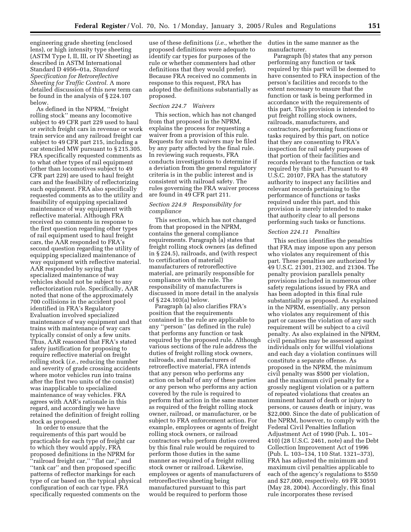engineering grade sheeting (enclosed lens), or high intensity type sheeting (ASTM Type I, II, III, or IV Sheeting) as described in ASTM International Standard D 4956–01a, *Standard Specification for Retroreflective Sheeting for Traffic Control.* A more detailed discussion of this new term can be found in the analysis of § 224.107 below.

As defined in the NPRM, ''freight rolling stock'' means any locomotive subject to 49 CFR part 229 used to haul or switch freight cars in revenue or work train service and any railroad freight car subject to 49 CFR part 215, including a car stenciled MW pursuant to § 215.305. FRA specifically requested comments as to what other types of rail equipment (other than locomotives subject to 49 CFR part 229) are used to haul freight cars and the feasibility of reflectorizing such equipment. FRA also specifically requested comments as to the utility and feasibility of equipping specialized maintenance of way equipment with reflective material. Although FRA received no comments in response to the first question regarding other types of rail equipment used to haul freight cars, the AAR responded to FRA's second question regarding the utility of equipping specialized maintenance of way equipment with reflective material. AAR responded by saying that specialized maintenance of way vehicles should not be subject to any reflectorization rule. Specifically, AAR noted that none of the approximately 700 collisions in the accident pool identified in FRA's Regulatory Evaluation involved specialized maintenance of way equipment and that trains with maintenance of way cars typically consist of only a few units. Thus, AAR reasoned that FRA's stated safety justification for proposing to require reflective material on freight rolling stock (*i.e.*, reducing the number and severity of grade crossing accidents where motor vehicles run into trains after the first two units of the consist) was inapplicable to specialized maintenance of way vehicles. FRA agrees with AAR's rationale in this regard, and accordingly we have retained the definition of freight rolling stock as proposed.

In order to ensure that the requirements of this part would be practicable for each type of freight car to which they would apply, FRA proposed definitions in the NPRM for 'railroad freight car," "flat car," and ''tank car'' and then proposed specific patterns of reflector markings for each type of car based on the typical physical configuration of each car type. FRA specifically requested comments on the

use of these definitions (*i.e.*, whether the proposed definitions were adequate to identify car types for purposes of the rule or whether commenters had other definitions that they would prefer). Because FRA received no comments in response to this request, FRA has adopted the definitions substantially as proposed.

### *Section 224.7 Waivers*

This section, which has not changed from that proposed in the NPRM, explains the process for requesting a waiver from a provision of this rule. Requests for such waivers may be filed by any party affected by the final rule. In reviewing such requests, FRA conducts investigations to determine if a deviation from the general regulatory criteria is in the public interest and is consistent with railroad safety. The rules governing the FRA waiver process are found in 49 CFR part 211.

## *Section 224.9 Responsibility for compliance*

This section, which has not changed from that proposed in the NPRM, contains the general compliance requirements. Paragraph (a) states that freight rolling stock owners (as defined in § 224.5), railroads, and (with respect to certification of material) manufacturers of retroreflective material, are primarily responsible for compliance with the rule. The responsibility of manufacturers is discussed in more detail in the analysis of § 224.103(a) below.

Paragraph (a) also clarifies FRA's position that the requirements contained in the rule are applicable to any ''person'' (as defined in the rule) that performs any function or task required by the proposed rule. Although various sections of the rule address the duties of freight rolling stock owners, railroads, and manufacturers of retroreflective material, FRA intends that any person who performs any action on behalf of any of these parties or any person who performs any action covered by the rule is required to perform that action in the same manner as required of the freight rolling stock owner, railroad, or manufacturer, or be subject to FRA enforcement action. For example, employees or agents of freight rolling stock owners, or railroad contractors who perform duties covered by this final rule would be required to perform those duties in the same manner as required of a freight rolling stock owner or railroad. Likewise, employees or agents of manufacturers of retroreflective sheeting being manufactured pursuant to this part would be required to perform those

duties in the same manner as the manufacturer.

Paragraph (b) states that any person performing any function or task required by this part will be deemed to have consented to FRA inspection of the person's facilities and records to the extent necessary to ensure that the function or task is being performed in accordance with the requirements of this part. This provision is intended to put freight rolling stock owners, railroads, manufacturers, and contractors, performing functions or tasks required by this part, on notice that they are consenting to FRA's inspection for rail safety purposes of that portion of their facilities and records relevant to the function or task required by this part. Pursuant to 49 U.S.C. 20107, FRA has the statutory authority to inspect any facilities and relevant records pertaining to the performance of functions or tasks required under this part, and this provision is merely intended to make that authority clear to all persons performing such tasks or functions.

#### *Section 224.11 Penalties*

This section identifies the penalties that FRA may impose upon any person who violates any requirement of this part. These penalties are authorized by 49 U.S.C. 21301, 21302, and 21304. The penalty provision parallels penalty provisions included in numerous other safety regulations issued by FRA and has been adopted in this final rule substantially as proposed. As explained in the NPRM, essentially, any person who violates any requirement of this part or causes the violation of any such requirement will be subject to a civil penalty. As also explained in the NPRM, civil penalties may be assessed against individuals only for willful violations and each day a violation continues will constitute a separate offense. As proposed in the NPRM, the minimum civil penalty was \$500 per violation, and the maximum civil penalty for a grossly negligent violation or a pattern of repeated violations that creates an imminent hazard of death or injury to persons, or causes death or injury, was \$22,000. Since the date of publication of the NPRM, however, to comply with the Federal Civil Penalties Inflation Adjustment Act of 1990 (Pub. L. 101– 410) (28 U.S.C. 2461, note) and the Debt Collection Improvement Act of 1996 (Pub. L. 103–134, 110 Stat. 1321–373), FRA has adjusted the minimum and maximum civil penalties applicable to each of the agency's regulations to \$550 and \$27,000, respectively. 69 FR 30591 (May 28, 2004). Accordingly, this final rule incorporates these revised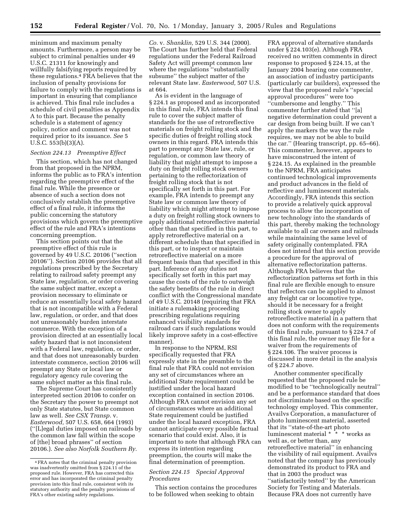minimum and maximum penalty amounts. Furthermore, a person may be subject to criminal penalties under 49 U.S.C. 21311 for knowingly and willfully falsifying reports required by these regulations.4 FRA believes that the inclusion of penalty provisions for failure to comply with the regulations is important in ensuring that compliance is achieved. This final rule includes a schedule of civil penalties as Appendix A to this part. Because the penalty schedule is a statement of agency policy, notice and comment was not required prior to its issuance. *See* 5 U.S.C. 553(b)(3)(A).

#### *Section 224.13 Preemptive Effect*

This section, which has not changed from that proposed in the NPRM, informs the public as to FRA's intention regarding the preemptive effect of the final rule. While the presence or absence of such a section does not conclusively establish the preemptive effect of a final rule, it informs the public concerning the statutory provisions which govern the preemptive effect of the rule and FRA's intentions concerning preemption.

This section points out that the preemptive effect of this rule is governed by 49 U.S.C. 20106 (''section 20106''). Section 20106 provides that all regulations prescribed by the Secretary relating to railroad safety preempt any State law, regulation, or order covering the same subject matter, except a provision necessary to eliminate or reduce an essentially local safety hazard that is not incompatible with a Federal law, regulation, or order, and that does not unreasonably burden interstate commerce. With the exception of a provision directed at an essentially local safety hazard that is not inconsistent with a Federal law, regulation, or order, and that does not unreasonably burden interstate commerce, section 20106 will preempt any State or local law or regulatory agency rule covering the same subject matter as this final rule.

The Supreme Court has consistently interpreted section 20106 to confer on the Secretary the power to preempt not only State statutes, but State common law as well. *See CSX Transp.* v. *Easterwood,* 507 U.S. 658, 664 (1993) (''[L]egal duties imposed on railroads by the common law fall within the scope of [the] broad phrases'' of section 20106.). *See also Norfolk Southern Ry.* 

*Co.* v. *Shanklin,* 529 U.S. 344 (2000). The Court has further held that Federal regulations under the Federal Railroad Safety Act will preempt common law where the regulations "substantially subsume'' the subject matter of the relevant State law. *Easterwood,* 507 U.S. at 664.

As is evident in the language of § 224.1 as proposed and as incorporated in this final rule, FRA intends this final rule to cover the subject matter of standards for the use of retroreflective materials on freight rolling stock and the specific duties of freight rolling stock owners in this regard. FRA intends this part to preempt any State law, rule, or regulation, or common law theory of liability that might attempt to impose a duty on freight rolling stock owners pertaining to the reflectorization of freight rolling stock that is not specifically set forth in this part. For example, FRA intends to preempt any State law or common law theory of liability which might attempt to impose a duty on freight rolling stock owners to apply additional retroreflective material other than that specified in this part, to apply retroreflective material on a different schedule than that specified in this part, or to inspect or maintain retroreflective material on a more frequent basis than that specified in this part. Inference of any duties not specifically set forth in this part may cause the costs of the rule to outweigh the safety benefits of the rule in direct conflict with the Congressional mandate of 49 U.S.C. 20148 (requiring that FRA initiate a rulemaking proceeding prescribing regulations requiring enhanced visibility standards for railroad cars if such regulations would likely improve safety in a cost-effective manner).

In response to the NPRM, RSI specifically requested that FRA expressly state in the preamble to the final rule that FRA could not envision any set of circumstances where an additional State requirement could be justified under the local hazard exception contained in section 20106. Although FRA cannot envision any set of circumstances where an additional State requirement could be justified under the local hazard exception, FRA cannot anticipate every possible factual scenario that could exist. Also, it is important to note that although FRA can express its intention regarding preemption, the courts will make the final determination of preemption.

## *Section 224.15 Special Approval Procedures*

This section contains the procedures to be followed when seeking to obtain

FRA approval of alternative standards under § 224.103(e). Although FRA received no written comments in direct response to proposed § 224.15, at the January 2004 hearing one commenter, an association of industry participants (particularly car builders), expressed the view that the proposed rule's ''special approval procedures'' were too ''cumbersome and lengthy.'' This commenter further stated that ''[a] negative determination could prevent a car design from being built. If we can't apply the markers the way the rule requires, we may not be able to build the car.'' (Hearing transcript, pp. 65–66). This commenter, however, appears to have misconstrued the intent of § 224.15. As explained in the preamble to the NPRM, FRA anticipates continued technological improvements and product advances in the field of reflective and luminescent materials. Accordingly, FRA intends this section to provide a relatively quick approval process to allow the incorporation of new technology into the standards of this part, thereby making the technology available to all car owners and railroads while maintaining the same level of safety originally contemplated. FRA does not intend that this section provide a procedure for the approval of alternative reflectorization patterns. Although FRA believes that the reflectorization patterns set forth in this final rule are flexible enough to ensure that reflectors can be applied to almost any freight car or locomotive type, should it be necessary for a freight rolling stock owner to apply retroreflective material in a pattern that does not conform with the requirements of this final rule, pursuant to § 224.7 of this final rule, the owner may file for a waiver from the requirements of § 224.106. The waiver process is discussed in more detail in the analysis of § 224.7 above.

Another commenter specifically requested that the proposed rule be modified to be ''technologically neutral'' and be a performance standard that does not discriminate based on the specific technology employed. This commenter, Availvs Corporation, a manufacturer of photo luminescent material, asserted that its ''state-of-the-art photo luminescent material \* \* \* works as well as, or better than, any retroreflective material'' in enhancing the visibility of rail equipment. Availvs noted that the company has previously demonstrated its product to FRA and that in 2003 the product was ''satisfactorily tested'' by the American Society for Testing and Materials. Because FRA does not currently have

<sup>4</sup>FRA notes that the criminal penalty provision was inadvertently omitted from § 224.11 of the proposed rule. However, FRA has corrected this error and has incorporated the criminal penalty provision into this final rule, consistent with its statutory authority and the penalty provisions of FRA's other existing safety regulations.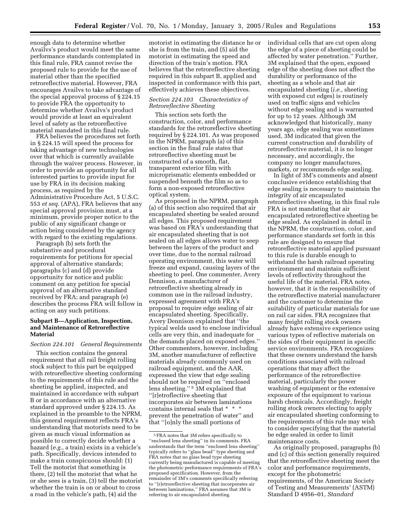enough data to determine whether Availvs's product would meet the same performance standards contemplated in this final rule, FRA cannot revise the proposed rule to provide for the use of material other than the specified retroreflective material. However, FRA encourages Availvs to take advantage of the special approval process of § 224.15 to provide FRA the opportunity to determine whether Availvs's product would provide at least an equivalent level of safety as the retroreflective material mandated in this final rule.

FRA believes the procedures set forth in § 224.15 will speed the process for taking advantage of new technologies over that which is currently available through the waiver process. However, in order to provide an opportunity for all interested parties to provide input for use by FRA in its decision making process, as required by the Administrative Procedure Act, 5 U.S.C. 553 *et seq.* (APA), FRA believes that any special approval provision must, at a minimum, provide proper notice to the public of any significant change or action being considered by the agency with regard to the existing regulations.

Paragraph (b) sets forth the substantive and procedural requirements for petitions for special approval of alternative standards; paragraphs (c) and (d) provide opportunity for notice and public comment on any petition for special approval of an alternative standard received by FRA; and paragraph (e) describes the process FRA will follow in acting on any such petitions.

## **Subpart B—Application, Inspection, and Maintenance of Retroreflective Material**

## *Section 224.101 General Requirements*

This section contains the general requirement that all rail freight rolling stock subject to this part be equipped with retroreflective sheeting conforming to the requirements of this rule and the sheeting be applied, inspected, and maintained in accordance with subpart B or in accordance with an alternative standard approved under § 224.15. As explained in the preamble to the NPRM, this general requirement reflects FRA's understanding that motorists need to be given as much visual information as possible to correctly decide whether a hazard (*e.g.*, a train) exists in a vehicle's path. Specifically, devices intended to make a train conspicuous should: (1) Tell the motorist that something is there, (2) tell the motorist that what he or she sees is a train, (3) tell the motorist whether the train is on or about to cross a road in the vehicle's path, (4) aid the

motorist in estimating the distance he or she is from the train, and (5) aid the motorist in estimating the speed and direction of the train's motion. FRA believes that the retroreflective sheeting required in this subpart B, applied and inspected in conformance with this part, effectively achieves these objectives.

## *Section 224.103 Characteristics of Retroreflective Sheeting*

This section sets forth the construction, color, and performance standards for the retroreflective sheeting required by § 224.101. As was proposed in the NPRM, paragraph (a) of this section in the final rule states that retroreflective sheeting must be constructed of a smooth, flat, transparent exterior film with microprismatic elements embedded or suspended beneath the film so as to form a non-exposed retroreflective optical system.

As proposed in the NPRM, paragraph (a) of this section also required that air encapsulated sheeting be sealed around all edges. This proposed requirement was based on FRA's understanding that air encapsulated sheeting that is not sealed on all edges allows water to seep between the layers of the product and over time, due to the normal railroad operating environment, this water will freeze and expand, causing layers of the sheeting to peel. One commenter, Avery Dennison, a manufacturer of retroreflective sheeting already in common use in the railroad industry, expressed agreement with FRA's proposal to require edge sealing of air encapsulated sheeting. Specifically, Avery Dennison explained that ''the typical welds used to enclose individual cells are very thin, and inadequate for the demands placed on exposed edges.'' Other commenters, however, including 3M, another manufacturer of reflective materials already commonly used on railroad equipment, and the AAR, expressed the view that edge sealing should not be required on ''enclosed lens sheeting.'' 5 3M explained that ''[r]etroflective sheeting that incorporates air between laminations contains internal seals that \* \* \* prevent the penetration of water'' and that ''[o]nly the small portions of

individual cells that are cut open along the edge of a piece of sheeting could be affected by water penetration.'' Further, 3M explained that the open, exposed edge of the sheeting does not affect the durability or performance of the sheeting as a whole and that air encapsulated sheeting (*i.e.,* sheeting with exposed cut edges) is routinely used on traffic signs and vehicles without edge sealing and is warranted for up to 12 years. Although 3M acknowledged that historically, many years ago, edge sealing was sometimes used, 3M indicated that given the current construction and durability of retroreflective material, it is no longer necessary, and accordingly, the company no longer manufactures, markets, or recommends edge sealing.

In light of 3M's comments and absent conclusive evidence establishing that edge sealing is necessary to maintain the integrity of air encapsulated retroreflective sheeting, in this final rule FRA is not mandating that air encapsulated retroreflective sheeting be edge sealed. As explained in detail in the NPRM, the construction, color, and performance standards set forth in this rule are designed to ensure that retroreflective material applied pursuant to this rule is durable enough to withstand the harsh railroad operating environment and maintain sufficient levels of reflectivity throughout the useful life of the material. FRA notes, however, that it is the responsibility of the retroreflective material manufacturer and the customer to determine the suitability of particular materials for use on rail car sides. FRA recognizes that many freight rolling stock owners already have extensive experience using various types of reflective materials on the sides of their equipment in specific service environments. FRA recognizes that these owners understand the harsh conditions associated with railroad operations that may affect the performance of the retroreflective material, particularly the power washing of equipment or the extensive exposure of the equipment to various harsh chemicals. Accordingly, freight rolling stock owners electing to apply air encapsulated sheeting conforming to the requirements of this rule may wish to consider specifying that the material be edge sealed in order to limit maintenance costs.

As originally proposed, paragraphs (b) and (c) of this section generally required that the retroreflective sheeting meet the color and performance requirements, except for the photometric requirements, of the American Society of Testing and Measurements' (ASTM) Standard D 4956–01, *Standard* 

<sup>5</sup>FRA notes that 3M refers specifically to ''enclosed lens sheeting'' in its comments. FRA understands that the term ''enclosed lens sheeting'' typically refers to ''glass bead'' type sheeting and FRA notes that no glass bead type sheeting currently being manufactured is capable of meeting the photometric performance requirements of FRA's proposed specification. However, from the remainder of 3M's comments specifically referring to ''[r]etroreflective sheeting that incorporates air between laminations,'' FRA assumes that 3M is referring to air encapsulated sheeting.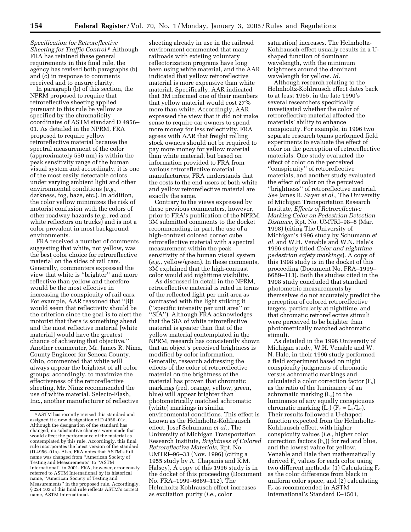*Specification for Retroreflective Sheeting for Traffic Control.*6 Although FRA has retained these general requirements in this final rule, the agency has revised both paragraphs (b) and (c) in response to comments received and to ensure clarity.

In paragraph (b) of this section, the NPRM proposed to require that retroreflective sheeting applied pursuant to this rule be yellow as specified by the chromaticity coordinates of ASTM standard D 4956– 01. As detailed in the NPRM, FRA proposed to require yellow retroreflective material because the spectral measurement of the color (approximately 550 nm) is within the peak sensitivity range of the human visual system and accordingly, it is one of the most easily detectable colors under varying ambient light and other environmental conditions (*e.g.*, darkness, fog, haze, etc.). In addition, the color yellow minimizes the risk of motorist confusion with the colors of other roadway hazards (*e.g.*, red and white reflectors on trucks) and is not a color prevalent in most background environments.

FRA received a number of comments suggesting that white, not yellow, was the best color choice for retroreflective material on the sides of rail cars. Generally, commenters expressed the view that white is ''brighter'' and more reflective than yellow and therefore would be the most effective in increasing the conspicuity of rail cars. For example, AAR reasoned that ''[i]t would seem that reflectivity should be the criterion since the goal is to alert the motorist that there is something ahead and the most reflective material [white material] would have the greatest chance of achieving that objective.'' Another commenter, Mr. James R. Nimz, County Engineer for Seneca County, Ohio, commented that white will always appear the brightest of all color groups; accordingly, to maximize the effectiveness of the retroreflective sheeting, Mr. Nimz recommended the use of white material. Selecto-Flash, Inc., another manufacturer of reflective

sheeting already in use in the railroad environment commented that many railroads with existing voluntary reflectorization programs have long been using white material, and the AAR indicated that yellow retroreflective material is more expensive than white material. Specifically, AAR indicated that 3M informed one of their members that yellow material would cost 27% more than white. Accordingly, AAR expressed the view that it did not make sense to require car owners to spend more money for less reflectivity. FRA agrees with AAR that freight rolling stock owners should not be required to pay more money for yellow material than white material, but based on information provided to FRA from various retroreflective material manufacturers, FRA understands that the costs to the end-users of both white and yellow retroreflective material are exactly the same.

Contrary to the views expressed by these previous commenters, however, prior to FRA's publication of the NPRM, 3M submitted comments to the docket recommending, in part, the use of a high-contrast colored corner cube retroreflective material with a spectral measurement within the peak sensitivity of the human visual system (*e.g.*, yellow/green). In these comments, 3M explained that the high-contrast color would aid nighttime visibility.

As discussed in detail in the NPRM, retroreflective material is rated in terms of the reflected light per unit area as contrasted with the light striking it (''specific intensity per unit area'' or ''SIA''). Although FRA acknowledges that the SIA of white retroreflective material is greater than that of the yellow material contemplated in the NPRM, research has consistently shown that an object's perceived brightness is modified by color information. Generally, research addressing the effects of the color of retroreflective material on the brightness of the material has proven that chromatic markings (red, orange, yellow, green, blue) will appear brighter than photometrically matched achromatic (white) markings in similar environmental conditions. This effect is known as the Helmholtz-Kohlrausch effect. Josef Schumann *et al.*, The University of Michigan Transportation Research Institute, *Brightness of Colored Retroreflective Materials,* Rpt. No. UMTRI–96–33 (Nov. 1996) (citing a 1955 study by A. Chapanis and R.M. Halsey). A copy of this 1996 study is in the docket of this proceeding (Document No. FRA–1999–6689–112). The Helmholtz-Kohlrausch effect increases as excitation purity (*i.e.,* color

saturation) increases. The Helmholtz-Kohlrausch effect usually results in a Ushaped function of dominant wavelength, with the minimum brightness around the dominant wavelength for yellow. *Id.*

Although research relating to the Helmholtz-Kohlrausch effect dates back to at least 1955, in the late 1990's several researchers specifically investigated whether the color of retroreflective material affected the materials' ability to enhance conspicuity. For example, in 1996 two separate research teams performed field experiments to evaluate the effect of color on the perception of retroreflective materials. One study evaluated the effect of color on the perceived ''conspicuity'' of retroreflective materials, and another study evaluated the effect of color on the perceived ''brightness'' of retroreflective material. *See* James R. Sayer *et al.,* The University of Michigan Transportation Research Institute, *Effects of Retroreflective Marking Color on Pedestrian Detection Distance,* Rpt. No. UMTRI–98–8 (Mar. 1998) (citing The University of Michigan's 1996 study by Schumann *et al.* and W.H. Venable and W.N. Hale's 1996 study titled *Color and nighttime pedestrian safety markings*). A copy of this 1998 study is in the docket of this proceeding (Document No. FRA–1999– 6689–113). Both the studies cited in the 1998 study concluded that standard photometric measurements by themselves do not accurately predict the perception of colored retroreflective targets, particularly at nighttime, and that chromatic retroreflective stimuli were perceived to be brighter than photometrically matched achromatic stimuli.

As detailed in the 1996 University of Michigan study, W.H. Venable and W. N. Hale, in their 1996 study performed a field experiment based on night conspicuity judgments of chromatic versus achromatic markings and calculated a color correction factor  $(F_c)$ as the ratio of the luminance of an achromatic marking (La) to the luminance of any equally conspicuous chromatic marking  $(L_c)$   $(F_c = L_a/L_c)$ . Their results followed a U-shaped function expected from the Helmholtz-Kohlrausch effect, with higher conspicuity values (*i.e.*, higher color correction factors  $(F_c)$  for red and blue, and the lowest value for yellow. Venable and Hale then mathematically derived  $F_c$  values for each color using two different methods: (1) Calculating  $F_c$ as the color difference from black in uniform color space, and (2) calculating  $F_c$  as recommended in ASTM International's Standard E–1501,

<sup>6</sup>ASTM has recently revised this standard and assigned it a new designation of D 4956–01a. Although the designation of the standard has changed, no substantive changes were made that would affect the performance of the material as contemplated by this rule. Accordingly, this final rule incorporates the latest version of the standard (D 4956–01a). Also, FRA notes that ASTM's full name was changed from ''American Society of Testing and Measurements'' to ''ASTM International'' in 2001. FRA, however, erroneously referred to ASTM International by its historical name, ''American Society of Testing and Measurements'' in the proposed rule. Accordingly, § 224.103 of this final rule reflects ASTM's correct name, ASTM International.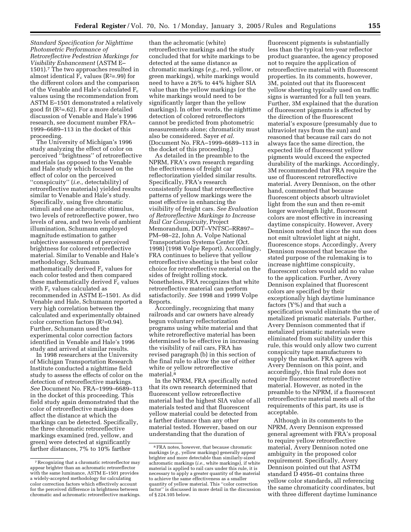*Standard Specification for Nighttime Photometric Performance of Retroreflective Pedestrian Markings for Visibility Enhancement* (ASTM E– 1501).7 The two approaches resulted in almost identical  $\overline{F_c}$  values (R<sup>2</sup>=.99) for the different colors and the comparison of the Venable and Hale's calculated  $F_c$ values using the recommendation from ASTM E–1501 demonstrated a relatively good fit  $(R<sup>2</sup>=.62)$ . For a more detailed discussion of Venable and Hale's 1996 research, see document number FRA– 1999–6689–113 in the docket of this proceeding.

The University of Michigan's 1996 study analyzing the effect of color on perceived ''brightness'' of retroreflective materials (as opposed to the Venable and Hale study which focused on the effect of color on the perceived ''conspicuity'' (*i.e.,* detectability) of retroreflective materials) yielded results similar to Venable and Hale's study. Specifically, using five chromatic stimuli and one achromatic stimulus, two levels of retroreflective power, two levels of area, and two levels of ambient illumination, Schumann employed magnitude estimation to gather subjective assessments of perceived brightness for colored retroreflective material. Similar to Venable and Hale's methodology, Schumann mathematically derived  $F_c$  values for each color tested and then compared these mathematically derived  $F_c$  values with  $F_c$  values calculated as recommended in ASTM E–1501. As did Venable and Hale, Schumann reported a very high correlation between the calculated and experimentally obtained color correction factors  $(R^2=0.94)$ . Further, Schumann used the experimental color correction factors identified in Venable and Hale's 1996 study and arrived at similar results.

In 1998 researchers at the University of Michigan Transportation Research Institute conducted a nighttime field study to assess the effects of color on the detection of retroreflective markings. *See* Document No. FRA–1999–6689–113 in the docket of this proceeding. This field study again demonstrated that the color of retroreflective markings does affect the distance at which the markings can be detected. Specifically, the three chromatic retroreflective markings examined (red, yellow, and green) were detected at significantly farther distances, 7% to 10% farther

than the achromatic (white) retroreflective markings and the study concluded that for white markings to be detected at the same distance as chromatic markings (*e.g.*, red, yellow, or green markings), white markings would need to have a 26% to 44% higher SIA value than the yellow markings (or the white markings would need to be significantly larger than the yellow markings). In other words, the nighttime detection of colored retroreflectors cannot be predicted from photometric measurements alone; chromaticity must also be considered. Sayer *et al.* (Document No. FRA–1999–6689–113 in the docket of this proceeding.)

As detailed in the preamble to the NPRM, FRA's own research regarding the effectiveness of freight car reflectorization yielded similar results. Specifically, FRA's research consistently found that retroreflective patterns of yellow markings were the most effective in enhancing the visibility of freight cars. *See Evaluation of Retroreflective Markings to Increase Rail Car Conspicuity,* Project Memorandum, DOT–VNTSC–RR897– PM–98–22, John A. Volpe National Transportation Systems Center (Oct. 1998) (1998 Volpe Report). Accordingly, FRA continues to believe that yellow retroreflective sheeting is the best color choice for retroreflective material on the sides of freight rolling stock. Nonetheless, FRA recognizes that white retroreflective material can perform satisfactorily. *See* 1998 and 1999 Volpe Reports.

Accordingly, recognizing that many railroads and car owners have already begun voluntary reflectorization programs using white material and that white retroreflective material has been determined to be effective in increasing the visibility of rail cars, FRA has revised paragraph (b) in this section of the final rule to allow the use of either white or yellow retroreflective material.<sup>8</sup>

In the NPRM, FRA specifically noted that its own research determined that fluorescent yellow retroreflective material had the highest SIA value of all materials tested and that fluorescent yellow material could be detected from a farther distance than any other material tested. However, based on our understanding that the duration of

fluorescent pigments is substantially less than the typical ten-year reflector product guarantee, the agency proposed not to require the application of retroreflective material with fluorescent properties. In its comments, however, 3M, pointed out that its fluorescent yellow sheeting typically used on traffic signs is warranted for a full ten years. Further, 3M explained that the duration of fluorescent pigments is affected by the direction of the fluorescent material's exposure (presumably due to ultraviolet rays from the sun) and reasoned that because rail cars do not always face the same direction, the expected life of fluorescent yellow pigments would exceed the expected durability of the markings. Accordingly, 3M recommended that FRA require the use of fluorescent retroreflective material. Avery Dennison, on the other hand, commented that because fluorescent objects absorb ultraviolet light from the sun and then re-emit longer wavelength light, fluorescent colors are most effective in increasing daytime conspicuity. However, Avery Dennison noted that since the sun does not emit ultraviolet light at night, fluorescence stops. Accordingly, Avery Dennison reasoned that because the stated purpose of the rulemaking is to increase nighttime conspicuity, fluorescent colors would add no value to the application. Further, Avery Dennison explained that fluorescent colors are specified by their exceptionally high daytime luminance factors (Y%) and that such a specification would eliminate the use of metalized prismatic materials. Further, Avery Dennison commented that if metalized prismatic materials were eliminated from suitability under this rule, this would only allow two current conspicuity tape manufacturers to supply the market. FRA agrees with Avery Dennison on this point, and accordingly, this final rule does not require fluorescent retroreflective material. However, as noted in the preamble to the NPRM, if a fluorescent retroreflective material meets all of the requirements of this part, its use is acceptable.

Although in its comments to the NPRM, Avery Dennison expressed general agreement with FRA's proposal to require yellow retroreflective material, Avery Dennison noted one ambiguity in the proposed color requirement. Specifically, Avery Dennison pointed out that ASTM standard D 4956–01 contains three yellow color standards, all referencing the same chromaticity coordinates, but with three different daytime luminance

<sup>7</sup>Recognizing that a chromatic retroreflector may appear brighter than an achromatic retroreflector with the same luminance, ASTM E–1501 provides a widely-accepted methodology for calculating color correction factors which effectively account for the perceived difference in brightness between chromatic and achromatic retroreflective markings.

<sup>8</sup>FRA notes, however, that because chromatic markings (*e.g.,* yellow markings) generally appear brighter and more detectable than similarly-sized achromatic markings (*i.e.,* white markings), if white material is applied to rail cars under this rule, it is necessary to apply a greater quantity of the material to achieve the same effectiveness as a smaller quantity of yellow material. This ''color correction factor'' is discussed in more detail in the discussion of § 224.105 below.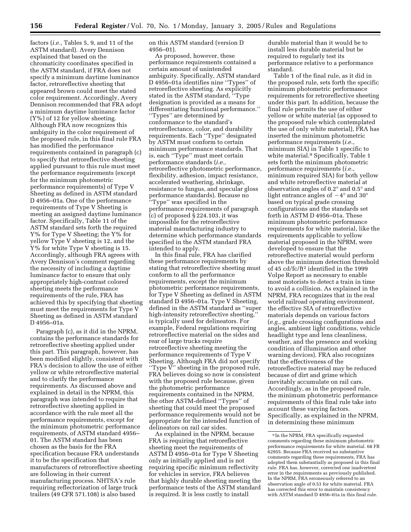factors (*i.e.,* Tables 5, 9, and 11 of the ASTM standard). Avery Dennison explained that based on the chromaticity coordinates specified in the ASTM standard, if FRA does not specify a minimum daytime luminance factor, retroreflective sheeting that appeared brown could meet the stated color requirement. Accordingly, Avery Dennison recommended that FRA adopt a minimum daytime luminance factor (Y%) of 12 for yellow sheeting. Although FRA now recognizes this ambiguity in the color requirement of the proposed rule, in this final rule FRA has modified the performance requirements contained in paragraph (c) to specify that retroreflective sheeting applied pursuant to this rule must meet the performance requirements (except for the minimum photometric performance requirements) of Type V Sheeting as defined in ASTM standard D 4956–01a. One of the performance requirements of Type V Sheeting is meeting an assigned daytime luminance factor. Specifically, Table 11 of the ASTM standard sets forth the required Y% for Type V Sheeting; the Y% for yellow Type V sheeting is 12, and the Y% for white Type V sheeting is 15. Accordingly, although FRA agrees with Avery Dennison's comment regarding the necessity of including a daytime luminance factor to ensure that only appropriately high-contrast colored sheeting meets the performance requirements of the rule, FRA has achieved this by specifying that sheeting must meet the requirements for Type V Sheeting as defined in ASTM standard D 4956–01a.

Paragraph (c), as it did in the NPRM, contains the performance standards for retroreflective sheeting applied under this part. This paragraph, however, has been modified slightly, consistent with FRA's decision to allow the use of either yellow or white retroreflective material and to clarify the performance requirements. As discussed above and explained in detail in the NPRM, this paragraph was intended to require that retroreflective sheeting applied in accordance with the rule meet all the performance requirements, except for the minimum photometric performance requirements, of ASTM standard 4956– 01. The ASTM standard has been chosen as the basis for the FRA specification because FRA understands it to be the specification that manufacturers of retroreflective sheeting are following in their current manufacturing process. NHTSA's rule requiring reflectorization of large truck trailers (49 CFR 571.108) is also based

on this ASTM standard (version D 4956–01).

As proposed, however, these performance requirements contained a certain amount of unintended ambiguity. Specifically, ASTM standard D 4956–01a identifies nine ''Types'' of retroreflective sheeting. As explicitly stated in the ASTM standard, ''Type designation is provided as a means for differentiating functional performance.'' ''Types'' are determined by conformance to the standard's retroreflectance, color, and durability requirements. Each ''Type'' designated by ASTM must conform to certain minimum performance standards. That is, each ''Type'' must meet certain performance standards (*i.e.,* retroreflective photometric performance, flexibility, adhesion, impact resistance, accelerated weathering, shrinkage, resistance to fungus, and specular gloss performance standards). Because no ''Type'' was specified in the performance requirements of paragraph (c) of proposed § 224.103, it was impossible for the retroreflective material manufacturing industry to determine which performance standards specified in the ASTM standard FRA intended to apply.

In this final rule, FRA has clarified these performance requirements by stating that retroreflective sheeting must conform to all the performance requirements, except the minimum photometric performance requirements, for Type V Sheeting as defined in ASTM standard D 4956–01a. Type V Sheeting, defined in the ASTM standard as ''super high-intensity retroreflective sheeting,'' is typically used for delineators. For example, Federal regulations requiring retroreflective material on the sides and rear of large trucks require retroreflective sheeting meeting the performance requirements of Type V Sheeting. Although FRA did not specify "Type  $\breve{V}$ " sheeting in the proposed rule, FRA believes doing so now is consistent with the proposed rule because, given the photometric performance requirements contained in the NPRM, the other ASTM-defined ''Types'' of sheeting that could meet the proposed performance requirements would not be appropriate for the intended function of delineators on rail car sides.

As explained in the NPRM, because FRA is requiring that retroreflective sheeting meet the requirements of ASTM D 4956–01a for Type V Sheeting only as initially applied and is not requiring specific minimum reflectivity for vehicles in service, FRA believes that highly durable sheeting meeting the performance tests of the ASTM standard is required. It is less costly to install

durable material than it would be to install less durable material but be required to regularly test its performance relative to a performance standard.

Table 1 of the final rule, as it did in the proposed rule, sets forth the specific minimum photometric performance requirements for retroreflective sheeting under this part. In addition, because the final rule permits the use of either yellow or white material (as opposed to the proposed rule which contemplated the use of only white material), FRA has inserted the minimum photometric performance requirements (*i.e.*, minimum SIA) in Table 1 specific to white material.<sup>9</sup> Specifically, Table 1 sets forth the minimum photometric performance requirements (*i.e.*, minimum required SIA) for both yellow and white retroreflective material at observation angles of 0.2° and 0.5° and light entrance angles of  $-4^{\circ}$  and 30° based on typical grade crossing configurations and the standards set forth in ASTM D 4956–01a. These minimum photometric performance requirements for white material, like the requirements applicable to yellow material proposed in the NPRM, were developed to ensure that the retroreflective material would perform above the minimum detection threshold of 45 cd/fc/ft2 identified in the 1999 Volpe Report as necessary to enable most motorists to detect a train in time to avoid a collision. As explained in the NPRM, FRA recognizes that in the real world railroad operating environment, the effective SIA of retroreflective materials depends on various factors (*e.g.*, grade crossing configurations and angles, ambient light conditions, vehicle headlight type and lens cleanliness, weather, and the presence and working condition of illumination and other warning devices). FRA also recognizes that the effectiveness of the retroreflective material may be reduced because of dirt and grime which inevitably accumulate on rail cars. Accordingly, as in the proposed rule, the minimum photometric performance requirements of this final rule take into account these varying factors. Specifically, as explained in the NPRM, in determining these minimum

<sup>9</sup> In the NPRM, FRA specifically requested comments regarding these minimum photometric performance requirements for white material. 68 FR 62955. Because FRA received no substantive comments regarding these requirements, FRA has adopted them substantially as proposed in this final rule. FRA has, however, corrected one inadvertent error in the requirements as previously published. In the NPRM, FRA erroneously referred to an observation angle of 0.53 for white material. FRA has corrected this error to maintain consistency with ASTM standard D 4956–01a in this final rule.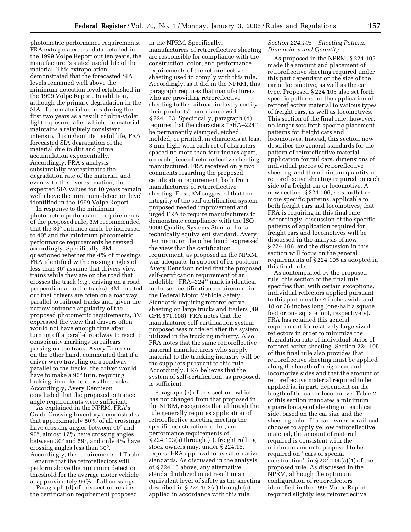photometric performance requirements, FRA extrapolated test data detailed in the 1999 Volpe Report out ten years, the manufacturer's stated useful life of the material. This extrapolation demonstrated that the forecasted SIA levels remained well above the minimum detection level established in the 1999 Volpe Report. In addition, although the primary degradation in the SIA of the material occurs during the first two years as a result of ultra-violet light exposure, after which the material maintains a relatively consistent intensity throughout its useful life, FRA forecasted SIA degradation of the material due to dirt and grime accumulation exponentially. Accordingly, FRA's analysis substantially overestimates the degradation rate of the material, and even with this overestimation, the expected SIA values for 10 years remain well above the minimum detection level identified in the 1999 Volpe Report.

In response to the minimum photometric performance requirements of the proposed rule, 3M recommended that the 30° entrance angle be increased to 40° and the minimum photometric performance requirements be revised accordingly. Specifically, 3M questioned whether the 4% of crossings FRA identified with crossing angles of less than 30° assume that drivers view trains while they are on the road that crosses the track (*e.g.*, driving on a road perpendicular to the tracks). 3M pointed out that drivers are often on a roadway parallel to railroad tracks and, given the narrow entrance angularity of the proposed photometric requirements, 3M expressed the view that drivers often would not have enough time after turning off a parallel roadway to react to conspicuity markings on railcars passing on the track. Avery Dennison, on the other hand, commented that if a driver were traveling on a roadway parallel to the tracks, the driver would have to make a 90° turn, requiring braking, in order to cross the tracks. Accordingly, Avery Dennison concluded that the proposed entrance angle requirements were sufficient.

As explained in the NPRM, FRA's Grade Crossing Inventory demonstrates that approximately 80% of all crossings have crossing angles between 60° and 90°, almost 17% have crossing angles between 30° and 59°, and only 4% have crossing angles less than 30°. Accordingly, the requirements of Table 1 ensure that the retroreflectors will perform above the minimum detection threshold for the average motor vehicle at approximately 96% of all crossings.

Paragraph (d) of this section retains the certification requirement proposed

in the NPRM. Specifically, manufacturers of retroreflective sheeting are responsible for compliance with the construction, color, and performance requirements of the retroreflective sheeting used to comply with this rule. Accordingly, as it did in the NPRM, this paragraph requires that manufacturers who are providing retroreflective sheeting to the railroad industry certify their products' compliance with § 224.103. Specifically, paragraph (d) requires that the characters ''FRA–224'' be permanently stamped, etched, molded, or printed, in characters at least 3 mm high, with each set of characters spaced no more than four inches apart, on each piece of retroreflective sheeting manufactured. FRA received only two comments regarding the proposed certification requirement, both from manufacturers of retroreflective sheeting. First, 3M suggested that the integrity of the self-certification system proposed needed improvement and urged FRA to require manufacturers to demonstrate compliance with the ISO 9000 Quality Systems Standard or a technically equivalent standard. Avery Dennison, on the other hand, expressed the view that the certification requirement, as proposed in the NPRM, was adequate. In support of its position, Avery Dennison noted that the proposed self-certification requirement of an indelible ''FRA–224'' mark is identical to the self-certification requirement in the Federal Motor Vehicle Safety Standards requiring retroreflective sheeting on large trucks and trailers (49 CFR 571.108). FRA notes that the manufacturer self-certification system proposed was modeled after the system utilized in the trucking industry. Also, FRA notes that the same retroreflective material manufacturers who supply material to the trucking industry will be the suppliers pursuant to this rule. Accordingly, FRA believes that the system of self-certification, as proposed, is sufficient.

Paragraph (e) of this section, which has not changed from that proposed in the NPRM, recognizes that although the rule generally requires application of retroreflective sheeting meeting the specific construction, color, and performance requirements of § 224.103(a) through (c), freight rolling stock owners may, under § 224.15, request FRA approval to use alternative standards. As discussed in the analysis of § 224.15 above, any alternative standard utilized must result in an equivalent level of safety as the sheeting described in § 224.103(a) through (c) applied in accordance with this rule.

### *Section 224.105 Sheeting Pattern, Dimensions and Quantity*

As proposed in the NPRM, § 224.105 made the amount and placement of retroreflective sheeting required under this part dependent on the size of the car or locomotive, as well as the car type. Proposed § 224.105 also set forth specific patterns for the application of retroreflective material to various types of freight cars, as well as locomotives. This section of the final rule, however, no longer sets forth specific placement patterns for freight cars and locomotives. Instead, this section now describes the general standards for the pattern of retroreflective material application for rail cars, dimensions of individual pieces of retroreflective sheeting, and the minimum quantity of retroreflective sheeting required on each side of a freight car or locomotive. A new section, § 224.106, sets forth the more specific patterns, applicable to both freight cars and locomotives, that FRA is requiring in this final rule. Accordingly, discussion of the specific patterns of application required for freight cars and locomotives will be discussed in the analysis of new § 224.106, and the discussion in this section will focus on the general requirements of § 224.105 as adopted in this final rule.

As contemplated by the proposed rule, this section of the final rule specifies that, with certain exceptions, individual reflectors applied pursuant to this part must be 4 inches wide and 18 or 36 inches long (one-half a square foot or one square foot, respectively). FRA has retained this general requirement for relatively large-sized reflectors in order to minimize the degradation rate of individual strips of retroreflective sheeting. Section 224.105 of this final rule also provides that retroreflective sheeting must be applied along the length of freight car and locomotive sides and that the amount of retroreflective material required to be applied is, in part, dependent on the length of the car or locomotive. Table 2 of this section mandates a minimum square footage of sheeting on each car side, based on the car size and the sheeting color. If a car owner or railroad chooses to apply yellow retroreflective material, the amount of material required is consistent with the minimum amounts proposed to be required on ''cars of special construction" in  $\S 224.105(a)(4)$  of the proposed rule. As discussed in the NPRM, although the optimum configuration of retroreflectors identified in the 1999 Volpe Report required slightly less retroreflective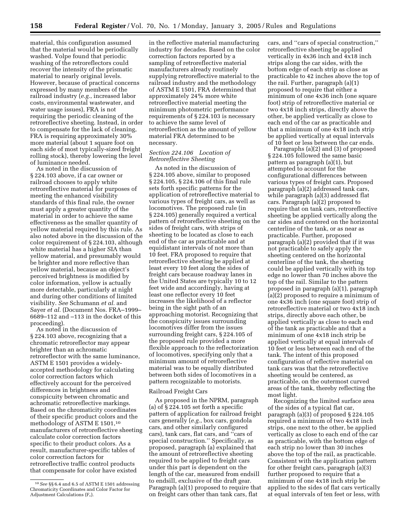material, this configuration assumed that the material would be periodically washed. Volpe found that periodic washing of the retroreflectors could recover the intensity of the prismatic material to nearly original levels. However, because of practical concerns expressed by many members of the railroad industry (*e.g.*, increased labor costs, environmental wastewater, and water usage issues), FRA is not requiring the periodic cleaning of the retroreflective sheeting. Instead, in order to compensate for the lack of cleaning, FRA is requiring approximately 30% more material (about 1 square foot on each side of most typically-sized freight rolling stock), thereby lowering the level of luminance needed.

As noted in the discussion of § 224.103 above, if a car owner or railroad chooses to apply white retroreflective material for purposes of meeting the enhanced visibility standards of this final rule, the owner must apply a greater quantity of the material in order to achieve the same effectiveness as the smaller quantity of yellow material required by this rule. As also noted above in the discussion of the color requirement of § 224.103, although white material has a higher SIA than yellow material, and presumably would be brighter and more reflective than yellow material, because an object's perceived brightness is modified by color information, yellow is actually more detectable, particularly at night and during other conditions of limited visibility. *See* Schumann *et al.* and Sayer *et al.* (Document Nos. FRA–1999– 6689–112 and –113 in the docket of this proceeding).

As noted in the discussion of § 224.103 above, recognizing that a chromatic retroreflector may appear brighter than an achromatic retroreflector with the same luminance, ASTM E 1501 provides a widelyaccepted methodology for calculating color correction factors which effectively account for the perceived differences in brightness and conspicuity between chromatic and achromatic retroreflective markings. Based on the chromaticity coordinates of their specific product colors and the methodology of ASTM E 1501,10 manufacturers of retroreflective sheeting calculate color correction factors specific to their product colors. As a result, manufacturer-specific tables of color correction factors for retroreflective traffic control products that compensate for color have existed

in the reflective material manufacturing industry for decades. Based on the color correction factors reported by a sampling of retroreflective material manufacturers already routinely supplying retroreflective material to the railroad industry and the methodology of ASTM E 1501, FRA determined that approximately 24% more white retroreflective material meeting the minimum photometric performance requirements of § 224.103 is necessary to achieve the same level of retroreflection as the amount of yellow material FRA determined to be necessary.

## *Section 224.106 Location of Retroreflective Sheeting*

As noted in the discussion of § 224.105 above, similar to proposed § 224.105, § 224.106 of this final rule sets forth specific patterns for the application of retroreflective material to various types of freight cars, as well as locomotives. The proposed rule (in § 224.105) generally required a vertical pattern of retroreflective sheeting on the sides of freight cars, with strips of sheeting to be located as close to each end of the car as practicable and at equidistant intervals of not more than 10 feet. FRA proposed to require that retroreflective sheeting be applied at least every 10 feet along the sides of freight cars because roadway lanes in the United States are typically 10 to 12 feet wide and accordingly, having at least one reflector every 10 feet increases the likelihood of a reflector being in the sight path of an approaching motorist. Recognizing that the conspicuity issues surrounding locomotives differ from the issues surrounding freight cars, § 224.105 of the proposed rule provided a more flexible approach to the reflectorization of locomotives, specifying only that a minimum amount of retroreflective material was to be equally distributed between both sides of locomotives in a pattern recognizable to motorists.

#### Railroad Freight Cars

As proposed in the NPRM, paragraph (a) of § 224.105 set forth a specific pattern of application for railroad freight cars generally (*e.g.*, box cars, gondola cars, and other similarly configured cars), tank cars, flat cars, and ''cars of special construction.'' Specifically, as proposed, paragraph (a) explained that the amount of retroreflective sheeting required to be applied to freight cars under this part is dependent on the length of the car, measured from endsill to endsill, exclusive of the draft gear. Paragraph (a)(1) proposed to require that on freight cars other than tank cars, flat

cars, and ''cars of special construction,'' retroreflective sheeting be applied vertically in 4x36 inch and 4x18 inch strips along the car sides, with the bottom edge of each strip as close as practicable to 42 inches above the top of the rail. Further, paragraph (a)(1) proposed to require that either a minimum of one 4x36 inch (one square foot) strip of retroreflective material or two 4x18 inch strips, directly above the other, be applied vertically as close to each end of the car as practicable and that a minimum of one 4x18 inch strip be applied vertically at equal intervals of 10 feet or less between the car ends.

Paragraphs (a)(2) and (3) of proposed § 224.105 followed the same basic pattern as paragraph (a)(1), but attempted to account for the configurational differences between various types of freight cars. Proposed paragraph (a)(2) addressed tank cars, while paragraph (a)(3) addressed flat cars. Paragraph (a)(2) proposed to require that on tank cars, retroreflective sheeting be applied vertically along the car sides and centered on the horizontal centerline of the tank, or as near as practicable. Further, proposed paragraph (a)(2) provided that if it was not practicable to safely apply the sheeting centered on the horizontal centerline of the tank, the sheeting could be applied vertically with its top edge no lower than 70 inches above the top of the rail. Similar to the pattern proposed in paragraph (a)(1), paragraph (a)(2) proposed to require a minimum of one 4x36 inch (one square foot) strip of retroreflective material or two 4x18 inch strips, directly above each other, be applied vertically as close to each end of the tank as practicable and that a minimum of one 4x18 inch strip be applied vertically at equal intervals of 10 feet or less between each end of the tank. The intent of this proposed configuration of reflective material on tank cars was that the retroreflective sheeting would be centered, as practicable, on the outermost curved areas of the tank, thereby reflecting the most light.

Recognizing the limited surface area of the sides of a typical flat car, paragraph (a)(3) of proposed § 224.105 required a minimum of two 4x18 inch strips, one next to the other, be applied vertically as close to each end of the car as practicable, with the bottom edge of each strip no lower than 30 inches above the top of the rail, as practicable. Consistent with the application pattern for other freight cars, paragraph (a)(3) further proposed to require that a minimum of one 4x18 inch strip be applied to the sides of flat cars vertically at equal intervals of ten feet or less, with

<sup>10</sup>*See* §§ 6.4 and 6.5 of ASTM E 1501 addressing Chromaticity Coordinates and Color Factor for Adjustment Calculations  $(F_c)$ .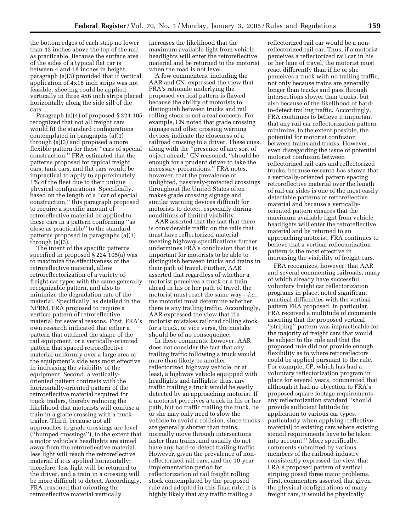the bottom edges of each strip no lower than 42 inches above the top of the rail, as practicable. Because the surface area of the sides of a typical flat car is between 4 and 18 inches in height, paragraph (a)(3) provided that if vertical application of 4x18 inch strips was not feasible, sheeting could be applied vertically in three 4x6 inch strips placed horizontally along the side sill of the cars.

Paragraph (a)(4) of proposed § 224.105 recognized that not all freight cars would fit the standard configurations contemplated in paragraphs (a)(1) through (a)(3) and proposed a more flexible pattern for these ''cars of special construction.'' FRA estimated that the patterns proposed for typical freight cars, tank cars, and flat cars would be impractical to apply to approximately 1% of the fleet due to their unique physical configurations. Specifically, based on the length of a ''car of special construction,'' this paragraph proposed to require a specific amount of retroreflective material be applied to these cars in a pattern conforming ''as close as practicable'' to the standard patterns proposed in paragraphs (a)(1) through (a)(3).

The intent of the specific patterns specified in proposed § 224.105(a) was to maximize the effectiveness of the retroreflective material, allow retroreflectorization of a variety of freight car types with the same generally recognizable pattern, and also to minimize the degradation rate of the material. Specifically, as detailed in the NPRM, FRA proposed to require a vertical pattern of retroreflective material for several reasons. First, FRA's own research indicated that either a pattern that outlined the shape of the rail equipment, or a vertically-oriented pattern that spaced retroreflective material uniformly over a large area of the equipment's side was most effective in increasing the visibility of the equipment. Second, a verticallyoriented pattern contrasts with the horizontally-oriented pattern of the retroreflective material required for truck trailers, thereby reducing the likelihood that motorists will confuse a train in a grade crossing with a truck trailer. Third, because not all approaches to grade crossings are level (''humped crossings''), to the extent that a motor vehicle's headlights are aimed away from the retroreflective material, less light will reach the retroreflective material if it is applied horizontally; therefore, less light will be returned to the driver, and a train in a crossing will be more difficult to detect. Accordingly, FRA reasoned that orienting the retroreflective material vertically

increases the likelihood that the maximum available light from vehicle headlights will enter the retroreflective material and be returned to the motorist when the road is not level.

A few commenters, including the AAR and CN, expressed the view that FRA's rationale underlying the proposed vertical pattern is flawed because the ability of motorists to distinguish between trucks and rail rolling stock is not a real concern. For example, CN noted that grade crossing signage and other crossing warning devices indicate the closeness of a railroad crossing to a driver. These cues, along with the ''presence of any sort of object ahead,'' CN reasoned, ''should be enough for a prudent driver to take the necessary precautions.'' FRA notes, however, that the prevalence of unlighted, passively-protected crossings throughout the United States often makes grade crossing signage and similar warning devices difficult for motorists to detect, especially during conditions of limited visibility.

AAR asserted that the fact that there is considerable traffic on the rails that must have reflectorized material meeting highway specifications further undermines FRA's conclusion that it is important for motorists to be able to distinguish between trucks and trains in their path of travel. Further, AAR asserted that regardless of whether a motorist perceives a truck or a train ahead in his or her path of travel, the motorist must react the same way—*i.e.,* the motorist must determine whether there is any trailing traffic. Accordingly, AAR expressed the view that if a motorist mistakes railroad rolling stock for a truck, or vice versa, the mistake should be of no consequence.

In these comments, however, AAR does not consider the fact that any trailing traffic following a truck would more than likely be another reflectorized highway vehicle, or at least, a highway vehicle equipped with headlights and taillights; thus, any traffic trailing a truck would be easily detected by an approaching motorist. If a motorist perceives a truck in his or her path, but no traffic trailing the truck, he or she may only need to slow the vehicle to avoid a collision, since trucks are generally shorter than trains, normally move through intersections faster than trains, and usually do not have any hard-to-detect trailing traffic. However, given the prevalence of nonreflectorized rail cars, and the 10-year implementation period for reflectorization of rail freight rolling stock contemplated by the proposed rule and adopted in this final rule, it is highly likely that any traffic trailing a

reflectorized rail car would be a nonreflectorized rail car. Thus, if a motorist perceives a reflectorized rail car in his or her lane of travel, the motorist must react differently than if he or she perceives a truck with no trailing traffic, not only because trains are generally longer than trucks and pass through intersections slower than trucks, but also because of the likelihood of hardto-detect trailing traffic. Accordingly, FRA continues to believe it important that any rail car reflectorization pattern minimize, to the extent possible, the potential for motorist confusion between trains and trucks. However, even disregarding the issue of potential motorist confusion between reflectorized rail cars and reflectorized trucks, because research has shown that a vertically-oriented pattern spacing retroreflective material over the length of rail car sides is one of the most easily detectable patterns of retroreflective material and because a verticallyoriented pattern ensures that the maximum available light from vehicle headlights will enter the retroreflective material and be returned to an approaching motorist, FRA continues to believe that a vertical reflectorization pattern is the most effective in increasing the visibility of freight cars.

FRA recognizes, however, that AAR and several commenting railroads, many of which already have successful voluntary freight car reflectorization programs in place, noted significant practical difficulties with the vertical pattern FRA proposed. In particular, FRA received a multitude of comments asserting that the proposed vertical ''striping'' pattern was impracticable for the majority of freight cars that would be subject to the rule and that the proposed rule did not provide enough flexibility as to where retroreflectors could be applied pursuant to the rule. For example, CP, which has had a voluntary reflectorization program in place for several years, commented that although it had no objection to FRA's proposed square footage requirements, any reflectorization standard ''should provide sufficient latitude for application to various car types, particularly when applying [reflective material] to existing cars where existing stencil requirements have to be taken into account.'' More specifically, comments submitted by various members of the railroad industry consistently expressed the view that FRA's proposed pattern of vertical striping posed three major problems. First, commenters asserted that given the physical configurations of many freight cars, it would be physically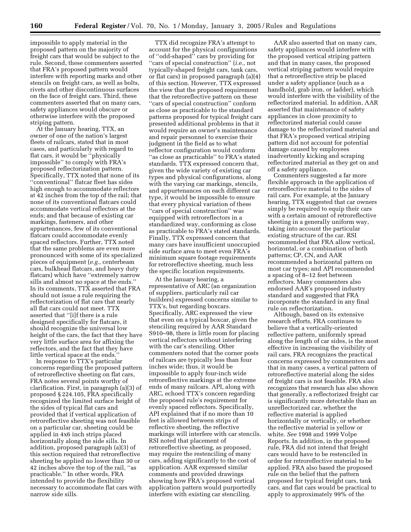impossible to apply material in the proposed pattern on the majority of freight cars that would be subject to the rule. Second, these commenters asserted that FRA's proposed pattern would interfere with reporting marks and other stencils on freight cars, as well as bolts, rivets and other discontinuous surfaces on the face of freight cars. Third, these commenters asserted that on many cars, safety appliances would obscure or otherwise interfere with the proposed striping pattern.

At the January hearing, TTX, an owner of one of the nation's largest fleets of railcars, stated that in most cases, and particularly with regard to flat cars, it would be ''physically impossible'' to comply with FRA's proposed reflectorization pattern. Specifically, TTX noted that none of its ''conventional'' flatcar fleet has sides high enough to accommodate reflectors at 42 inches from the top of the rail; that none of its conventional flatcars could accommodate vertical reflectors at the ends; and that because of existing car markings, fasteners, and other appurtenances, few of its conventional flatcars could accommodate evenly spaced reflectors. Further, TTX noted that the same problems are even more pronounced with some of its specialized pieces of equipment (*e.g.,* centerbeam cars, bulkhead flatcars, and heavy duty flatcars) which have ''extremely narrow sills and almost no space at the ends.'' In its comments, TTX asserted that FRA should not issue a rule requiring the reflectorization of flat cars that nearly all flat cars could not meet. TTX asserted that ''[i]f there is a rule designed specifically for flatcars, it should recognize the universal low height of the cars, the fact that they have very little surface area for affixing the reflectors, and the fact that they have little vertical space at the ends.''

In response to TTX's particular concerns regarding the proposed pattern of retroreflective sheeting on flat cars, FRA notes several points worthy of clarification. First, in paragraph (a)(3) of proposed § 224.105, FRA specifically recognized the limited surface height of the sides of typical flat cars and provided that if vertical application of retroreflective sheeting was not feasible on a particular car, sheeting could be applied in 4x6 inch strips placed horizontally along the side sills. In addition, proposed paragraph (a)(3) of this section required that retroreflective sheeting be applied no lower than 30 or 42 inches above the top of the rail, ''as practicable.'' In other words, FRA intended to provide the flexibility necessary to accommodate flat cars with narrow side sills.

TTX did recognize FRA's attempt to account for the physical configurations of ''odd-shaped'' cars by providing for ''cars of special construction'' (*i.e.,* not typically-shaped freight cars, tank cars, or flat cars) in proposed paragraph (a)(4) of this section. However, TTX expressed the view that the proposed requirement that the retroreflective pattern on these ''cars of special construction'' conform as close as practicable to the standard patterns proposed for typical freight cars presented additional problems in that it would require an owner's maintenance and repair personnel to exercise their judgment in the field as to what reflector configuration would conform ''as close as practicable'' to FRA's stated standards. TTX expressed concern that, given the wide variety of existing car types and physical configurations, along with the varying car markings, stencils, and appurtenances on each different car type, it would be impossible to ensure that every physical variation of these ''cars of special construction'' was equipped with retroreflectors in a standardized way, conforming as close as practicable to FRA's stated standards. Finally, TTX expressed concern that many cars have insufficient unoccupied side surface area to meet even FRA's minimum square footage requirements for retroreflective sheeting, much less the specific location requirements.

At the January hearing, a representative of ARC (an organization of suppliers, particularly rail car builders) expressed concerns similar to TTX's, but regarding boxcars. Specifically, ARC expressed the view that even on a typical boxcar, given the stenciling required by AAR Standard S910–98, there is little room for placing vertical reflectors without interfering with the car's stenciling. Other commenters noted that the corner posts of railcars are typically less than four inches wide; thus, it would be impossible to apply four-inch wide retroreflective markings at the extreme ends of many railcars. API, along with ARC, echoed TTX's concern regarding the proposed rule's requirement for evenly spaced reflectors. Specifically, API explained that if no more than 10 feet is allowed between strips of reflective sheeting, the reflective markings will interfere with car stencils. RSI noted that placement of retroreflective sheeting, as proposed, may require the restenciling of many cars, adding significantly to the cost of application. AAR expressed similar comments and provided drawings showing how FRA's proposed vertical application pattern would purportedly interfere with existing car stenciling.

AAR also asserted that on many cars, safety appliances would interfere with the proposed vertical striping pattern and that in many cases, the proposed vertical striping pattern would require that a retroreflective strip be placed under a safety appliance (such as a handhold, grab iron, or ladder), which would interfere with the visibility of the reflectorized material. In addition, AAR asserted that maintenance of safety appliances in close proximity to reflectorized material could cause damage to the reflectorized material and that FRA's proposed vertical striping pattern did not account for potential damage caused by employees inadvertently kicking and scraping reflectorized material as they get on and off a safety appliance.

Commenters suggested a far more flexible approach in the application of retroreflective material to the sides of rail cars. For example, at the January hearing, TTX suggested that car owners simply be required to equip their cars with a certain amount of retroreflective sheeting in a generally uniform way, taking into account the particular existing structure of the car. RSI recommended that FRA allow vertical, horizontal, or a combination of both patterns; CP, CN, and AAR recommended a horizontal pattern on most car types; and API recommended a spacing of 8–12 feet between reflectors. Many commenters also endorsed AAR's proposed industry standard and suggested that FRA incorporate the standard in any final rule on reflectorization.

Although, based on its extensive research efforts, FRA continues to believe that a vertically-oriented reflective pattern, uniformly spread along the length of car sides, is the most effective in increasing the visibility of rail cars, FRA recognizes the practical concerns expressed by commenters and that in many cases, a vertical pattern of retroreflective material along the sides of freight cars is not feasible. FRA also recognizes that research has also shown that generally, a reflectorized freight car is significantly more detectable than an unreflectorized car, whether the reflective material is applied horizontally or vertically, or whether the reflective material is yellow or white. *See* 1998 and 1999 Volpe Reports. In addition, in the proposed rule, FRA did not intend that freight cars would have to be restenciled in order for retroreflective material to be applied. FRA also based the proposed rule on the belief that the pattern proposed for typical freight cars, tank cars, and flat cars would be practical to apply to approximately 99% of the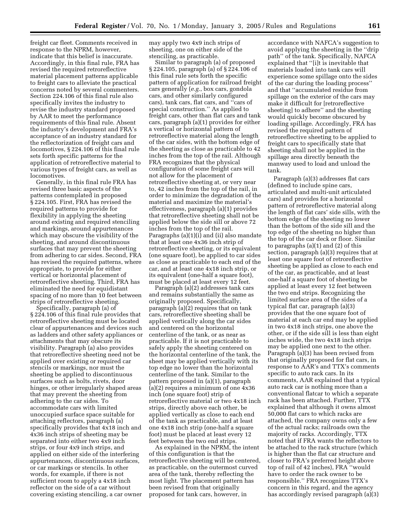freight car fleet. Comments received in response to the NPRM, however, indicate that this belief is inaccurate. Accordingly, in this final rule, FRA has revised the required retroreflective material placement patterns applicable to freight cars to alleviate the practical concerns noted by several commenters. Section 224.106 of this final rule also specifically invites the industry to revise the industry standard proposed by AAR to meet the performance requirements of this final rule. Absent the industry's development and FRA's acceptance of an industry standard for the reflectorization of freight cars and locomotives, § 224.106 of this final rule sets forth specific patterns for the application of retroreflective material to various types of freight cars, as well as locomotives.

Generally, in this final rule FRA has revised three basic aspects of the patterns contemplated in proposed § 224.105. First, FRA has revised the required patterns to provide for flexibility in applying the sheeting around existing and required stenciling and markings, around appurtenances which may obscure the visibility of the sheeting, and around discontinuous surfaces that may prevent the sheeting from adhering to car sides. Second, FRA has revised the required patterns, where appropriate, to provide for either vertical or horizontal placement of retroreflective sheeting. Third, FRA has eliminated the need for equidistant spacing of no more than 10 feet between strips of retroreflective sheeting.

Specifically, paragraph (a) of § 224.106 of this final rule provides that retroreflective sheeting must be located clear of appurtenances and devices such as ladders and other safety appliances or attachments that may obscure its visibility. Paragraph (a) also provides that retroreflective sheeting need not be applied over existing or required car stencils or markings, nor must the sheeting be applied to discontinuous surfaces such as bolts, rivets, door hinges, or other irregularly shaped areas that may prevent the sheeting from adhering to the car sides. To accommodate cars with limited unoccupied surface space suitable for attaching reflectors, paragraph (a) specifically provides that 4x18 inch and 4x36 inch strips of sheeting may be separated into either two 4x9 inch strips, or four 4x9 inch strips, and applied on either side of the interfering appurtenances, discontinuous surfaces, or car markings or stencils. In other words, for example, if there is not sufficient room to apply a 4x18 inch reflector on the side of a car without covering existing stenciling, a car owner

may apply two 4x9 inch strips of sheeting, one on either side of the stenciling, as practicable.

Similar to paragraph (a) of proposed § 224.105, paragraph (a) of § 224.106 of this final rule sets forth the specific pattern of application for railroad freight cars generally (*e.g.*, box cars, gondola cars, and other similarly configured cars), tank cars, flat cars, and ''cars of special construction.'' As applied to freight cars, other than flat cars and tank cars, paragraph (a)(1) provides for either a vertical or horizontal pattern of retroreflective material along the length of the car sides, with the bottom edge of the sheeting as close as practicable to 42 inches from the top of the rail. Although FRA recognizes that the physical configuration of some freight cars will not allow for the placement of retroreflective sheeting at, or very near to, 42 inches from the top of the rail, in order to minimize the degradation of the material and maximize the material's effectiveness, paragraph (a)(1) provides that retroreflective sheeting shall not be applied below the side sill or above 72 inches from the top of the rail. Paragraphs (a)(1)(i) and (ii) also mandate that at least one 4x36 inch strip of retroreflective sheeting, or its equivalent (one square foot), be applied to car sides as close as practicable to each end of the car, and at least one 4x18 inch strip, or its equivalent (one-half a square foot), must be placed at least every 12 feet.

Paragraph (a)(2) addresses tank cars and remains substantially the same as originally proposed. Specifically, paragraph (a)(2) requires that on tank cars, retroreflective sheeting shall be applied vertically along the car sides and centered on the horizontal centerline of the tank, or as near as practicable. If it is not practicable to safely apply the sheeting centered on the horizontal centerline of the tank, the sheet may be applied vertically with its top edge no lower than the horizontal centerline of the tank. Similar to the pattern proposed in (a)(1), paragraph (a)(2) requires a minimum of one 4x36 inch (one square foot) strip of retroreflective material or two 4x18 inch strips, directly above each other, be applied vertically as close to each end of the tank as practicable, and at least one 4x18 inch strip (one-half a square foot) must be placed at least every 12 feet between the two end strips.

As explained in the NPRM, the intent of this configuration is that the retroreflective sheeting will be centered, as practicable, on the outermost curved area of the tank, thereby reflecting the most light. The placement pattern has been revised from that originally proposed for tank cars, however, in

accordance with NAFCA's suggestion to avoid applying the sheeting in the ''drip path'' of the tank. Specifically, NAFCA explained that ''[i]t is inevitable that materials loaded into tank cars will experience some spillage onto the sides of the car during the loading process'' and that ''accumulated residue from spillage on the exterior of the cars may make it difficult for [retroreflective sheeting] to adhere'' and the sheeting would quickly become obscured by loading spillage. Accordingly, FRA has revised the required pattern of retroreflective sheeting to be applied to freight cars to specifically state that sheeting shall not be applied in the spillage area directly beneath the manway used to load and unload the tank.

Paragraph (a)(3) addresses flat cars (defined to include spine cars, articulated and multi-unit articulated cars) and provides for a horizontal pattern of retroreflective material along the length of flat cars' side sills, with the bottom edge of the sheeting no lower than the bottom of the side sill and the top edge of the sheeting no higher than the top of the car deck or floor. Similar to paragraphs (a)(1) and (2) of this section, paragraph (a)(3) requires that at least one square foot of retroreflective sheeting be applied as close to each end of the car, as practicable, and at least one-half a square foot of sheeting be applied at least every 12 feet between the two end strips. Recognizing the limited surface area of the sides of a typical flat car, paragraph (a)(3) provides that the one square foot of material at each car end may be applied in two 4x18 inch strips, one above the other, or if the side sill is less than eight inches wide, the two 4x18 inch strips may be applied one next to the other. Paragraph (a)(3) has been revised from that originally proposed for flat cars, in response to AAR's and TTX's comments specific to auto rack cars. In its comments, AAR explained that a typical auto rack car is nothing more than a conventional flatcar to which a separate rack has been attached. Further, TTX explained that although it owns almost 50,000 flat cars to which racks are attached, the company owns only a few of the actual racks; railroads own the majority of racks. Accordingly, TTX noted that if FRA wants the reflectors to be attached to the rack structure (which is higher than the flat car structure and closer to FRA's preferred height above top of rail of 42 inches), FRA ''would have to order the rack owner to be responsible.'' FRA recognizes TTX's concern in this regard, and the agency has accordingly revised paragraph (a)(3)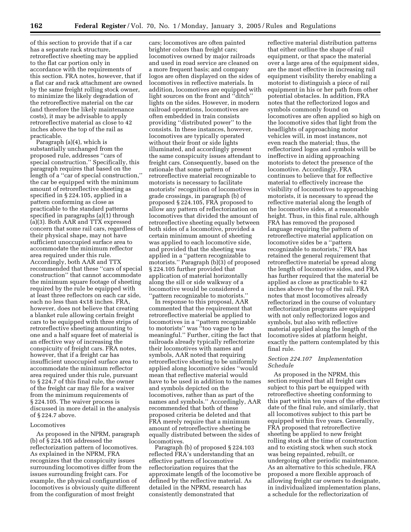of this section to provide that if a car has a separate rack structure, retroreflective sheeting may be applied to the flat car portion only in accordance with the requirements of this section. FRA notes, however, that if a flat car and rack attachment are owned by the same freight rolling stock owner, to minimize the likely degradation of the retroreflective material on the car (and therefore the likely maintenance costs), it may be advisable to apply retroreflective material as close to 42 inches above the top of the rail as practicable.

Paragraph (a)(4), which is substantially unchanged from the proposed rule, addresses ''cars of special construction.'' Specifically, this paragraph requires that based on the length of a ''car of special construction,'' the car be equipped with the minimum amount of retroreflective sheeting as specified in § 224.105, applied in a pattern conforming as close as practicable to the standard patterns specified in paragraphs (a)(1) through (a)(3). Both AAR and TTX expressed concern that some rail cars, regardless of their physical shape, may not have sufficient unoccupied surface area to accommodate the minimum reflector area required under this rule. Accordingly, both AAR and TTX recommended that these ''cars of special construction'' that cannot accommodate the minimum square footage of sheeting required by the rule be equipped with at least three reflectors on each car side, each no less than 4x18 inches. FRA, however, does not believe that creating a blanket rule allowing certain freight cars to be equipped with three strips of retroreflective sheeting amounting to one and a half square feet of material is an effective way of increasing the conspicuity of freight cars. FRA notes, however, that if a freight car has insufficient unoccupied surface area to accommodate the minimum reflector area required under this rule, pursuant to § 224.7 of this final rule, the owner of the freight car may file for a waiver from the minimum requirements of § 224.105. The waiver process is discussed in more detail in the analysis of § 224.7 above.

#### Locomotives

As proposed in the NPRM, paragraph (b) of § 224.105 addressed the reflectorization pattern of locomotives. As explained in the NPRM, FRA recognizes that the conspicuity issues surrounding locomotives differ from the issues surrounding freight cars. For example, the physical configuration of locomotives is obviously quite different from the configuration of most freight

cars; locomotives are often painted brighter colors than freight cars; locomotives owned by major railroads and used in road service are cleaned on a more frequent basis; and company logos are often displayed on the sides of locomotives in reflective materials. In addition, locomotives are equipped with light sources on the front and ''ditch'' lights on the sides. However, in modern railroad operations, locomotives are often embedded in train consists providing ''distributed power'' to the consists. In these instances, however, locomotives are typically operated without their front or side lights illuminated, and accordingly present the same conspicuity issues attendant to freight cars. Consequently, based on the rationale that some pattern of retroreflective material recognizable to motorists is necessary to facilitate motorists' recognition of locomotives in grade crossings, in paragraph (b) of proposed § 224.105, FRA proposed to allow any pattern of reflectorization on locomotives that divided the amount of retroreflective sheeting equally between both sides of a locomotive, provided a certain minimum amount of sheeting was applied to each locomotive side, and provided that the sheeting was applied in a ''pattern recognizable to motorists.'' Paragraph (b)(3) of proposed § 224.105 further provided that application of material horizontally along the sill or side walkway of a locomotive would be considered a ''pattern recognizable to motorists.''

In response to this proposal, AAR commented that the requirement that retroreflective material be applied to locomotives in a ''pattern recognizable to motorists'' was ''too vague to be meaningful.'' Further, citing the fact that railroads already typically reflectorize their locomotives with names and symbols, AAR noted that requiring retroreflective sheeting to be uniformly applied along locomotive sides ''would mean that reflective material would have to be used in addition to the names and symbols depicted on the locomotives, rather than as part of the names and symbols.'' Accordingly, AAR recommended that both of these proposed criteria be deleted and that FRA merely require that a minimum amount of retroreflective sheeting be equally distributed between the sides of locomotives.

Paragraph (b) of proposed § 224.103 reflected FRA's understanding that an effective pattern of locomotive reflectorization requires that the approximate length of the locomotive be defined by the reflective material. As detailed in the NPRM, research has consistently demonstrated that

reflective material distribution patterns that either outline the shape of rail equipment, or that space the material over a large area of the equipment sides, are the most effective in increasing rail equipment visibility thereby enabling a motorist to distinguish a piece of rail equipment in his or her path from other potential obstacles. In addition, FRA notes that the reflectorized logos and symbols commonly found on locomotives are often applied so high on the locomotive sides that light from the headlights of approaching motor vehicles will, in most instances, not even reach the material; thus, the reflectorized logos and symbols will be ineffective in aiding approaching motorists to detect the presence of the locomotive. Accordingly, FRA continues to believe that for reflective material to effectively increase the visibility of locomotives to approaching motorists, it is necessary to spread the reflective material along the length of the locomotive sides, at a reasonable height. Thus, in this final rule, although FRA has removed the proposed language requiring the pattern of retroreflective material application on locomotive sides be a ''pattern recognizable to motorists,'' FRA has retained the general requirement that retroreflective material be spread along the length of locomotive sides, and FRA has further required that the material be applied as close as practicable to 42 inches above the top of the rail. FRA notes that most locomotives already reflectorized in the course of voluntary reflectorization programs are equipped with not only reflectorized logos and symbols, but also with reflective material applied along the length of the locomotive sides at platform height, exactly the pattern contemplated by this final rule.

#### *Section 224.107 Implementation Schedule*

As proposed in the NPRM, this section required that all freight cars subject to this part be equipped with retroreflective sheeting conforming to this part within ten years of the effective date of the final rule, and similarly, that all locomotives subject to this part be equipped within five years. Generally, FRA proposed that retroreflective sheeting be applied to new freight rolling stock at the time of construction and to existing stock when such stock was being repainted, rebuilt, or undergoing other periodic maintenance. As an alternative to this schedule, FRA proposed a more flexible approach of allowing freight car owners to designate, in individualized implementation plans, a schedule for the reflectorization of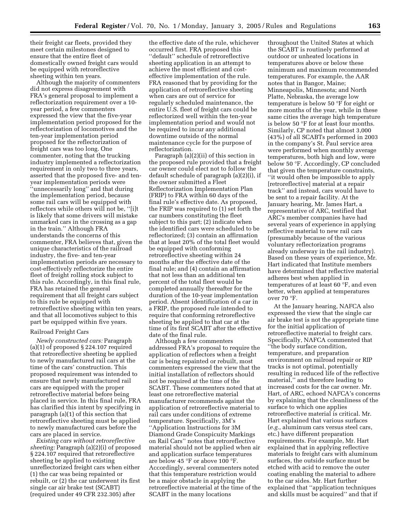their freight car fleets, provided they meet certain milestones designed to ensure that the entire fleet of domestically owned freight cars would be equipped with retroreflective sheeting within ten years.

Although the majority of commenters did not express disagreement with FRA's general proposal to implement a reflectorization requirement over a 10 year period, a few commenters expressed the view that the five-year implementation period proposed for the reflectorization of locomotives and the ten-year implementation period proposed for the reflectorization of freight cars was too long. One commenter, noting that the trucking industry implemented a reflectorization requirement in only two to three years, asserted that the proposed five- and tenyear implementation periods were ''unnecessarily long'' and that during the implementation period, because some rail cars will be equipped with reflectors while others will not be, ''[i]t is likely that some drivers will mistake unmarked cars in the crossing as a gap in the train.'' Although FRA understands the concerns of this commenter, FRA believes that, given the unique characteristics of the railroad industry, the five- and ten-year implementation periods are necessary to cost-effectively reflectorize the entire fleet of freight rolling stock subject to this rule. Accordingly, in this final rule, FRA has retained the general requirement that all freight cars subject to this rule be equipped with retroreflective sheeting within ten years, and that all locomotives subject to this part be equipped within five years.

#### Railroad Freight Cars

*Newly constructed cars:* Paragraph (a)(1) of proposed § 224.107 required that retroreflective sheeting be applied to newly manufactured rail cars at the time of the cars' construction. This proposed requirement was intended to ensure that newly manufactured rail cars are equipped with the proper retroreflective material before being placed in service. In this final rule, FRA has clarified this intent by specifying in paragraph (a)(1) of this section that retroreflective sheeting must be applied to newly manufactured cars before the cars are placed in service.

*Existing cars without retroreflective sheeting:* Paragraph (a)(2)(i) of proposed § 224.107 required that retroreflective sheeting be applied to existing unreflectorized freight cars when either (1) the car was being repainted or rebuilt, or (2) the car underwent its first single car air brake test (SCABT) (required under 49 CFR 232.305) after

the effective date of the rule, whichever occurred first. FRA proposed this ''default'' schedule of retroreflective sheeting application in an attempt to achieve the most efficient and costeffective implementation of the rule. FRA reasoned that by providing for the application of retroreflective sheeting when cars are out of service for regularly scheduled maintenance, the entire U.S. fleet of freight cars could be reflectorized well within the ten-year implementation period and would not be required to incur any additional downtime outside of the normal maintenance cycle for the purpose of reflectorization.

Paragraph (a)(2)(ii) of this section in the proposed rule provided that a freight car owner could elect not to follow the default schedule of paragraph (a)(2)(i), if the owner submitted a Fleet Reflectorization Implementation Plan (FRIP) to FRA within 60 days of the final rule's effective date. As proposed, the FRIP was required to (1) set forth the car numbers constituting the fleet subject to this part; (2) indicate when the identified cars were scheduled to be reflectorized; (3) contain an affirmation that at least 20% of the total fleet would be equipped with conforming retroreflective sheeting within 24 months after the effective date of the final rule; and (4) contain an affirmation that not less than an additional ten percent of the total fleet would be completed annually thereafter for the duration of the 10-year implementation period. Absent identification of a car in a FRIP, the proposed rule intended to require that conforming retroreflective sheeting be applied to that car at the time of its first SCABT after the effective date of the final rule.

Although a few commenters addressed FRA's proposal to require the application of reflectors when a freight car is being repainted or rebuilt, most commenters expressed the view that the initial installation of reflectors should not be required at the time of the SCABT. These commenters noted that at least one retroreflective material manufacturer recommends against the application of retroreflective material to rail cars under conditions of extreme temperature. Specifically, 3M's ''Application Instructions for 3M Diamond Grade Conspicuity Markings on Rail Cars'' notes that retroreflective material should not be applied when air and application surface temperatures are below 45 °F or above 100 °F. Accordingly, several commenters noted that this temperature restriction would be a major obstacle in applying the retroreflective material at the time of the SCABT in the many locations

throughout the United States at which the SCABT is routinely performed at outdoor or unheated locations in temperatures above or below these minimum and maximum recommended temperatures. For example, the AAR notes that in Bangor, Maine; Minneapolis, Minnesota; and North Platte, Nebraska, the average low temperature is below 50 °F for eight or more months of the year, while in these same cities the average high temperature is below 50 °F for at least four months. Similarly, CP noted that almost 3,000 (43%) of all SCABTs performed in 2003 in the company's St. Paul service area were performed when monthly average temperatures, both high and low, were below 50 °F. Accordingly, CP concluded that given the temperature constraints, ''it would often be impossible to apply [retroreflective] material at a repair track'' and instead, cars would have to be sent to a repair facility. At the January hearing, Mr. James Hart, a representative of ARC, testified that ARC's member companies have had several years of experience in applying reflective material to new rail cars (presumably because of the various voluntary reflectorization programs already underway in the rail industry). Based on these years of experience, Mr. Hart indicated that Institute members have determined that reflective material adheres best when applied in temperatures of at least 60 °F, and even better, when applied at temperatures over 70 °F.

At the January hearing, NAFCA also expressed the view that the single car air brake test is not the appropriate time for the initial application of retroreflective material to freight cars. Specifically, NAFCA commented that ''the body surface condition, temperature, and preparation environment on railroad repair or RIP tracks is not optimal, potentially resulting in reduced life of the reflective material,'' and therefore leading to increased costs for the car owner. Mr. Hart, of ARC, echoed NAFCA's concerns by explaining that the cleanliness of the surface to which one applies retroreflective material is critical. Mr. Hart explained that various surfaces (*e.g.*, aluminum cars versus steel cars, etc.) have different preparation requirements. For example, Mr. Hart explained that in applying reflective materials to freight cars with aluminum surfaces, the outside surface must be etched with acid to remove the outer coating enabling the material to adhere to the car sides. Mr. Hart further explained that ''application techniques and skills must be acquired'' and that if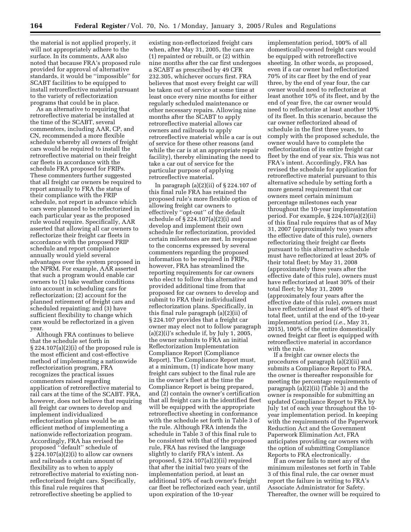the material is not applied properly, it will not appropriately adhere to the surface. In its comments, AAR also noted that because FRA's proposed rule provided for approval of alternative standards, it would be ''impossible'' for SCABT facilities to be equipped to install retroreflective material pursuant to the variety of reflectorization programs that could be in place.

As an alternative to requiring that retroreflective material be installed at the time of the SCABT, several commenters, including AAR, CP, and CN, recommended a more flexible schedule whereby all owners of freight cars would be required to install the retroreflective material on their freight car fleets in accordance with the schedule FRA proposed for FRIPs. These commenters further suggested that all freight car owners be required to report annually to FRA the status of their compliance with the FRIP schedule, not report in advance which cars were planned to be reflectorized in each particular year as the proposed rule would require. Specifically, AAR asserted that allowing all car owners to reflectorize their freight car fleets in accordance with the proposed FRIP schedule and report compliance annually would yield several advantages over the system proposed in the NPRM. For example, AAR asserted that such a program would enable car owners to (1) take weather conditions into account in scheduling cars for reflectorization; (2) account for the planned retirement of freight cars and scheduled repainting; and (3) have sufficient flexibility to change which cars would be reflectorized in a given year.

Although FRA continues to believe that the schedule set forth in § 224.107(a)(2)(i) of the proposed rule is the most efficient and cost-effective method of implementing a nationwide reflectorization program, FRA recognizes the practical issues commenters raised regarding application of retroreflective material to rail cars at the time of the SCABT. FRA, however, does not believe that requiring all freight car owners to develop and implement individualized reflectorization plans would be an efficient method of implementing a nationwide reflectorization program. Accordingly, FRA has revised the proposed ''default'' schedule of  $\S 224.107(a)(2)(i)$  to allow car owners and railroads a certain amount of flexibility as to when to apply retroreflective material to existing nonreflectorized freight cars. Specifically, this final rule requires that retroreflective sheeting be applied to

existing non-reflectorized freight cars when, after May 31, 2005, the cars are (1) repainted or rebuilt, or (2) within nine months after the car first undergoes a SCABT as prescribed by 49 CFR 232.305, whichever occurs first. FRA believes that most every freight car will be taken out of service at some time at least once every nine months for either regularly scheduled maintenance or other necessary repairs. Allowing nine months after the SCABT to apply retroreflective material allows car owners and railroads to apply retroreflective material while a car is out of service for these other reasons (and while the car is at an appropriate repair facility), thereby eliminating the need to take a car out of service for the particular purpose of applying retroreflective material.

In paragraph  $(a)(2)(ii)$  of  $\S 224.107$  of this final rule FRA has retained the proposed rule's more flexible option of allowing freight car owners to effectively ''opt-out'' of the default schedule of § 224.107(a)(2)(i) and develop and implement their own schedule for reflectorization, provided certain milestones are met. In response to the concerns expressed by several commenters regarding the proposed information to be required in FRIPs, however, FRA has streamlined the reporting requirements for car owners who elect to follow this alternative and provided additional time from that proposed for car owners to develop and submit to FRA their individualized reflectorization plans. Specifically, in this final rule paragraph (a)(2)(ii) of § 224.107 provides that a freight car owner may elect not to follow paragraph  $(a)(2)(i)$ 's schedule if, by July 1, 2005, the owner submits to FRA an initial Reflectorization Implementation Compliance Report (Compliance Report). The Compliance Report must, at a minimum, (1) indicate how many freight cars subject to the final rule are in the owner's fleet at the time the Compliance Report is being prepared, and (2) contain the owner's certification that all freight cars in the identified fleet will be equipped with the appropriate retroreflective sheeting in conformance with the schedule set forth in Table 3 of the rule. Although FRA intends the schedule in Table 3 of this final rule to be consistent with that of the proposed rule, FRA has revised the language slightly to clarify FRA's intent. As proposed, § 224.107(a)(2)(ii) required that after the initial two years of the implementation period, at least an additional 10% of each owner's freight car fleet be reflectorized each year, until upon expiration of the 10-year

implementation period, 100% of all domestically-owned freight cars would be equipped with retroreflective sheeting. In other words, as proposed, even if a car owner had reflectorized 70% of its car fleet by the end of year three, by the end of year four, the car owner would need to reflectorize at least another 10% of its fleet, and by the end of year five, the car owner would need to reflectorize at least another 10% of its fleet. In this scenario, because the car owner reflectorized ahead of schedule in the first three years, to comply with the proposed schedule, the owner would have to complete the reflectorization of its entire freight car fleet by the end of year six. This was not FRA's intent. Accordingly, FRA has revised the schedule for application for retroreflective material pursuant to this alternative schedule by setting forth a more general requirement that car owners meet certain minimum percentage milestones each year throughout the 10-year implementation period. For example, § 224.107(a)(2)(ii) of this final rule requires that as of May 31, 2007 (approximately two years after the effective date of this rule), owners reflectorizing their freight car fleets pursuant to this alternative schedule must have reflectorized at least 20% of their total fleet; by May 31, 2008 (approximately three years after the effective date of this rule), owners must have reflectorized at least 30% of their total fleet; by May 31, 2009 (approximately four years after the effective date of this rule), owners must have reflectorized at least 40% of their total fleet, until at the end of the 10-year implementation period (*i.e.*, May 31, 2015), 100% of the entire domestically owned freight car fleet is equipped with retroreflective material in accordance with the rule.

If a freight car owner elects the procedures of paragraph (a)(2)(ii) and submits a Compliance Report to FRA, the owner is thereafter responsible for meeting the percentage requirements of paragraph (a)(2)(ii) (Table 3) and the owner is responsible for submitting an updated Compliance Report to FRA by July 1st of each year throughout the 10 year implementation period. In keeping with the requirements of the Paperwork Reduction Act and the Government Paperwork Elimination Act, FRA anticipates providing car owners with the option of submitting Compliance Reports to FRA electronically.

If an owner fails to meet any of the minimum milestones set forth in Table 3 of this final rule, the car owner must report the failure in writing to FRA's Associate Administrator for Safety. Thereafter, the owner will be required to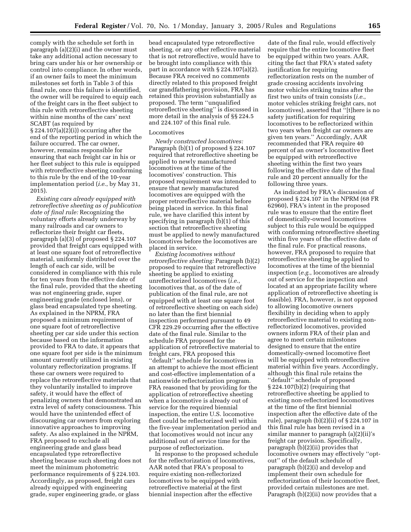comply with the schedule set forth in paragraph (a)(2)(i) and the owner must take any additional action necessary to bring cars under his or her ownership or control into compliance. In other words, if an owner fails to meet the minimum milestones set forth in Table 3 of this final rule, once this failure is identified, the owner will be required to equip each of the freight cars in the fleet subject to this rule with retroreflective sheeting within nine months of the cars' next SCABT (as required by § 224.107(a)(2)(i)) occurring after the end of the reporting period in which the failure occurred. The car owner, however, remains responsible for ensuring that each freight car in his or her fleet subject to this rule is equipped with retroreflective sheeting conforming to this rule by the end of the 10-year implementation period (*i.e.*, by May 31, 2015).

*Existing cars already equipped with retroreflective sheeting as of publication date of final rule:* Recognizing the voluntary efforts already underway by many railroads and car owners to reflectorize their freight car fleets, paragraph (a)(3) of proposed § 224.107 provided that freight cars equipped with at least one square foot of retroreflective material, uniformly distributed over the length of each car side, will be considered in compliance with this rule for ten years from the effective date of the final rule, provided that the sheeting was not engineering grade, super engineering grade (enclosed lens), or glass bead encapsulated type sheeting. As explained in the NPRM, FRA proposed a minimum requirement of one square foot of retroreflective sheeting per car side under this section because based on the information provided to FRA to date, it appears that one square foot per side is the minimum amount currently utilized in existing voluntary reflectorization programs. If these car owners were required to replace the retroreflective materials that they voluntarily installed to improve safety, it would have the effect of penalizing owners that demonstrated an extra level of safety consciousness. This would have the unintended effect of discouraging car owners from exploring innovative approaches to improving safety. As also explained in the NPRM, FRA proposed to exclude all engineering grade and glass bead encapsulated type retroreflective sheeting because such sheeting does not meet the minimum photometric performance requirements of § 224.103. Accordingly, as proposed, freight cars already equipped with engineering grade, super engineering grade, or glass

bead encapsulated type retroreflective sheeting, or any other reflective material that is not retroreflective, would have to be brought into compliance with this part in accordance with § 224.107(a)(2). Because FRA received no comments directly related to this proposed freight car grandfathering provision, FRA has retained this provision substantially as proposed. The term ''unqualified retroreflective sheeting'' is discussed in more detail in the analysis of §§ 224.5 and 224.107 of this final rule.

#### Locomotives

*Newly constructed locomotives:* Paragraph (b)(1) of proposed § 224.107 required that retroreflective sheeting be applied to newly manufactured locomotives at the time of the locomotives' construction. This proposed requirement was intended to ensure that newly manufactured locomotives are equipped with the proper retroreflective material before being placed in service. In this final rule, we have clarified this intent by specifying in paragraph (b)(1) of this section that retroreflective sheeting must be applied to newly manufactured locomotives before the locomotives are placed in service.

*Existing locomotives without retroreflective sheeting:* Paragraph (b)(2) proposed to require that retroreflective sheeting be applied to existing unreflectorized locomotives (*i.e.*, locomotives that, as of the date of publication of the final rule, are not equipped with at least one square foot of retroreflective sheeting on each side) no later than the first biennial inspection performed pursuant to 49 CFR 229.29 occurring after the effective date of the final rule. Similar to the schedule FRA proposed for the application of retroreflective material to freight cars, FRA proposed this ''default'' schedule for locomotives in an attempt to achieve the most efficient and cost-effective implementation of a nationwide reflectorization program. FRA reasoned that by providing for the application of retroreflective sheeting when a locomotive is already out of service for the required biennial inspection, the entire U.S. locomotive fleet could be reflectorized well within the five-year implementation period and that locomotives would not incur any additional out of service time for the purpose of reflectorization.

In response to the proposed schedule for the reflectorization of locomotives, AAR noted that FRA's proposal to require existing non-reflectorized locomotives to be equipped with retroreflective material at the first biennial inspection after the effective

date of the final rule, would effectively require that the entire locomotive fleet be equipped within two years. AAR, citing the fact that FRA's stated safety justification for requiring reflectorization rests on the number of grade crossing accidents involving motor vehicles striking trains after the first two units of train consists (*i.e.*, motor vehicles striking freight cars, not locomotives), asserted that ''[t]here is no safety justification for requiring locomotives to be reflectorized within two years when freight car owners are given ten years.'' Accordingly, AAR recommended that FRA require 40 percent of an owner's locomotive fleet be equipped with retroreflective sheeting within the first two years following the effective date of the final rule and 20 percent annually for the following three years.

As indicated by FRA's discussion of proposed § 224.107 in the NPRM (68 FR 62960), FRA's intent in the proposed rule was to ensure that the entire fleet of domestically-owned locomotives subject to this rule would be equipped with conforming retroreflective sheeting within five years of the effective date of the final rule. For practical reasons, however, FRA proposed to require that retroreflective sheeting be applied to locomotives at the time of the biennial inspection (*e.g.*, locomotives are already out of service for the inspection and located at an appropriate facility where application of retroreflective sheeting is feasible). FRA, however, is not opposed to allowing locomotive owners flexibility in deciding when to apply retroreflective material to existing nonreflectorized locomotives, provided owners inform FRA of their plan and agree to meet certain milestones designed to ensure that the entire domestically-owned locomotive fleet will be equipped with retroreflective material within five years. Accordingly, although this final rule retains the ''default'' schedule of proposed § 224.107(b)(2) (requiring that retroreflective sheeting be applied to existing non-reflectorized locomotives at the time of the first biennial inspection after the effective date of the rule), paragraph (b)(2)(ii) of § 224.107 in this final rule has been revised in a similar manner to paragraph (a)(2)(ii)'s freight car provision. Specifically, paragraph (b)(2)(ii) provides that locomotive owners may effectively ''optout'' of the default schedule of paragraph (b)(2)(i) and develop and implement their own schedule for reflectorization of their locomotive fleet, provided certain milestones are met. Paragraph (b)(2)(ii) now provides that a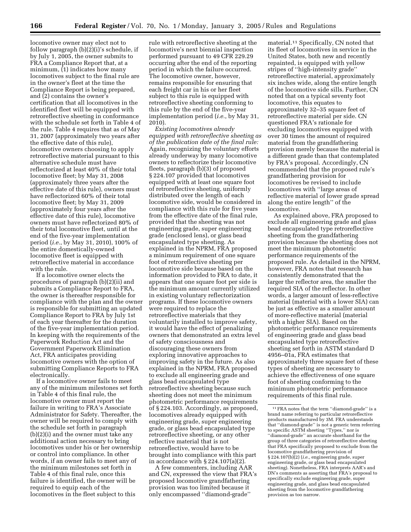locomotive owner may elect not to follow paragraph (b)(2)(i)'s schedule, if by July 1, 2005, the owner submits to FRA a Compliance Report that, at a minimum,  $(1)$  indicates how many locomotives subject to the final rule are in the owner's fleet at the time the Compliance Report is being prepared, and (2) contains the owner's certification that all locomotives in the identified fleet will be equipped with retroreflective sheeting in conformance with the schedule set forth in Table 4 of the rule. Table 4 requires that as of May 31, 2007 (approximately two years after the effective date of this rule), locomotive owners choosing to apply retroreflective material pursuant to this alternative schedule must have reflectorized at least 40% of their total locomotive fleet; by May 31, 2008 (approximately three years after the effective date of this rule), owners must have reflectorized 60% of their total locomotive fleet; by May 31, 2009 (approximately four years after the effective date of this rule), locomotive owners must have reflectorized 80% of their total locomotive fleet, until at the end of the five-year implementation period (*i.e.*, by May 31, 2010), 100% of the entire domestically-owned locomotive fleet is equipped with retroreflective material in accordance with the rule.

If a locomotive owner elects the procedures of paragraph (b)(2)(ii) and submits a Compliance Report to FRA, the owner is thereafter responsible for compliance with the plan and the owner is responsible for submitting an updated Compliance Report to FRA by July 1st of each year thereafter for the duration of the five-year implementation period. In keeping with the requirements of the Paperwork Reduction Act and the Government Paperwork Elimination Act, FRA anticipates providing locomotive owners with the option of submitting Compliance Reports to FRA electronically.

If a locomotive owner fails to meet any of the minimum milestones set forth in Table 4 of this final rule, the locomotive owner must report the failure in writing to FRA's Associate Administrator for Safety. Thereafter, the owner will be required to comply with the schedule set forth in paragraph (b)(2)(i) and the owner must take any additional action necessary to bring locomotives under his or her ownership or control into compliance. In other words, if an owner fails to meet any of the minimum milestones set forth in Table 4 of this final rule, once this failure is identified, the owner will be required to equip each of the locomotives in the fleet subject to this

rule with retroreflective sheeting at the locomotive's next biennial inspection performed pursuant to 49 CFR 229.29 occurring after the end of the reporting period in which the failure occurred. The locomotive owner, however, remains responsible for ensuring that each freight car in his or her fleet subject to this rule is equipped with retroreflective sheeting conforming to this rule by the end of the five-year implementation period (*i.e.*, by May 31, 2010).

*Existing locomotives already equipped with retroreflective sheeting as of the publication date of the final rule:* Again, recognizing the voluntary efforts already underway by many locomotive owners to reflectorize their locomotive fleets, paragraph (b)(3) of proposed § 224.107 provided that locomotives equipped with at least one square foot of retroreflective sheeting, uniformly distributed over the length of each locomotive side, would be considered in compliance with this rule for five years from the effective date of the final rule, provided that the sheeting was not engineering grade, super engineering grade (enclosed lens), or glass bead encapsulated type sheeting. As explained in the NPRM, FRA proposed a minimum requirement of one square foot of retroreflective sheeting per locomotive side because based on the information provided to FRA to date, it appears that one square foot per side is the minimum amount currently utilized in existing voluntary reflectorization programs. If these locomotive owners were required to replace the retroreflective materials that they voluntarily installed to improve safety, it would have the effect of penalizing owners that demonstrated an extra level of safety consciousness and discouraging these owners from exploring innovative approaches to improving safety in the future. As also explained in the NPRM, FRA proposed to exclude all engineering grade and glass bead encapsulated type retroreflective sheeting because such sheeting does not meet the minimum photometric performance requirements of § 224.103. Accordingly, as proposed, locomotives already equipped with engineering grade, super engineering grade, or glass bead encapsulated type retroreflective sheeting, or any other reflective material that is not retroreflective, would have to be brought into compliance with this part in accordance with  $\S 224.107(a)(2)$ .

A few commenters, including AAR and CN, expressed the view that FRA's proposed locomotive grandfathering provision was too limited because it only encompassed ''diamond-grade''

material.11 Specifically, CN noted that its fleet of locomotives in service in the United States, both new and recently repainted, is equipped with yellow stripes of ''high-intensity grade'' retroreflective material, approximately six inches wide, along the entire length of the locomotive side sills. Further, CN noted that on a typical seventy foot locomotive, this equates to approximately 32–35 square feet of retroreflective material per side. CN questioned FRA's rationale for excluding locomotives equipped with over 30 times the amount of required material from the grandfathering provision merely because the material is a different grade than that contemplated by FRA's proposal. Accordingly, CN recommended that the proposed rule's grandfathering provision for locomotives be revised to include locomotives with ''large areas of reflective material of lower grade spread along the entire length'' of the locomotive.

As explained above, FRA proposed to exclude all engineering grade and glass bead encapsulated type retroreflective sheeting from the grandfathering provision because the sheeting does not meet the minimum photometric performance requirements of the proposed rule. As detailed in the NPRM, however, FRA notes that research has consistently demonstrated that the larger the reflector area, the smaller the required SIA of the reflector. In other words, a larger amount of less-reflective material (material with a lower SIA) can be just as effective as a smaller amount of more-reflective material (material with a higher SIA). Based on the photometric performance requirements of engineering grade and glass bead encapsulated type retroreflective sheeting set forth in ASTM standard D 4956–01a, FRA estimates that approximately three square feet of these types of sheeting are necessary to achieve the effectiveness of one square foot of sheeting conforming to the minimum photometric performance requirements of this final rule.

<sup>11</sup>FRA notes that the term ''diamond-grade'' is a brand name referring to particular retroreflective products manufactured by 3M. FRA understands that ''diamond-grade'' is not a generic term referring to specific ASTM sheeting ''Types,'' nor is ''diamond-grade'' an accurate shorthand for the group of three categories of retroreflective sheeting that FRA specifically proposed to exclude from the locomotive grandfathering provision of § 224.107(b)(2) (*i.e.,* engineering grade, super engineering grade, or glass bead encapsulated sheeting). Nonetheless, FRA interprets AAR's and DN's comments as asserting that FRA's proposal to specifically exclude engineering grade, super engineering grade, and glass bead encapsulated sheeting from the locomotive grandfathering provision as too narrow.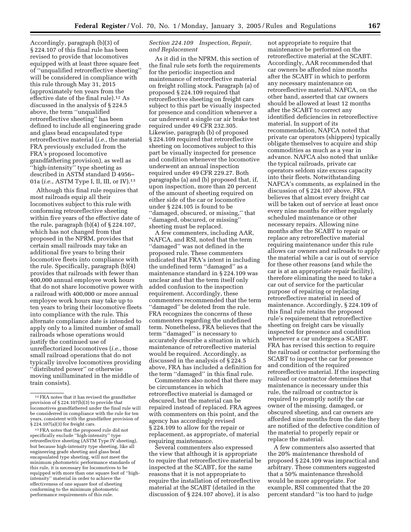Accordingly, paragraph (b)(3) of § 224.107 of this final rule has been revised to provide that locomotives equipped with at least three square feet of ''unqualified retroreflective sheeting'' will be considered in compliance with this rule through May 31, 2015 (approximately ten years from the effective date of the final rule).12 As discussed in the analysis of § 224.5 above, the term ''unqualified retroreflective sheeting'' has been defined to include all engineering grade and glass bead encapsulated type retroreflective material (*i.e.*, the material FRA previously excluded from the FRA's proposed locomotive grandfathering provision), as well as ''high-intensity'' type sheeting as described in ASTM standard D 4956– 01a (*i.e.*, ASTM Type I, II, III, or IV).13

Although this final rule requires that most railroads equip all their locomotives subject to this rule with conforming retroreflective sheeting within five years of the effective date of the rule, paragraph  $(b)(4)$  of  $\S 224.107$ , which has not changed from that proposed in the NPRM, provides that certain small railroads may take an additional five years to bring their locomotive fleets into compliance with the rule. Specifically, paragraph (b)(4) provides that railroads with fewer than 400,000 annual employee work hours that do not share locomotive power with a railroad with 400,000 or more annual employee work hours may take up to ten years to bring their locomotive fleets into compliance with the rule. This alternate compliance date is intended to apply only to a limited number of small railroads whose operations would justify the continued use of unreflectorized locomotives (*i.e.*, those small railroad operations that do not typically involve locomotives providing ''distributed power'' or otherwise moving unilluminated in the middle of train consists).

## *Section 224.109 Inspection, Repair, and Replacement*

As it did in the NPRM, this section of the final rule sets forth the requirements for the periodic inspection and maintenance of retroreflective material on freight rolling stock. Paragraph (a) of proposed § 224.109 required that retroreflective sheeting on freight cars subject to this part be visually inspected for presence and condition whenever a car underwent a single car air brake test required under 49 CFR 232.305. Likewise, paragraph (b) of proposed § 224.109 required that retroreflective sheeting on locomotives subject to this part be visually inspected for presence and condition whenever the locomotive underwent an annual inspection required under 49 CFR 229.27. Both paragraphs (a) and (b) proposed that, if, upon inspection, more than 20 percent of the amount of sheeting required on either side of the car or locomotive under § 224.105 is found to be ''damaged, obscured, or missing,'' that ''damaged, obscured, or missing'' sheeting must be replaced.

A few commenters, including AAR, NAFCA, and RSI, noted that the term ''damaged'' was not defined in the proposed rule. These commenters indicated that FRA's intent in including the undefined term ''damaged'' as a maintenance standard in § 224.109 was unclear and that the term itself only added confusion to the inspection requirement. Accordingly, these commenters recommended that the term ''damaged'' be deleted from the rule. FRA recognizes the concerns of these commenters regarding the undefined term. Nonetheless, FRA believes that the term ''damaged'' is necessary to accurately describe a situation in which maintenance of retroreflective material would be required. Accordingly, as discussed in the analysis of § 224.5 above, FRA has included a definition for the term ''damaged'' in this final rule.

Commenters also noted that there may be circumstances in which retroreflective material is damaged or obscured, but the material can be repaired instead of replaced. FRA agrees with commenters on this point, and the agency has accordingly revised § 224.109 to allow for the repair or replacement, as appropriate, of material requiring maintenance.

Several commenters also expressed the view that although it is appropriate to require that retroreflective material be inspected at the SCABT, for the same reasons that it is not appropriate to require the installation of retroreflective material at the SCABT (detailed in the discussion of § 224.107 above), it is also

not appropriate to require that maintenance be performed on the retroreflective material at the SCABT. Accordingly, AAR recommended that car owners be afforded nine months after the SCABT in which to perform any necessary maintenance on retroreflective material. NAFCA, on the other hand, asserted that car owners should be allowed at least 12 months after the SCABT to correct any identified deficiencies in retroreflective material. In support of its recommendation, NAFCA noted that private car operators (shippers) typically obligate themselves to acquire and ship commodities as much as a year in advance. NAFCA also noted that unlike the typical railroads, private car operators seldom size excess capacity into their fleets. Notwithstanding NAFCA's comments, as explained in the discussion of § 224.107 above, FRA believes that almost every freight car will be taken out of service at least once every nine months for either regularly scheduled maintenance or other necessary repairs. Allowing nine months after the SCABT to repair or replace any retroreflective material requiring maintenance under this rule allows car owners and railroads to apply the material while a car is out of service for these other reasons (and while the car is at an appropriate repair facility), therefore eliminating the need to take a car out of service for the particular purpose of repairing or replacing retroreflective material in need of maintenance. Accordingly, § 224.109 of this final rule retains the proposed rule's requirement that retroreflective sheeting on freight cars be visually inspected for presence and condition whenever a car undergoes a SCABT. FRA has revised this section to require the railroad or contractor performing the SCABT to inspect the car for presence and condition of the required retroreflective material. If the inspecting railroad or contractor determines that maintenance is necessary under this rule, the railroad or contractor is required to promptly notify the car owner of the missing, damaged, or obscured sheeting, and car owners are afforded nine months from the date they are notified of the defective condition of the material to properly repair or replace the material.

A few commenters also asserted that the 20% maintenance threshold of proposed § 224.109 was impractical and arbitrary. These commenters suggested that a 50% maintenance threshold would be more appropriate. For example, RSI commented that the 20 percent standard ''is too hard to judge

<sup>12</sup>FRA notes that it has revised the grandfather provision of § 224.107(b)(3) to provide that locomotives grandfathered under the final rule will be considerred in compliance with the rule for ten years, consistent with the grandfather provision of § 224.107(a)(3) for freight cars.

<sup>13</sup>FRA notes that the proposed rule did not specifically exclude ''high-intensity'' type retroreflective sheeting (ASTM Type IV sheeting), but because high-intensity type sheeting, like all engineering grade sheeting and glass bead encapsulated type sheeting, will not meet the minimum photometric performance standards of this rule, it is necessary for locomotives to be equipped with more than one square foot of ''highintensity'' material in order to achieve the effectiveness of one square foot of sheeting conforming to the minimum photometric performance requirements of this rule.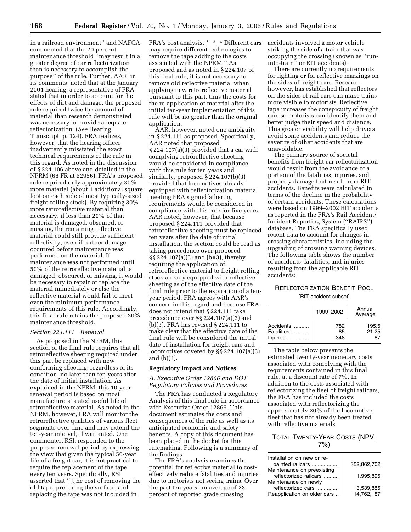in a railroad environment'' and NAFCA commented that the 20 percent maintenance threshold ''may result in a greater degree of car reflectorization than is necessary to accomplish the purpose'' of the rule. Further, AAR, in its comments, noted that at the January 2004 hearing, a representative of FRA stated that in order to account for the effects of dirt and damage, the proposed rule required twice the amount of material than research demonstrated was necessary to provide adequate reflectorization. (*See* Hearing Transcript, p. 124). FRA realizes, however, that the hearing officer inadvertently misstated the exact technical requirements of the rule in this regard. As noted in the discussion of § 224.106 above and detailed in the NPRM (68 FR at 62956), FRA's proposed rule required only approximately 30% more material (about 1 additional square foot on each side of most typically-sized freight rolling stock). By requiring 30% more retroreflective material than necessary, if less than 20% of that material is damaged, obscured, or missing, the remaining reflective material could still provide sufficient reflectivity, even if further damage occurred before maintenance was performed on the material. If maintenance was not performed until 50% of the retroreflective material is damaged, obscured, or missing, it would be necessary to repair or replace the material immediately or else the reflective material would fail to meet even the minimum performance requirements of this rule. Accordingly, this final rule retains the proposed 20% maintenance threshold.

## *Section 224.111 Renewal*

As proposed in the NPRM, this section of the final rule requires that all retroreflective sheeting required under this part be replaced with new conforming sheeting, regardless of its condition, no later than ten years after the date of initial installation. As explained in the NPRM, this 10-year renewal period is based on most manufacturers' stated useful life of retroreflective material. As noted in the NPRM, however, FRA will monitor the retroreflective qualities of various fleet segments over time and may extend the ten-year interval, if warranted. One commenter, RSI, responded to the proposed renewal period by expressing the view that given the typical 50-year life of a freight car, it is not practical to require the replacement of the tape every ten years. Specifically, RSI asserted that ''[t]he cost of removing the old tape, preparing the surface, and replacing the tape was not included in

FRA's cost analysis. \* \* \* Different cars may require different technologies to remove the tape adding to the costs associated with the NPRM.'' As proposed and as noted in § 224.107 of this final rule, it is not necessary to remove old reflective material when applying new retroreflective material pursuant to this part, thus the costs for the re-application of material after the initial ten-year implementation of this rule will be no greater than the original application.

AAR, however, noted one ambiguity in § 224.111 as proposed. Specifically, AAR noted that proposed § 224.107(a)(3) provided that a car with complying retroreflective sheeting would be considered in compliance with this rule for ten years and similarly, proposed § 224.107(b)(3) provided that locomotives already equipped with reflectorization material meeting FRA's grandfathering requirements would be considered in compliance with this rule for five years. AAR noted, however, that because proposed § 224.111 provided that retroreflective sheeting must be replaced ten years after the date of initial installation, the section could be read as taking precedence over proposed §§ 224.107(a)(3) and (b)(3), thereby requiring the application of retroreflective material to freight rolling stock already equipped with reflective sheeting as of the effective date of the final rule prior to the expiration of a tenyear period. FRA agrees with AAR's concern in this regard and because FRA does not intend that § 224.111 take precedence over §§ 224.107(a)(3) and (b)(3), FRA has revised § 224.111 to make clear that the effective date of the final rule will be considered the initial date of installation for freight cars and locomotives covered by §§ 224.107(a)(3) and (b)(3).

#### **Regulatory Impact and Notices**

*A. Executive Order 12866 and DOT Regulatory Policies and Procedures* 

The FRA has conducted a Regulatory Analysis of this final rule in accordance with Executive Order 12866. This document estimates the costs and consequences of the rule as well as its anticipated economic and safety benefits. A copy of this document has been placed in the docket for this rulemaking. Following is a summary of the findings.

The FRA's analysis examines the potential for reflective material to costeffectively reduce fatalities and injuries due to motorists not seeing trains. Over the past ten years, an average of 23 percent of reported grade crossing

accidents involved a motor vehicle striking the side of a train that was occupying the crossing (known as ''runinto-train'' or RIT accidents).

There are currently no requirements for lighting or for reflective markings on the sides of freight cars. Research, however, has established that reflectors on the sides of rail cars can make trains more visible to motorists. Reflective tape increases the conspicuity of freight cars so motorists can identify them and better judge their speed and distance. This greater visibility will help drivers avoid some accidents and reduce the severity of other accidents that are unavoidable.

The primary source of societal benefits from freight car reflectorization would result from the avoidance of a portion of the fatalities, injuries, and property damage that result from RIT accidents. Benefits were calculated in terms of the decline in the probability of certain accidents. These calculations were based on 1999–2002 RIT accidents as reported in the FRA's Rail Accident/ Incident Reporting System (''RAIRS'') database. The FRA specifically used recent data to account for changes in crossing characteristics, including the upgrading of crossing warning devices. The following table shows the number of accidents, fatalities, and injuries resulting from the applicable RIT accidents:

## REFLECTORIZATION BENEFIT POOL [RIT accident subset]

| Annual<br>1999-2002<br>Average<br>Accidents<br>782<br>Fatalities:<br>85 |          |     |                      |
|-------------------------------------------------------------------------|----------|-----|----------------------|
|                                                                         |          |     |                      |
|                                                                         | Injuries | 348 | 195.5<br>21.25<br>87 |
|                                                                         |          |     |                      |

The table below presents the estimated twenty-year monetary costs associated with complying with the requirements contained in this final rule, at a discount rate of 7%. In addition to the costs associated with reflectorizing the fleet of freight railcars, the FRA has included the costs associated with reflectorizing the approximately 20% of the locomotive fleet that has not already been treated with reflective materials.

## TOTAL TWENTY-YEAR COSTS (NPV, 7%)

| Installation on new or re-  |              |
|-----------------------------|--------------|
| painted railcars            | \$52,862,702 |
| Maintenance on preexisting  |              |
| reflectorized railcars      | 1.995.895    |
| Maintenance on newly        |              |
| reflectorized cars          | 3.539.885    |
| Reapplication on older cars | 14,762,187   |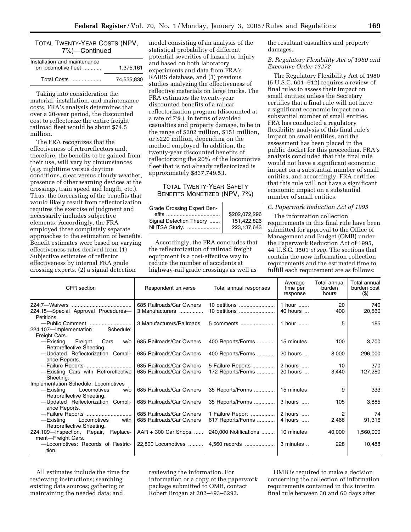## TOTAL TWENTY-YEAR COSTS (NPV, 7%)—Continued

| Installation and maintenance |            |
|------------------------------|------------|
| on locomotive fleet          | 1.375.161  |
| Total Costs                  | 74.535.830 |

Taking into consideration the material, installation, and maintenance costs, FRA's analysis determines that over a 20-year period, the discounted cost to reflectorize the entire freight railroad fleet would be about \$74.5 million.

The FRA recognizes that the effectiveness of retroreflectors and, therefore, the benefits to be gained from their use, will vary by circumstances (*e.g.* nighttime versus daytime conditions, clear versus cloudy weather, presence of other warning devices at the crossings, train speed and length, etc.). Thus, the forecasting of the benefits that would likely result from reflectorization requires the exercise of judgment and necessarily includes subjective elements. Accordingly, the FRA employed three completely separate approaches to the estimation of benefits. Benefit estimates were based on varying effectiveness rates derived from (1) Subjective estimates of reflector effectiveness by internal FRA grade crossing experts, (2) a signal detection

model consisting of an analysis of the statistical probability of different potential severities of hazard or injury and based on both laboratory experiments and data from FRA's RAIRS database, and (3) previous studies analyzing the effectiveness of reflective materials on large trucks. The FRA estimates the twenty-year discounted benefits of a railcar reflectorization program (discounted at a rate of 7%), in terms of avoided casualties and property damage, to be in the range of \$202 million, \$151 million, or \$220 million, depending on the method employed. In addition, the twenty-year discounted benefits of reflectorizing the 20% of the locomotive fleet that is not already reflectorized is approximately \$837,749.53.

## TOTAL TWENTY-YEAR SAFETY BENEFITS MONETIZED (NPV, 7%)

| Grade Crossing Expert Ben- |               |
|----------------------------|---------------|
|                            | \$202.072.296 |
| Signal Detection Theory    | 151.422.826   |
| NHTSA Study.               | 223.137.643   |
|                            |               |

Accordingly, the FRA concludes that the reflectorization of railroad freight equipment is a cost-effective way to reduce the number of accidents at highway-rail grade crossings as well as

the resultant casualties and property damages.

#### *B. Regulatory Flexibility Act of 1980 and Executive Order 13272*

The Regulatory Flexibility Act of 1980 (5 U.S.C. 601–612) requires a review of final rules to assess their impact on small entities unless the Secretary certifies that a final rule will not have a significant economic impact on a substantial number of small entities. FRA has conducted a regulatory flexibility analysis of this final rule's impact on small entities, and the assessment has been placed in the public docket for this proceeding. FRA's analysis concluded that this final rule would not have a significant economic impact on a substantial number of small entities, and accordingly, FRA certifies that this rule will not have a significant economic impact on a substantial number of small entities.

#### *C. Paperwork Reduction Act of 1995*

The information collection requirements in this final rule have been submitted for approval to the Office of Management and Budget (OMB) under the Paperwork Reduction Act of 1995, 44 U.S.C. 3501 *et seq.* The sections that contain the new information collection requirements and the estimated time to fulfill each requirement are as follows:

| CFR section                                                                       | Respondent universe                                  | Total annual responses                    | Average<br>time per<br>response | Total annual<br>burden<br>hours | Total annual<br>burden cost<br>$($ \$) |
|-----------------------------------------------------------------------------------|------------------------------------------------------|-------------------------------------------|---------------------------------|---------------------------------|----------------------------------------|
| 224.15-Special Approval Procedures-<br>Petitions.                                 | 685 Railroads/Car Owners<br>3 Manufacturers          | 10 petitions                              | 1 hour<br>40 hours              | 20<br>400                       | 740<br>20,560                          |
| -Public Comment<br>Schedule:<br>224.107-Implementation<br>Freight Cars.           | 3 Manufacturers/Railroads                            | 5 comments                                | 1 hour $\ldots$                 | 5                               | 185                                    |
| Freight<br>—Existina<br>Cars<br>w/o<br>Retroreflective Sheeting.                  | 685 Railroads/Car Owners                             | 400 Reports/Forms                         | 15 minutes                      | 100                             | 3,700                                  |
| -Updated Reflectorization Compli-<br>ance Reports.                                | 685 Railroads/Car Owners                             | 400 Reports/Forms                         | 20 hours                        | 8,000                           | 296,000                                |
| -Failure Reports<br>-Existing Cars with Retroreflective<br>Sheeting.              | 685 Railroads/Car Owners<br>685 Railroads/Car Owners | 5 Failure Reports   <br>172 Reports/Forms | 2 hours<br>20 hours             | 10<br>3,440                     | 370<br>127,280                         |
| Implementation Schedule: Locomotives<br>—Existina<br>Locomotives<br>w/o           | 685 Railroads/Car Owners                             | 35 Reports/Forms                          | 15 minutes                      | 9                               | 333                                    |
| Retroreflective Sheeting.<br>-Updated Reflectorization Compli-<br>ance Reports.   | 685 Railroads/Car Owners                             | 35 Reports/Forms                          | 3 hours                         | 105                             | 3.885                                  |
| -Failure Reports<br>Locomotives<br>—Existing<br>with<br>Retroreflective Sheeting. | 685 Railroads/Car Owners<br>685 Railroads/Car Owners | 1 Failure Report<br>617 Reports/Forms     | 2 hours<br>4 hours              | 2<br>2,468                      | 74<br>91,316                           |
| 224.109-Inspection, Repair,<br>Replace-<br>ment-Freight Cars.                     | $AAR + 300$ Car Shops                                | 240,000 Notifications                     | 10 minutes                      | 40,000                          | 1,560,000                              |
| -Locomotives: Records of Restric-<br>tion.                                        | 22.800 Locomotives                                   | 4,560 records                             | 3 minutes                       | 228                             | 10,488                                 |

All estimates include the time for reviewing instructions; searching existing data sources; gathering or maintaining the needed data; and

reviewing the information. For information or a copy of the paperwork package submitted to OMB, contact Robert Brogan at 202–493–6292.

OMB is required to make a decision concerning the collection of information requirements contained in this interim final rule between 30 and 60 days after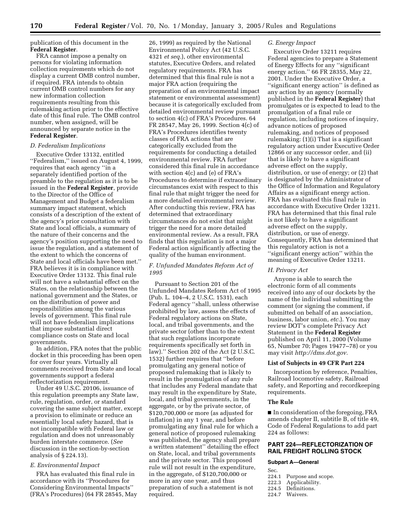publication of this document in the **Federal Register**.

FRA cannot impose a penalty on persons for violating information collection requirements which do not display a current OMB control number, if required. FRA intends to obtain current OMB control numbers for any new information collection requirements resulting from this rulemaking action prior to the effective date of this final rule. The OMB control number, when assigned, will be announced by separate notice in the **Federal Register**.

#### *D. Federalism Implications*

Executive Order 13132, entitled ''Federalism,'' issued on August 4, 1999, requires that each agency ''in a separately identified portion of the preamble to the regulation as it is to be issued in the **Federal Register**, provide to the Director of the Office of Management and Budget a federalism summary impact statement, which consists of a description of the extent of the agency's prior consultation with State and local officials, a summary of the nature of their concerns and the agency's position supporting the need to issue the regulation, and a statement of the extent to which the concerns of State and local officials have been met.'' FRA believes it is in compliance with Executive Order 13132. This final rule will not have a substantial effect on the States, on the relationship between the national government and the States, or on the distribution of power and responsibilities among the various levels of government. This final rule will not have federalism implications that impose substantial direct compliance costs on State and local governments.

In addition, FRA notes that the public docket in this proceeding has been open for over four years. Virtually all comments received from State and local governments support a federal reflectorization requirement.

Under 49 U.S.C. 20106, issuance of this regulation preempts any State law, rule, regulation, order, or standard covering the same subject matter, except a provision to eliminate or reduce an essentially local safety hazard, that is not incompatible with Federal law or regulation and does not unreasonably burden interstate commerce. (*See* discussion in the section-by-section analysis of § 224.13).

#### *E. Environmental Impact*

FRA has evaluated this final rule in accordance with its ''Procedures for Considering Environmental Impacts'' (FRA's Procedures) (64 FR 28545, May

26, 1999) as required by the National Environmental Policy Act (42 U.S.C. 4321 *et seq.*), other environmental statutes, Executive Orders, and related regulatory requirements. FRA has determined that this final rule is not a major FRA action (requiring the preparation of an environmental impact statement or environmental assessment) because it is categorically excluded from detailed environmental review pursuant to section 4(c) of FRA's Procedures. 64 FR 28547, May 26, 1999. Section 4(c) of FRA's Procedures identifies twenty classes of FRA actions that are categorically excluded from the requirements for conducting a detailed environmental review. FRA further considered this final rule in accordance with section 4(c) and (e) of FRA's Procedures to determine if extraordinary circumstances exist with respect to this final rule that might trigger the need for a more detailed environmental review. After conducting this review, FRA has determined that extraordinary circumstances do not exist that might trigger the need for a more detailed environmental review. As a result, FRA finds that this regulation is not a major Federal action significantly affecting the quality of the human environment.

## *F. Unfunded Mandates Reform Act of 1995*

Pursuant to Section 201 of the Unfunded Mandates Reform Act of 1995 (Pub. L. 104–4, 2 U.S.C. 1531), each Federal agency ''shall, unless otherwise prohibited by law, assess the effects of Federal regulatory actions on State, local, and tribal governments, and the private sector (other than to the extent that such regulations incorporate requirements specifically set forth in law).'' Section 202 of the Act (2 U.S.C. 1532) further requires that ''before promulgating any general notice of proposed rulemaking that is likely to result in the promulgation of any rule that includes any Federal mandate that may result in the expenditure by State, local, and tribal governments, in the aggregate, or by the private sector, of \$120,700,000 or more (as adjusted for inflation) in any 1 year, and before promulgating any final rule for which a general notice of proposed rulemaking was published, the agency shall prepare a written statement'' detailing the effect on State, local, and tribal governments and the private sector. This proposed rule will not result in the expenditure, in the aggregate, of \$120,700,000 or more in any one year, and thus preparation of such a statement is not required.

#### *G. Energy Impact*

Executive Order 13211 requires Federal agencies to prepare a Statement of Energy Effects for any ''significant energy action.'' 66 FR 28355, May 22, 2001. Under the Executive Order, a ''significant energy action'' is defined as any action by an agency (normally published in the **Federal Register**) that promulgates or is expected to lead to the promulgation of a final rule or regulation, including notices of inquiry, advance notices of proposed rulemaking, and notices of proposed rulemaking: (1)(i) That is a significant regulatory action under Executive Order 12866 or any successor order, and (ii) that is likely to have a significant adverse effect on the supply, distribution, or use of energy; or (2) that is designated by the Administrator of the Office of Information and Regulatory Affairs as a significant energy action. FRA has evaluated this final rule in accordance with Executive Order 13211. FRA has determined that this final rule is not likely to have a significant adverse effect on the supply, distribution, or use of energy. Consequently, FRA has determined that this regulatory action is not a ''significant energy action'' within the meaning of Executive Order 13211.

#### *H. Privacy Act*

Anyone is able to search the electronic form of all comments received into any of our dockets by the name of the individual submitting the comment (or signing the comment, if submitted on behalf of an association, business, labor union, *etc.*). You may review DOT's complete Privacy Act Statement in the **Federal Register** published on April 11, 2000 (Volume 65, Number 70; Pages 19477–78) or you may visit *http://dms.dot.gov.*

#### **List of Subjects in 49 CFR Part 224**

Incorporation by reference, Penalties, Railroad locomotive safety, Railroad safety, and Reporting and recordkeeping requirements.

#### **The Rule**

■ In consideration of the foregoing, FRA amends chapter II, subtitle B, of title 49, Code of Federal Regulations to add part 224 as follows:

## **PART 224—REFLECTORIZATION OF RAIL FREIGHT ROLLING STOCK**

#### **Subpart A—General**

- 
- Sec.<br>224.1
- 224.1 Purpose and scope.<br>222.3 Applicability. Applicability.
- 
- 224.5 Definitions.<br>224.7 Waivers. Waivers.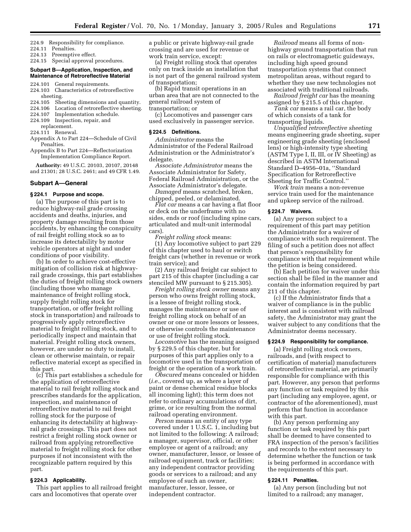224.9 Responsibility for compliance.

- 224.11 Penalties.
- 224.13 Preemptive effect.

224.15 Special approval procedures.

#### **Subpart B—Application, Inspection, and Maintenance of Retroreflective Material**

- 224.101 General requirements.
- 224.103 Characteristics of retroreflective sheeting.<br>224.105 She
- Sheeting dimensions and quantity.
- 224.106 Location of retroreflective sheeting.
- 224.107 Implementation schedule.<br>224.109 Inspection, repair, and Inspection, repair, and
- replacement.
- 224.111 Renewal.
- Appendix A to Part 224—Schedule of Civil Penalties.
- Appendix B to Part 224—Reflectorization Implementation Compliance Report.

**Authority:** 49 U.S.C. 20103, 20107, 20148 and 21301; 28 U.S.C. 2461; and 49 CFR 1.49.

#### **Subpart A—General**

#### **§ 224.1 Purpose and scope.**

(a) The purpose of this part is to reduce highway-rail grade crossing accidents and deaths, injuries, and property damage resulting from those accidents, by enhancing the conspicuity of rail freight rolling stock so as to increase its detectability by motor vehicle operators at night and under conditions of poor visibility.

(b) In order to achieve cost-effective mitigation of collision risk at highwayrail grade crossings, this part establishes the duties of freight rolling stock owners (including those who manage maintenance of freight rolling stock, supply freight rolling stock for transportation, or offer freight rolling stock in transportation) and railroads to progressively apply retroreflective material to freight rolling stock, and to periodically inspect and maintain that material. Freight rolling stock owners, however, are under no duty to install, clean or otherwise maintain, or repair reflective material except as specified in this part.

(c) This part establishes a schedule for the application of retroreflective material to rail freight rolling stock and prescribes standards for the application, inspection, and maintenance of retroreflective material to rail freight rolling stock for the purpose of enhancing its detectability at highwayrail grade crossings. This part does not restrict a freight rolling stock owner or railroad from applying retroreflective material to freight rolling stock for other purposes if not inconsistent with the recognizable pattern required by this part.

#### **§ 224.3 Applicability.**

This part applies to all railroad freight cars and locomotives that operate over

a public or private highway-rail grade crossing and are used for revenue or work train service, except:

(a) Freight rolling stock that operates only on track inside an installation that is not part of the general railroad system of transportation;

(b) Rapid transit operations in an urban area that are not connected to the general railroad system of transportation; or

(c) Locomotives and passenger cars used exclusively in passenger service.

#### **§ 224.5 Definitions.**

*Administrator* means the Administrator of the Federal Railroad Administration or the Administrator's delegate.

*Associate Administrator* means the Associate Administrator for Safety, Federal Railroad Administration, or the Associate Administrator's delegate.

*Damaged* means scratched, broken, chipped, peeled, or delaminated.

*Flat car* means a car having a flat floor or deck on the underframe with no sides, ends or roof (including spine cars, articulated and mult-unit intermodal cars).

*Freight rolling stock* means:

(1) Any locomotive subject to part 229 of this chapter used to haul or switch freight cars (whether in revenue or work train service); and

(2) Any railroad freight car subject to part 215 of this chapter (including a car stenciled MW pursuant to § 215.305).

*Freight rolling stock owner* means any person who owns freight rolling stock, is a lessee of freight rolling stock, manages the maintenance or use of freight rolling stock on behalf of an owner or one or more lessors or lessees, or otherwise controls the maintenance or use of freight rolling stock.

*Locomotive* has the meaning assigned by § 229.5 of this chapter, but for purposes of this part applies only to a locomotive used in the transportation of freight or the operation of a work train.

*Obscured* means concealed or hidden (*i.e.*, covered up, as where a layer of paint or dense chemical residue blocks all incoming light); this term does not refer to ordinary accumulations of dirt, grime, or ice resulting from the normal railroad operating environment.

*Person* means an entity of any type covered under 1 U.S.C. 1, including but not limited to the following: A railroad; a manager, supervisor, official, or other employee or agent of a railroad; any owner, manufacturer, lessor, or lessee of railroad equipment, track or facilities; any independent contractor providing goods or services to a railroad; and any employee of such an owner, manufacturer, lessor, lessee, or independent contractor.

*Railroad* means all forms of nonhighway ground transportation that run on rails or electromagnetic guideways, including high speed ground transportation systems that connect metropolitan areas, without regard to whether they use new technologies not associated with traditional railroads.

*Railroad freight car* has the meaning assigned by § 215.5 of this chapter.

*Tank car* means a rail car, the body of which consists of a tank for transporting liquids.

*Unqualified retroreflective sheeting* means engineering grade sheeting, super engineering grade sheeting (enclosed lens) or high-intensity type sheeting (ASTM Type I, II, III, or IV Sheeting) as described in ASTM International Standard D–4956–01a, ''Standard Specification for Retroreflective Sheeting for Traffic Control.''

*Work train* means a non-revenue service train used for the maintenance and upkeep service of the railroad.

## **§ 224.7 Waivers.**

(a) Any person subject to a requirement of this part may petition the Administrator for a waiver of compliance with such requirement. The filing of such a petition does not affect that person's responsibility for compliance with that requirement while the petition is being considered.

(b) Each petition for waiver under this section shall be filed in the manner and contain the information required by part 211 of this chapter.

(c) If the Administrator finds that a waiver of compliance is in the public interest and is consistent with railroad safety, the Administrator may grant the waiver subject to any conditions that the Administrator deems necessary.

#### **§ 224.9 Responsibility for compliance.**

(a) Freight rolling stock owners, railroads, and (with respect to certification of material) manufacturers of retroreflective material, are primarily responsible for compliance with this part. However, any person that performs any function or task required by this part (including any employee, agent, or contractor of the aforementioned), must perform that function in accordance with this part.

(b) Any person performing any function or task required by this part shall be deemed to have consented to FRA inspection of the person's facilities and records to the extent necessary to determine whether the function or task is being performed in accordance with the requirements of this part.

#### **§ 224.11 Penalties.**

(a) Any person (including but not limited to a railroad; any manager,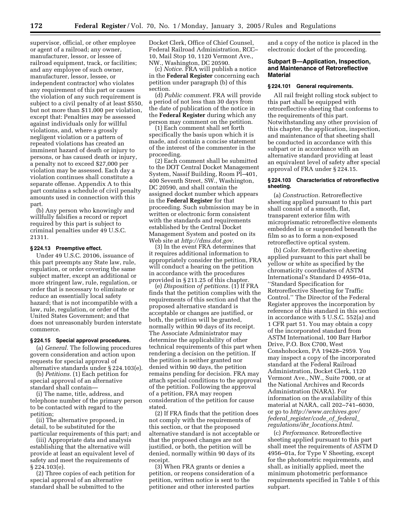supervisor, official, or other employee or agent of a railroad; any owner, manufacturer, lessor, or lessee of railroad equipment, track, or facilities; and any employee of such owner, manufacturer, lessor, lessee, or independent contractor) who violates any requirement of this part or causes the violation of any such requirement is subject to a civil penalty of at least \$550, but not more than \$11,000 per violation, except that: Penalties may be assessed against individuals only for willful violations, and, where a grossly negligent violation or a pattern of repeated violations has created an imminent hazard of death or injury to persons, or has caused death or injury, a penalty not to exceed \$27,000 per violation may be assessed. Each day a violation continues shall constitute a separate offense. Appendix A to this part contains a schedule of civil penalty amounts used in connection with this part.

(b) Any person who knowingly and willfully falsifies a record or report required by this part is subject to criminal penalties under 49 U.S.C. 21311.

### **§ 224.13 Preemptive effect.**

Under 49 U.S.C. 20106, issuance of this part preempts any State law, rule, regulation, or order covering the same subject matter, except an additional or more stringent law, rule, regulation, or order that is necessary to eliminate or reduce an essentially local safety hazard; that is not incompatible with a law, rule, regulation, or order of the United States Government; and that does not unreasonably burden interstate commerce.

## **§ 224.15 Special approval procedures.**

(a) *General.* The following procedures govern consideration and action upon requests for special approval of alternative standards under § 224.103(e).

(b) *Petitions.* (1) Each petition for special approval of an alternative standard shall contain—

(i) The name, title, address, and telephone number of the primary person to be contacted with regard to the petition;

(ii) The alternative proposed, in detail, to be substituted for the particular requirements of this part; and

(iii) Appropriate data and analysis establishing that the alternative will provide at least an equivalent level of safety and meet the requirements of § 224.103(e).

(2) Three copies of each petition for special approval of an alternative standard shall be submitted to the

Docket Clerk, Office of Chief Counsel, Federal Railroad Administration, RCC– 10, Mail Stop 10, 1120 Vermont Ave., NW., Washington, DC 20590.

(c) *Notice.* FRA will publish a notice in the **Federal Register** concerning each petition under paragraph (b) of this section.

(d) *Public comment.* FRA will provide a period of not less than 30 days from the date of publication of the notice in the **Federal Register** during which any person may comment on the petition.

(1) Each comment shall set forth specifically the basis upon which it is made, and contain a concise statement of the interest of the commenter in the proceeding.

(2) Each comment shall be submitted to the DOT Central Docket Management System, Nassif Building, Room Pl–401, 400 Seventh Street, SW., Washington, DC 20590, and shall contain the assigned docket number which appears in the **Federal Register** for that proceeding. Such submission may be in written or electronic form consistent with the standards and requirements established by the Central Docket Management System and posted on its Web site at *http://dms.dot.gov.*

(3) In the event FRA determines that it requires additional information to appropriately consider the petition, FRA will conduct a hearing on the petition in accordance with the procedures provided in § 211.25 of this chapter.

(e) *Disposition of petitions.* (1) If FRA finds that the petition complies with the requirements of this section and that the proposed alternative standard is acceptable or changes are justified, or both, the petition will be granted, normally within 90 days of its receipt. The Associate Administrator may determine the applicability of other technical requirements of this part when rendering a decision on the petition. If the petition is neither granted nor denied within 90 days, the petition remains pending for decision. FRA may attach special conditions to the approval of the petition. Following the approval of a petition, FRA may reopen consideration of the petition for cause stated.

(2) If FRA finds that the petition does not comply with the requirements of this section, or that the proposed alternative standard is not acceptable or that the proposed changes are not justified, or both, the petition will be denied, normally within 90 days of its receipt.

(3) When FRA grants or denies a petition, or reopens consideration of a petition, written notice is sent to the petitioner and other interested parties

and a copy of the notice is placed in the electronic docket of the proceeding.

#### **Subpart B—Application, Inspection, and Maintenance of Retroreflective Material**

#### **§ 224.101 General requirements.**

All rail freight rolling stock subject to this part shall be equipped with retroreflective sheeting that conforms to the requirements of this part. Notwithstanding any other provision of this chapter, the application, inspection, and maintenance of that sheeting shall be conducted in accordance with this subpart or in accordance with an alternative standard providing at least an equivalent level of safety after special approval of FRA under § 224.15.

#### **§ 224.103 Characteristics of retroreflective sheeting.**

(a) *Construction.* Retroreflective sheeting applied pursuant to this part shall consist of a smooth, flat, transparent exterior film with microprismatic retroreflective elements embedded in or suspended beneath the film so as to form a non-exposed retroreflective optical system.

(b) *Color.* Retroreflective sheeting applied pursuant to this part shall be yellow or white as specified by the chromaticity coordinates of ASTM International's Standard D 4956–01a, ''Standard Specification for Retroreflective Sheeting for Traffic Control.'' The Director of the Federal Register approves the incorporation by reference of this standard in this section in accordance with 5 U.S.C. 552(a) and 1 CFR part 51. You may obtain a copy of the incorporated standard from ASTM International, 100 Barr Harbor Drive, P.O. Box C700, West Conshohocken, PA 19428–2959. You may inspect a copy of the incorporated standard at the Federal Railroad Administration, Docket Clerk, 1120 Vermont Ave., NW., Suite 7000, or at the National Archives and Records Administration (NARA). For information on the availability of this material at NARA, call 202–741–6030, or go to *http://www.archives.gov/ federal*\_*register/code*\_*of*\_*federal*\_ *regulations/ibr*\_*locations.html.*

(c) *Performance.* Retroreflective sheeting applied pursuant to this part shall meet the requirements of ASTM D 4956–01a, for Type V Sheeting, except for the photometric requirements, and shall, as initially applied, meet the minimum photometric performance requirements specified in Table 1 of this subpart.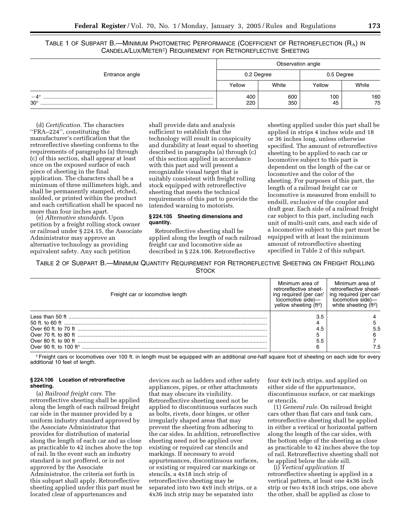TABLE 1 OF SUBPART B.—MINIMUM PHOTOMETRIC PERFORMANCE (COEFFICIENT OF RETROREFLECTION (RA) IN CANDELA/LUX/METER2) REQUIREMENT FOR RETROREFLECTIVE SHEETING

|                            | Observation angle |            |            |           |
|----------------------------|-------------------|------------|------------|-----------|
| Entrance angle             |                   | 0.2 Degree | 0.5 Degree |           |
|                            | Yellow            | White      | Yellow     | White     |
| $-4^{\circ}$<br>$30^\circ$ | 400<br>220        | 600<br>350 | 100<br>45  | 160<br>75 |

(d) *Certification.* The characters ''FRA–224'', constituting the manufacturer's certification that the retroreflective sheeting conforms to the requirements of paragraphs (a) through (c) of this section, shall appear at least once on the exposed surface of each piece of sheeting in the final application. The characters shall be a minimum of three millimeters high, and shall be permanently stamped, etched, molded, or printed within the product and each certification shall be spaced no more than four inches apart.

(e) *Alternative standards.* Upon petition by a freight rolling stock owner or railroad under § 224.15, the Associate Administrator may approve an alternative technology as providing equivalent safety. Any such petition

shall provide data and analysis sufficient to establish that the technology will result in conspicuity and durability at least equal to sheeting described in paragraphs (a) through (c) of this section applied in accordance with this part and will present a recognizable visual target that is suitably consistent with freight rolling stock equipped with retroreflective sheeting that meets the technical requirements of this part to provide the intended warning to motorists.

## **§ 224.105 Sheeting dimensions and quantity.**

Retroreflective sheeting shall be applied along the length of each railroad freight car and locomotive side as described in § 224.106. Retroreflective

sheeting applied under this part shall be applied in strips 4 inches wide and 18 or 36 inches long, unless otherwise specified. The amount of retroreflective sheeting to be applied to each car or locomotive subject to this part is dependent on the length of the car or locomotive and the color of the sheeting. For purposes of this part, the length of a railroad freight car or locomotive is measured from endsill to endsill, exclusive of the coupler and draft gear. Each side of a railroad freight car subject to this part, including each unit of multi-unit cars, and each side of a locomotive subject to this part must be equipped with at least the minimum amount of retroreflective sheeting specified in Table 2 of this subpart.

TABLE 2 OF SUBPART B.—MINIMUM QUANTITY REQUIREMENT FOR RETROREFLECTIVE SHEETING ON FREIGHT ROLLING **STOCK** 

| Freight car or locomotive length | Minimum area of<br>retroreflective sheet-<br>ing required (per car/<br>locomotive side)-<br>yellow sheeting $(ft2)$ | Minimum area of<br>retroreflective sheet-<br>ing required (per car/<br>locomotive side)-<br>white sheeting $(ft2)$ |
|----------------------------------|---------------------------------------------------------------------------------------------------------------------|--------------------------------------------------------------------------------------------------------------------|
|                                  | 3.5                                                                                                                 |                                                                                                                    |
|                                  |                                                                                                                     |                                                                                                                    |
|                                  | 4.5                                                                                                                 |                                                                                                                    |
|                                  |                                                                                                                     |                                                                                                                    |
|                                  | 5.5                                                                                                                 |                                                                                                                    |
|                                  | 6                                                                                                                   |                                                                                                                    |

1Freight cars or locomotives over 100 ft. in length must be equipped with an additional one-half square foot of sheeting on each side for every additional 10 feet of length.

## **§ 224.106 Location of retroreflective sheeting.**

(a) *Railroad freight cars.* The retroreflective sheeting shall be applied along the length of each railroad freight car side in the manner provided by a uniform industry standard approved by the Associate Administrator that provides for distribution of material along the length of each car and as close as practicable to 42 inches above the top of rail. In the event such an industry standard is not proffered, or is not approved by the Associate Administrator, the criteria set forth in this subpart shall apply. Retroreflective sheeting applied under this part must be located clear of appurtenances and

devices such as ladders and other safety appliances, pipes, or other attachments that may obscure its visibility. Retroreflective sheeting need not be applied to discontinuous surfaces such as bolts, rivets, door hinges, or other irregularly shaped areas that may prevent the sheeting from adhering to the car sides. In addition, retroreflective sheeting need not be applied over existing or required car stencils and markings. If necessary to avoid appurtenances, discontinuous surfaces, or existing or required car markings or stencils, a 4x18 inch strip of retroreflective sheeting may be separated into two 4x9 inch strips, or a 4x36 inch strip may be separated into

four 4x9 inch strips, and applied on either side of the appurtenance, discontinuous surface, or car markings or stencils.

(1) *General rule.* On railroad freight cars other than flat cars and tank cars, retroreflective sheeting shall be applied in either a vertical or horizontal pattern along the length of the car sides, with the bottom edge of the sheeting as close as practicable to 42 inches above the top of rail. Retroreflective sheeting shall not be applied below the side sill.

(i) *Vertical application.* If retroreflective sheeting is applied in a vertical pattern, at least one 4x36 inch strip or two 4x18 inch strips, one above the other, shall be applied as close to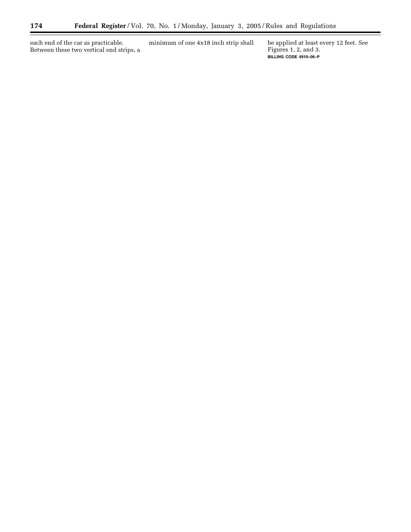each end of the car as practicable. Between these two vertical end strips, a minimum of one 4x18 inch strip shall be applied at least every 12 feet. *See*

Figures 1, 2, and 3. **BILLING CODE 4910–06–P**

۰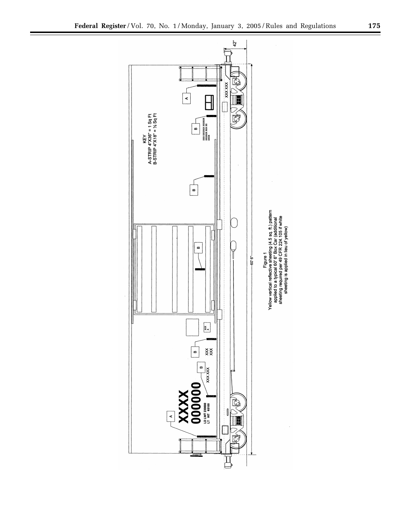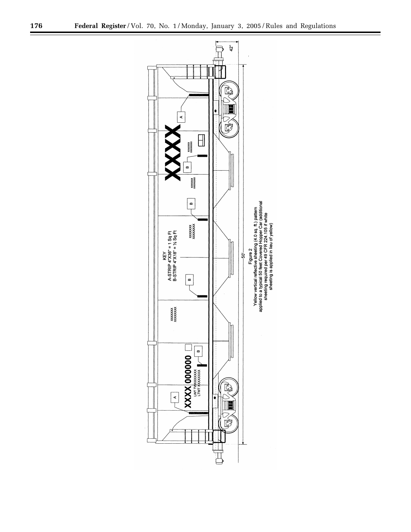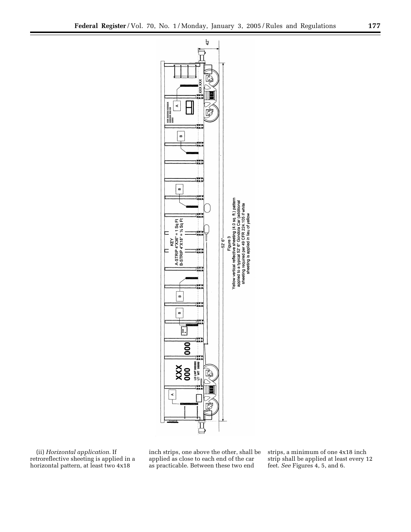



(ii) *Horizontal application.* If retroreflective sheeting is applied in a horizontal pattern, at least two 4x18

inch strips, one above the other, shall be applied as close to each end of the car as practicable. Between these two end

strips, a minimum of one 4x18 inch strip shall be applied at least every 12 feet. *See* Figures 4, 5, and 6.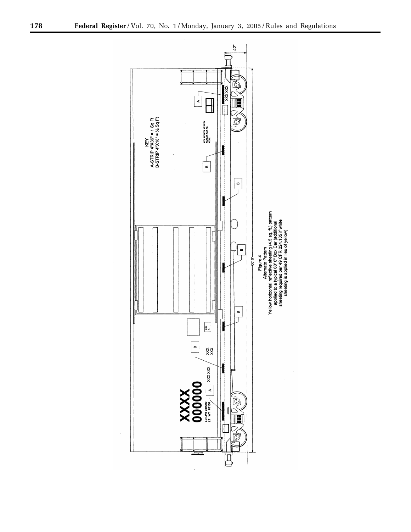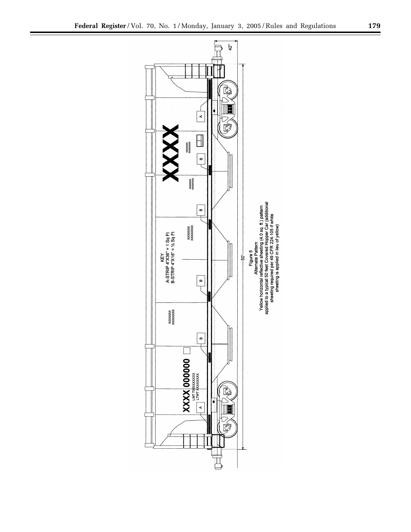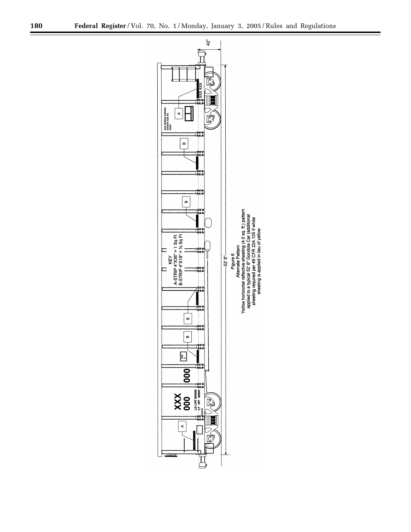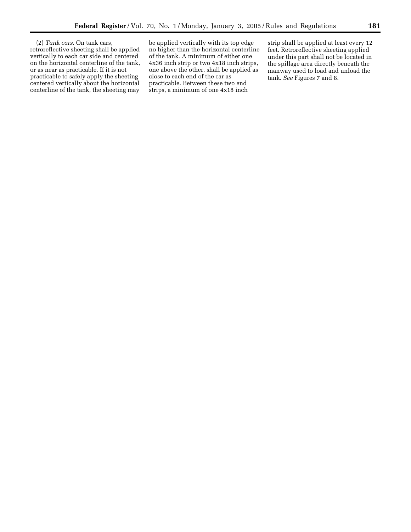(2) *Tank cars.* On tank cars, retroreflective sheeting shall be applied vertically to each car side and centered on the horizontal centerline of the tank, or as near as practicable. If it is not practicable to safely apply the sheeting centered vertically about the horizontal centerline of the tank, the sheeting may

be applied vertically with its top edge no higher than the horizontal centerline of the tank. A minimum of either one 4x36 inch strip or two 4x18 inch strips, one above the other, shall be applied as close to each end of the car as practicable. Between these two end strips, a minimum of one 4x18 inch

strip shall be applied at least every 12 feet. Retroreflective sheeting applied under this part shall not be located in the spillage area directly beneath the manway used to load and unload the tank. *See* Figures 7 and 8.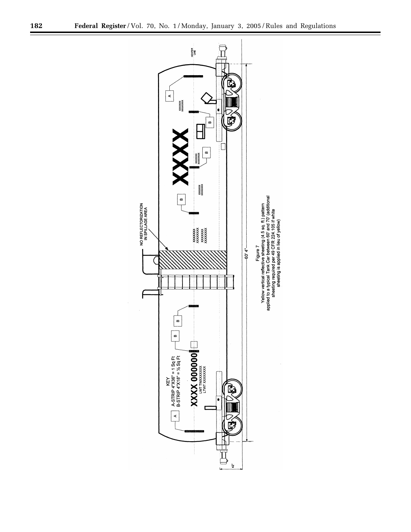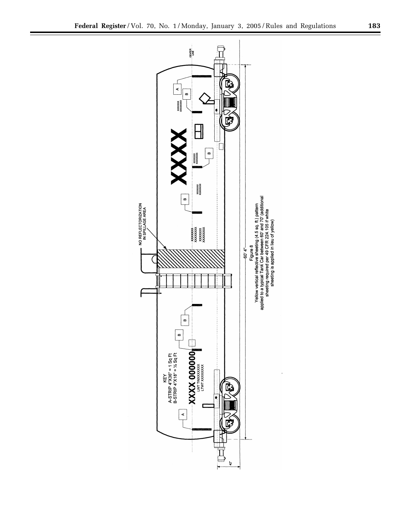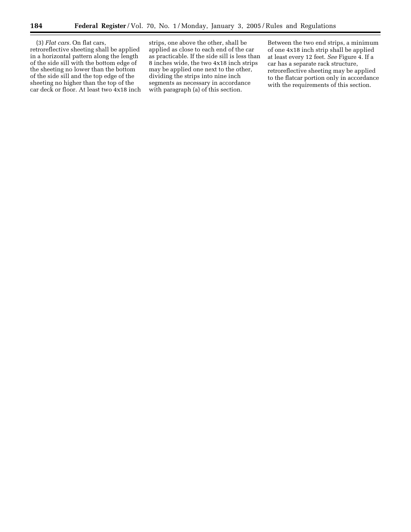(3) *Flat cars.* On flat cars, retroreflective sheeting shall be applied in a horizontal pattern along the length of the side sill with the bottom edge of the sheeting no lower than the bottom of the side sill and the top edge of the sheeting no higher than the top of the car deck or floor. At least two 4x18 inch

strips, one above the other, shall be applied as close to each end of the car as practicable. If the side sill is less than 8 inches wide, the two 4x18 inch strips may be applied one next to the other, dividing the strips into nine inch segments as necessary in accordance with paragraph (a) of this section.

Between the two end strips, a minimum of one 4x18 inch strip shall be applied at least every 12 feet. *See* Figure 4. If a car has a separate rack structure, retroreflective sheeting may be applied to the flatcar portion only in accordance with the requirements of this section.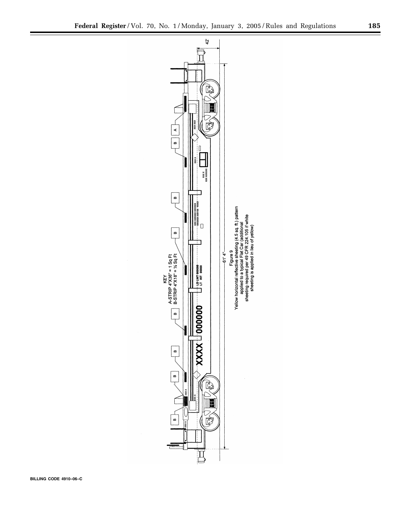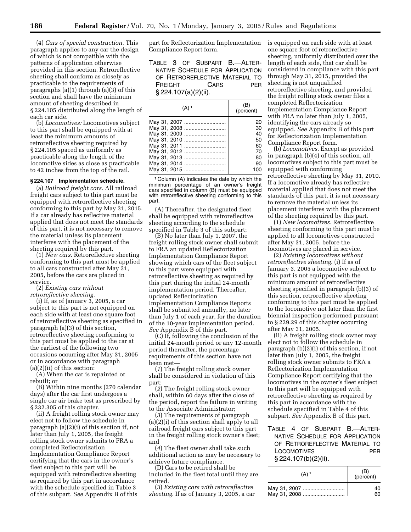(4) *Cars of special construction.* This paragraph applies to any car the design of which is not compatible with the patterns of application otherwise provided in this section. Retroreflective sheeting shall conform as closely as practicable to the requirements of paragraphs (a)(1) through (a)(3) of this section and shall have the minimum amount of sheeting described in § 224.105 distributed along the length of each car side.

(b) *Locomotives:* Locomotives subject to this part shall be equipped with at least the minimum amounts of retroreflective sheeting required by § 224.105 spaced as uniformly as practicable along the length of the locomotive sides as close as practicable to 42 inches from the top of the rail.

#### **§ 224.107 Implementation schedule.**

(a) *Railroad freight cars.* All railroad freight cars subject to this part must be equipped with retroreflective sheeting conforming to this part by May 31, 2015. If a car already has reflective material applied that does not meet the standards of this part, it is not necessary to remove the material unless its placement interferes with the placement of the sheeting required by this part.

(1) *New cars.* Retroreflective sheeting conforming to this part must be applied to all cars constructed after May 31, 2005, before the cars are placed in service.

(2) *Existing cars without retroreflective sheeting.*

(i) If, as of January 3, 2005, a car subject to this part is not equipped on each side with at least one square foot of retroreflective sheeting as specified in paragraph (a)(3) of this section, retroreflective sheeting conforming to this part must be applied to the car at the earliest of the following two occasions occurring after May 31, 2005 or in accordance with paragraph (a)(2)(ii) of this section:

(A) When the car is repainted or rebuilt; or

(B) Within nine months (270 calendar days) after the car first undergoes a single car air brake test as prescribed by § 232.305 of this chapter.

(ii) A freight rolling stock owner may elect not to follow the schedule in paragraph (a)(2)(i) of this section if, not later than July 1, 2005, the freight rolling stock owner submits to FRA a completed Reflectorization Implementation Compliance Report certifying that the cars in the owner's fleet subject to this part will be equipped with retroreflective sheeting as required by this part in accordance with the schedule specified in Table 3 of this subpart. *See* Appendix B of this

part for Reflectorization Implementation Compliance Report form.

TABLE 3 OF SUBPART B.—ALTER-NATIVE SCHEDULE FOR APPLICATION OF RETROREFLECTIVE MATERIAL TO FREIGHT CARS PER § 224.107(a)(2)(ii).

| $(A)$ <sup>1</sup> | (B)<br>(percent) |
|--------------------|------------------|
| May 31, 2007       | 20               |
| May 31, 2008       | 30               |
| May 31, 2009       | 40               |
| May 31, 2010       | 50               |
| May 31, 2011       | 60               |
| May 31, 2012       | 70               |
| May 31, 2013       | 80               |
| May 31, 2014       | 90               |
| May 31, 2015       | 100              |

1 Column (A) indicates the date by which the minimum percentage of an owner's freight cars specified in column (B) must be equipped with retroreflective sheeting conforming to this part.

(A) Thereafter, the designated fleet shall be equipped with retroreflective sheeting according to the schedule specified in Table 3 of this subpart;

(B) No later than July 1, 2007, the freight rolling stock owner shall submit to FRA an updated Reflectorization Implementation Compliance Report showing which cars of the fleet subject to this part were equipped with retroreflective sheeting as required by this part during the initial 24-month implementation period. Thereafter, updated Reflectorization Implementation Compliance Reports shall be submitted annually, no later than July 1 of each year, for the duration of the 10-year implementation period. *See* Appendix B of this part.

(C) If, following the conclusion of the initial 24-month period or any 12-month period thereafter, the percentage requirements of this section have not been met—

(*1*) The freight rolling stock owner shall be considered in violation of this part;

(*2*) The freight rolling stock owner shall, within 60 days after the close of the period, report the failure in writing to the Associate Administrator;

(*3*) The requirements of paragraph (a)(2)(i) of this section shall apply to all railroad freight cars subject to this part in the freight rolling stock owner's fleet; and

(*4*) The fleet owner shall take such additional action as may be necessary to achieve future compliance.

(D) Cars to be retired shall be included in the fleet total until they are retired.

(3) *Existing cars with retroreflective sheeting.* If as of January 3, 2005, a car is equipped on each side with at least one square foot of retroreflective sheeting, uniformly distributed over the length of each side, that car shall be considered in compliance with this part through May 31, 2015, provided the sheeting is not unqualified retroreflective sheeting, and provided the freight rolling stock owner files a completed Reflectorization Implementation Compliance Report with FRA no later than July 1, 2005, identifying the cars already so equipped. *See* Appendix B of this part for Reflectorization Implementation Compliance Report form.

(b) *Locomotives.* Except as provided in paragraph (b)(4) of this section, all locomotives subject to this part must be equipped with conforming retroreflective sheeting by May 31, 2010. If a locomotive already has reflective material applied that does not meet the standards of this part, it is not necessary to remove the material unless its placement interferes with the placement of the sheeting required by this part.

(1) *New locomotives.* Retroreflective sheeting conforming to this part must be applied to all locomotives constructed after May 31, 2005, before the locomotives are placed in service.

(2) *Existing locomotives without retroreflective sheeting.* (i) If as of January 3, 2005 a locomotive subject to this part is not equipped with the minimum amount of retroreflective sheeting specified in paragraph (b)(3) of this section, retroreflective sheeting conforming to this part must be applied to the locomotive not later than the first biennial inspection performed pursuant to § 229.29 of this chapter occurring after May 31, 2005.

(ii) A freight rolling stock owner may elect not to follow the schedule in paragraph (b)(2)(i) of this section, if not later than July 1, 2005, the freight rolling stock owner submits to FRA a Reflectorization Implementation Compliance Report certifying that the locomotives in the owner's fleet subject to this part will be equipped with retroreflective sheeting as required by this part in accordance with the schedule specified in Table 4 of this subpart. *See* Appendix B of this part.

## TABLE 4 OF SUBPART B.—ALTER-NATIVE SCHEDULE FOR APPLICATION OF RETROREFLECTIVE MATERIAL TO LOCOMOTIVES PER § 224.107(b)(2)(ii).

| $(A)$ <sup>1</sup> | (B)<br>(percent) |
|--------------------|------------------|
| May 31, 2007       | 40               |
| May 31, 2008       | 60               |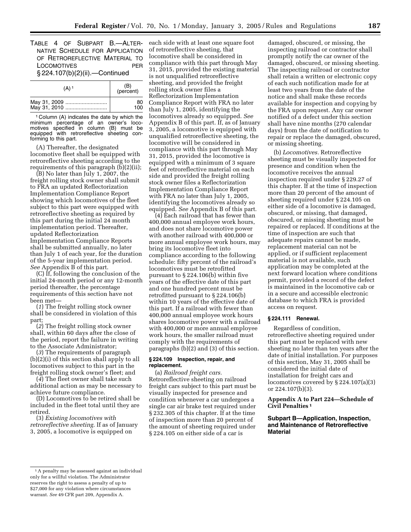TABLE 4 OF SUBPART B.—ALTER-NATIVE SCHEDULE FOR APPLICATION OF RETROREFLECTIVE MATERIAL TO LOCOMOTIVES PER § 224.107(b)(2)(ii).—Continued

| $(A)$ <sup>1</sup>           | (B)<br>(percent) |
|------------------------------|------------------|
| May 31, 2009<br>May 31, 2010 | 80<br>100        |

1 Column (A) indicates the date by which the minimum percentage of an owner's locomotives specified in column (B) must be equipped with retroreflective sheeting conforming to this part.

(A) Thereafter, the designated locomotive fleet shall be equipped with retroreflective sheeting according to the requirements of this paragraph (b)(2)(ii);

(B) No later than July 1, 2007, the freight rolling stock owner shall submit to FRA an updated Reflectorization Implementation Compliance Report showing which locomotives of the fleet subject to this part were equipped with retroreflective sheeting as required by this part during the initial 24 month implementation period. Thereafter, updated Reflectorization Implementation Compliance Reports shall be submitted annually, no later than July 1 of each year, for the duration of the 5-year implementation period. *See* Appendix B of this part.

(C) If, following the conclusion of the initial 24-month period or any 12-month period thereafter, the percentage requirements of this section have not been met—

(*1*) The freight rolling stock owner shall be considered in violation of this part;

(*2*) The freight rolling stock owner shall, within 60 days after the close of the period, report the failure in writing to the Associate Administrator;

(*3*) The requirements of paragraph (b)(2)(i) of this section shall apply to all locomotives subject to this part in the freight rolling stock owner's fleet; and

(*4*) The fleet owner shall take such additional action as may be necessary to achieve future compliance.

(D) Locomotives to be retired shall be included in the fleet total until they are retired.

(3) *Existing locomotives with retroreflective sheeting.* If as of January 3, 2005, a locomotive is equipped on

each side with at least one square foot of retroreflective sheeting, that locomotive shall be considered in compliance with this part through May 31, 2015, provided the existing material is not unqualified retroreflective sheeting, and provided the freight rolling stock owner files a Reflectorization Implementation Compliance Report with FRA no later than July 1, 2005, identifying the locomotives already so equipped. *See* Appendix B of this part. If, as of January 3, 2005, a locomotive is equipped with unqualified retroreflective sheeting, the locomotive will be considered in compliance with this part through May 31, 2015, provided the locomotive is equipped with a minimum of 3 square feet of retroreflective material on each side and provided the freight rolling stock owner files a Reflectorization Implementation Compliance Report with FRA no later than July 1, 2005, identifying the locomotives already so equipped. *See* Appendix B of this part.

(4) Each railroad that has fewer than 400,000 annual employee work hours, and does not share locomotive power with another railroad with 400,000 or more annual employee work hours, may bring its locomotive fleet into compliance according to the following schedule: fifty percent of the railroad's locomotives must be retrofitted pursuant to § 224.106(b) within five years of the effective date of this part and one hundred percent must be retrofitted pursuant to § 224.106(b) within 10 years of the effective date of this part. If a railroad with fewer than 400,000 annual employee work hours shares locomotive power with a railroad with 400,000 or more annual employee work hours, the smaller railroad must comply with the requirements of paragraphs (b)(2) and (3) of this section.

#### **§ 224.109 Inspection, repair, and replacement.**

(a) *Railroad freight cars.* Retroreflective sheeting on railroad freight cars subject to this part must be visually inspected for presence and condition whenever a car undergoes a single car air brake test required under § 232.305 of this chapter. If at the time of inspection more than 20 percent of the amount of sheeting required under § 224.105 on either side of a car is

damaged, obscured, or missing, the inspecting railroad or contractor shall promptly notify the car owner of the damaged, obscured, or missing sheeting. The inspecting railroad or contractor shall retain a written or electronic copy of each such notification made for at least two years from the date of the notice and shall make these records available for inspection and copying by the FRA upon request. Any car owner notified of a defect under this section shall have nine months (270 calendar days) from the date of notification to repair or replace the damaged, obscured, or missing sheeting.

(b) *Locomotives.* Retroreflective sheeting must be visually inspected for presence and condition when the locomotive receives the annual inspection required under § 229.27 of this chapter. If at the time of inspection more than 20 percent of the amount of sheeting required under § 224.105 on either side of a locomotive is damaged, obscured, or missing, that damaged, obscured, or missing sheeting must be repaired or replaced. If conditions at the time of inspection are such that adequate repairs cannot be made, replacement material can not be applied, or if sufficient replacement material is not available, such application may be completed at the next forward location where conditions permit, provided a record of the defect is maintained in the locomotive cab or in a secure and accessible electronic database to which FRA is provided access on request.

#### **§ 224.111 Renewal.**

Regardless of condition, retroreflective sheeting required under this part must be replaced with new sheeting no later than ten years after the date of initial installation. For purposes of this section, May 31, 2005 shall be considered the initial date of installation for freight cars and locomotives covered by § 224.107(a)(3) or 224.107(b)(3).

## **Appendix A to Part 224—Schedule of Civil Penalties 1**

## **Subpart B—Application, Inspection, and Maintenance of Retroreflective Material**

<sup>&</sup>lt;sup>1</sup>A penalty may be assessed against an individual only for a willful violation. The Administrator reserves the right to assess a penalty of up to \$27,000 for any violation where circumstances warrant. *See* 49 CFR part 209, Appendix A.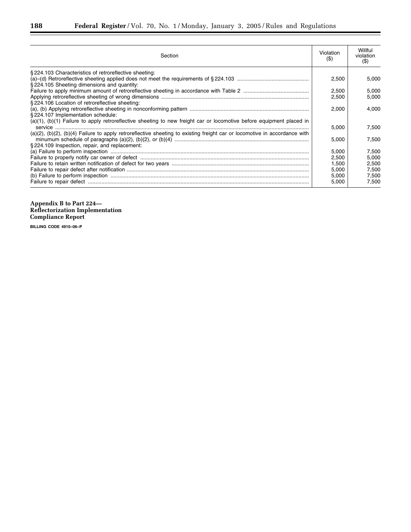| Section                                                                                                                           | Violation<br>(S) | Willful<br>violation<br>(S) |
|-----------------------------------------------------------------------------------------------------------------------------------|------------------|-----------------------------|
| §224.103 Characteristics of retroreflective sheeting:                                                                             |                  |                             |
| §224.105 Sheeting dimensions and quantity:                                                                                        | 2,500            | 5.000                       |
|                                                                                                                                   | 2,500            | 5,000                       |
|                                                                                                                                   | 2.500            | 5.000                       |
| §224.106 Location of retroreflective sheeting:                                                                                    |                  |                             |
|                                                                                                                                   | 2,000            | 4.000                       |
| §224.107 Implementation schedule:                                                                                                 |                  |                             |
| (a)(1), (b)(1) Failure to apply retroreflective sheeting to new freight car or locomotive before equipment placed in              |                  |                             |
|                                                                                                                                   | 5,000            | 7,500                       |
| $(a)(2)$ , $(b)(2)$ , $(b)(4)$ Failure to apply retroreflective sheeting to existing freight car or locomotive in accordance with |                  |                             |
|                                                                                                                                   | 5,000            | 7.500                       |
| §224.109 Inspection, repair, and replacement:                                                                                     |                  |                             |
|                                                                                                                                   | 5,000            | 7,500                       |
|                                                                                                                                   | 2,500            | 5.000                       |
|                                                                                                                                   | 1.500            | 2.500                       |
|                                                                                                                                   | 5,000            | 7,500                       |
|                                                                                                                                   | 5,000            | 7.500                       |
|                                                                                                                                   | 5,000            | 7.500                       |

**Appendix B to Part 224— Reflectorization Implementation Compliance Report** 

**BILLING CODE 4910–06–P**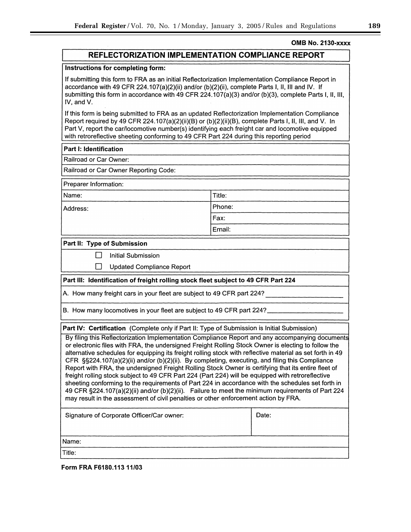## **OMB No. 2130-XXXX**

## **REFLECTORIZATION IMPLEMENTATION COMPLIANCE REPORT**

## Instructions for completing form:

If submitting this form to FRA as an initial Reflectorization Implementation Compliance Report in accordance with 49 CFR 224.107(a)(2)(ii) and/or (b)(2)(ii), complete Parts I, II, III and IV. If submitting this form in accordance with 49 CFR 224.107(a)(3) and/or (b)(3), complete Parts I, II, III, IV, and V.

If this form is being submitted to FRA as an updated Reflectorization Implementation Compliance Report required by 49 CFR 224.107(a)(2)(ii)(B) or (b)(2)(ii)(B), complete Parts I, II, III, and V. In Part V, report the car/locomotive number(s) identifying each freight car and locomotive equipped with retroreflective sheeting conforming to 49 CFR Part 224 during this reporting period

> Title: Phone:

Fax: Email:

## **Part I: Identification**

Railroad or Car Owner:

Railroad or Car Owner Reporting Code:

Preparer Information:

Name:

Address:

Part II: Type of Submission

 $\Box$ **Initial Submission** 

 $\Box$ **Updated Compliance Report** 

## Part III: Identification of freight rolling stock fleet subject to 49 CFR Part 224

A. How many freight cars in your fleet are subject to 49 CFR part 224?

B. How many locomotives in your fleet are subject to 49 CFR part 224?

Part IV: Certification (Complete only if Part II: Type of Submission is Initial Submission)

By filing this Reflectorization Implementation Compliance Report and any accompanying documents or electronic files with FRA, the undersigned Freight Rolling Stock Owner is electing to follow the alternative schedules for equipping its freight rolling stock with reflective material as set forth in 49 CFR  $\S$ \$224.107(a)(2)(ii) and/or (b)(2)(ii). By completing, executing, and filing this Compliance Report with FRA, the undersigned Freight Rolling Stock Owner is certifying that its entire fleet of freight rolling stock subject to 49 CFR Part 224 (Part 224) will be equipped with retroreflective sheeting conforming to the requirements of Part 224 in accordance with the schedules set forth in 49 CFR §224.107(a)(2)(ii) and/or (b)(2)(ii). Failure to meet the minimum requirements of Part 224 may result in the assessment of civil penalties or other enforcement action by FRA.

| Signature of Corporate Officer/Car owner: | Date: |
|-------------------------------------------|-------|
|                                           |       |
| Name:                                     |       |
| Title:                                    |       |

Form FRA F6180.113 11/03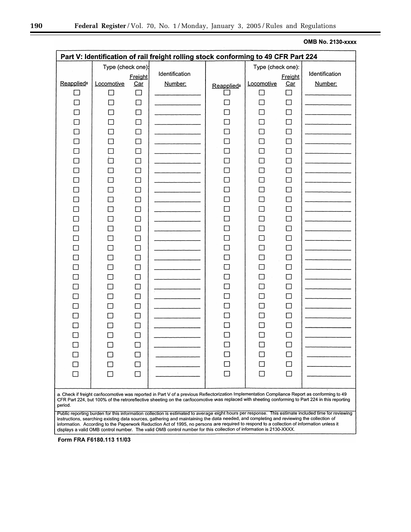**OMB No. 2130-xxxx** 

۰

| Part V: Identification of rail freight rolling stock conforming to 49 CFR Part 224                                                                                                                                                                                                                                                                                                                                                                                                                                                                                  |                                 |                          |                           |                               |                                 |                          |                           |
|---------------------------------------------------------------------------------------------------------------------------------------------------------------------------------------------------------------------------------------------------------------------------------------------------------------------------------------------------------------------------------------------------------------------------------------------------------------------------------------------------------------------------------------------------------------------|---------------------------------|--------------------------|---------------------------|-------------------------------|---------------------------------|--------------------------|---------------------------|
| <b>Reapplied</b> <sup>®</sup>                                                                                                                                                                                                                                                                                                                                                                                                                                                                                                                                       | Type (check one):<br>Locomotive | Freight<br><u>Car</u>    | Identification<br>Number: | <b>Reapplied</b> <sup>a</sup> | Type (check one):<br>Locomotive | Freight<br><u>Car</u>    | Identification<br>Number: |
|                                                                                                                                                                                                                                                                                                                                                                                                                                                                                                                                                                     | П                               |                          |                           |                               | $\overline{\phantom{a}}$        | $\Box$                   |                           |
|                                                                                                                                                                                                                                                                                                                                                                                                                                                                                                                                                                     | П                               | $\mathcal{L}$            |                           |                               | П                               | □                        |                           |
|                                                                                                                                                                                                                                                                                                                                                                                                                                                                                                                                                                     |                                 | $\Box$                   |                           | ┐                             |                                 | $\mathbf{I}$             |                           |
| $\mathbf{I}$                                                                                                                                                                                                                                                                                                                                                                                                                                                                                                                                                        |                                 |                          |                           |                               |                                 | L.                       |                           |
| П                                                                                                                                                                                                                                                                                                                                                                                                                                                                                                                                                                   |                                 | $\Box$                   |                           |                               |                                 |                          |                           |
|                                                                                                                                                                                                                                                                                                                                                                                                                                                                                                                                                                     |                                 | $\overline{\phantom{a}}$ |                           |                               |                                 |                          |                           |
|                                                                                                                                                                                                                                                                                                                                                                                                                                                                                                                                                                     |                                 |                          |                           | $\Box$                        |                                 | П                        |                           |
|                                                                                                                                                                                                                                                                                                                                                                                                                                                                                                                                                                     |                                 |                          |                           | П                             |                                 |                          |                           |
| П                                                                                                                                                                                                                                                                                                                                                                                                                                                                                                                                                                   |                                 |                          |                           | ┓                             |                                 | $\sim$                   |                           |
|                                                                                                                                                                                                                                                                                                                                                                                                                                                                                                                                                                     |                                 | $\mathsf{L}$             |                           | ┓                             |                                 |                          |                           |
|                                                                                                                                                                                                                                                                                                                                                                                                                                                                                                                                                                     |                                 |                          |                           |                               |                                 |                          |                           |
|                                                                                                                                                                                                                                                                                                                                                                                                                                                                                                                                                                     |                                 |                          |                           | П                             |                                 | l I                      |                           |
|                                                                                                                                                                                                                                                                                                                                                                                                                                                                                                                                                                     |                                 |                          |                           | П                             |                                 | $\blacksquare$           |                           |
| П                                                                                                                                                                                                                                                                                                                                                                                                                                                                                                                                                                   |                                 |                          |                           | $\overline{\phantom{a}}$      |                                 | $\mathcal{L}$            |                           |
|                                                                                                                                                                                                                                                                                                                                                                                                                                                                                                                                                                     |                                 |                          |                           | ┓                             |                                 | $\overline{\phantom{a}}$ |                           |
|                                                                                                                                                                                                                                                                                                                                                                                                                                                                                                                                                                     |                                 |                          |                           |                               |                                 |                          |                           |
|                                                                                                                                                                                                                                                                                                                                                                                                                                                                                                                                                                     |                                 |                          |                           | П                             |                                 | ΙI                       |                           |
|                                                                                                                                                                                                                                                                                                                                                                                                                                                                                                                                                                     |                                 |                          |                           | □                             |                                 | $\overline{\phantom{a}}$ |                           |
| $\mathbf{L}$                                                                                                                                                                                                                                                                                                                                                                                                                                                                                                                                                        |                                 |                          |                           | ٦                             |                                 | $\mathcal{L}$            |                           |
| $\Box$                                                                                                                                                                                                                                                                                                                                                                                                                                                                                                                                                              |                                 |                          |                           | ┐                             |                                 |                          |                           |
|                                                                                                                                                                                                                                                                                                                                                                                                                                                                                                                                                                     |                                 |                          |                           |                               |                                 |                          |                           |
|                                                                                                                                                                                                                                                                                                                                                                                                                                                                                                                                                                     |                                 |                          |                           | П                             |                                 |                          |                           |
|                                                                                                                                                                                                                                                                                                                                                                                                                                                                                                                                                                     |                                 |                          |                           | П                             |                                 | - 1                      |                           |
|                                                                                                                                                                                                                                                                                                                                                                                                                                                                                                                                                                     |                                 | U                        |                           | ⊣                             |                                 |                          |                           |
|                                                                                                                                                                                                                                                                                                                                                                                                                                                                                                                                                                     |                                 | - 1                      |                           |                               |                                 |                          |                           |
|                                                                                                                                                                                                                                                                                                                                                                                                                                                                                                                                                                     |                                 |                          |                           |                               |                                 |                          |                           |
|                                                                                                                                                                                                                                                                                                                                                                                                                                                                                                                                                                     |                                 | ΙI                       |                           | n.                            |                                 |                          |                           |
|                                                                                                                                                                                                                                                                                                                                                                                                                                                                                                                                                                     |                                 |                          |                           |                               |                                 |                          |                           |
|                                                                                                                                                                                                                                                                                                                                                                                                                                                                                                                                                                     |                                 |                          | $\cdot$                   |                               |                                 |                          |                           |
|                                                                                                                                                                                                                                                                                                                                                                                                                                                                                                                                                                     |                                 |                          |                           | $\mathcal{L}$                 |                                 |                          |                           |
| a. Check if freight car/locomotive was reported in Part V of a previous Reflectorization Implementation Compliance Report as conforming to 49<br>CFR Part 224, but 100% of the retroreflective sheeting on the car/locomotive was replaced with sheeting conforming to Part 224 in this reporting<br>period.                                                                                                                                                                                                                                                        |                                 |                          |                           |                               |                                 |                          |                           |
| Public reporting burden for this information collection is estimated to average eight hours per response. This estimate included time for reviewing<br>instructions, searching existing data sources, gathering and maintaining the data needed, and completing and reviewing the collection of<br>information. According to the Paperwork Reduction Act of 1995, no persons are required to respond to a collection of information unless it<br>displays a valid OMB control number. The valid OMB control number for this collection of information is 2130-XXXX. |                                 |                          |                           |                               |                                 |                          |                           |

Form FRA F6180.113 11/03